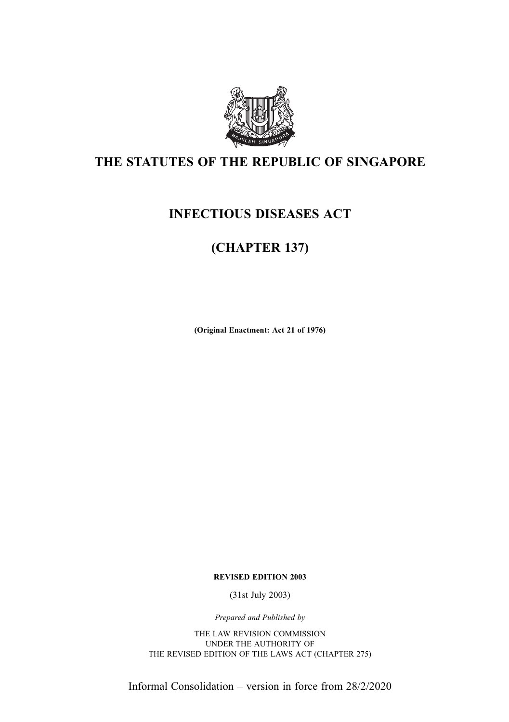

## THE STATUTES OF THE REPUBLIC OF SINGAPORE

## INFECTIOUS DISEASES ACT

# (CHAPTER 137)

(Original Enactment: Act 21 of 1976)

REVISED EDITION 2003

(31st July 2003)

Prepared and Published by

THE LAW REVISION COMMISSION UNDER THE AUTHORITY OF THE REVISED EDITION OF THE LAWS ACT (CHAPTER 275)

Informal Consolidation – version in force from 28/2/2020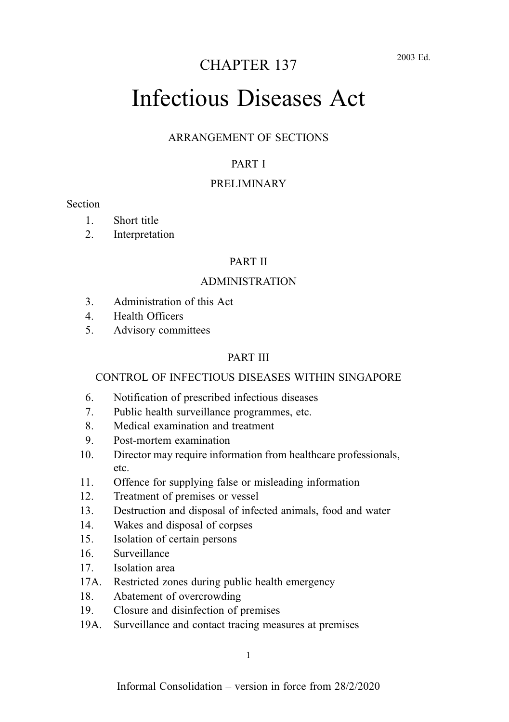# CHAPTER 137

# Infectious Diseases Act

#### ARRANGEMENT OF SECTIONS

#### PART I

#### PRELIMINARY

#### **Section**

- 1. Short title
- 2. Interpretation

#### PART II

#### ADMINISTRATION

- 3. Administration of this Act
- 4. Health Officers
- 5. Advisory committees

#### PART III

#### CONTROL OF INFECTIOUS DISEASES WITHIN SINGAPORE

- 6. Notification of prescribed infectious diseases
- 7. Public health surveillance programmes, etc.
- 8. Medical examination and treatment
- 9. Post-mortem examination
- 10. Director may require information from healthcare professionals, etc.
- 11. Offence for supplying false or misleading information
- 12. Treatment of premises or vessel
- 13. Destruction and disposal of infected animals, food and water
- 14. Wakes and disposal of corpses
- 15. Isolation of certain persons
- 16. Surveillance
- 17. Isolation area
- 17A. Restricted zones during public health emergency
- 18. Abatement of overcrowding
- 19. Closure and disinfection of premises
- 19A. Surveillance and contact tracing measures at premises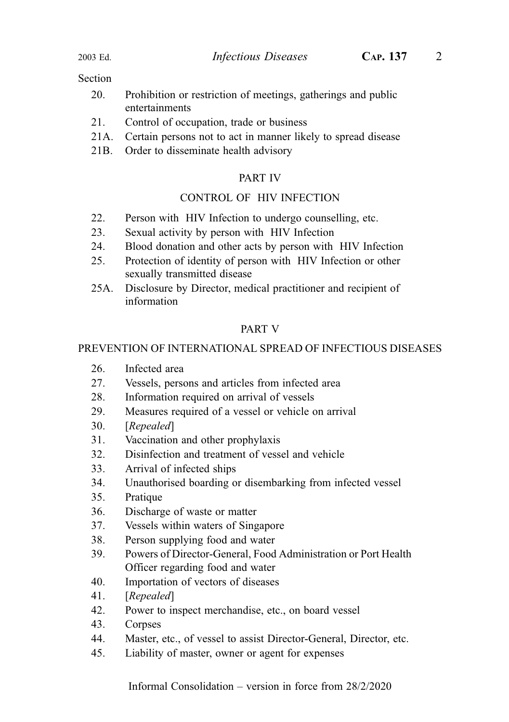#### Section

- 20. Prohibition or restriction of meetings, gatherings and public entertainments
- 21. Control of occupation, trade or business
- 21A. Certain persons not to act in manner likely to spread disease
- 21B. Order to disseminate health advisory

#### PART IV

#### CONTROL OF HIV INFECTION

- 22. Person with HIV Infection to undergo counselling, etc.
- 23. Sexual activity by person with HIV Infection
- 24. Blood donation and other acts by person with HIV Infection
- 25. Protection of identity of person with HIV Infection or other sexually transmitted disease
- 25A. Disclosure by Director, medical practitioner and recipient of information

#### PART V

#### PREVENTION OF INTERNATIONAL SPREAD OF INFECTIOUS DISEASES

- 26. Infected area
- 27. Vessels, persons and articles from infected area
- 28. Information required on arrival of vessels
- 29. Measures required of a vessel or vehicle on arrival
- 30. [Repealed]
- 31. Vaccination and other prophylaxis
- 32. Disinfection and treatment of vessel and vehicle
- 33. Arrival of infected ships
- 34. Unauthorised boarding or disembarking from infected vessel
- 35. Pratique
- 36. Discharge of waste or matter
- 37. Vessels within waters of Singapore
- 38. Person supplying food and water
- 39. Powers of Director-General, Food Administration or Port Health Officer regarding food and water
- 40. Importation of vectors of diseases
- 41. [Repealed]
- 42. Power to inspect merchandise, etc., on board vessel
- 43. Corpses
- 44. Master, etc., of vessel to assist Director-General, Director, etc.
- 45. Liability of master, owner or agent for expenses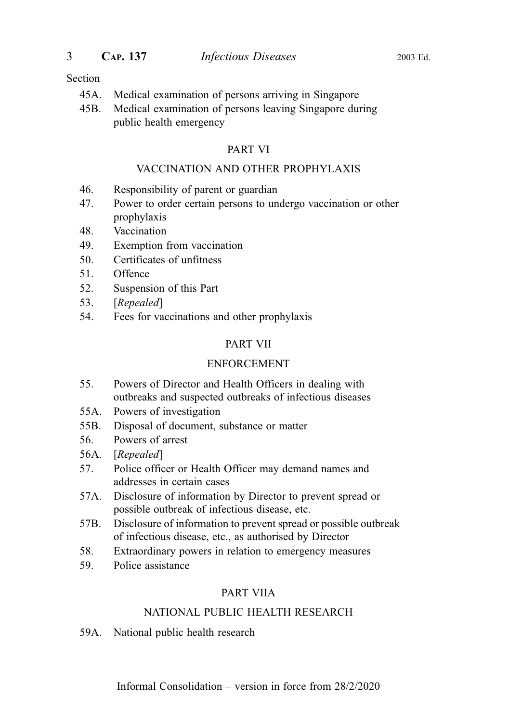#### Section

- 45A. Medical examination of persons arriving in Singapore
- 45B. Medical examination of persons leaving Singapore during public health emergency

#### PART VI

#### VACCINATION AND OTHER PROPHYLAXIS

- 46. Responsibility of parent or guardian
- 47. Power to order certain persons to undergo vaccination or other prophylaxis
- 48. Vaccination
- 49. Exemption from vaccination
- 50. Certificates of unfitness
- 51. Offence
- 52. Suspension of this Part
- 53. [Repealed]
- 54. Fees for vaccinations and other prophylaxis

#### PART VII

#### ENFORCEMENT

- 55. Powers of Director and Health Officers in dealing with outbreaks and suspected outbreaks of infectious diseases
- 55A. Powers of investigation
- 55B. Disposal of document, substance or matter
- 56. Powers of arrest
- 56A. [Repealed]
- 57. Police officer or Health Officer may demand names and addresses in certain cases
- 57A. Disclosure of information by Director to prevent spread or possible outbreak of infectious disease, etc.
- 57B. Disclosure of information to prevent spread or possible outbreak of infectious disease, etc., as authorised by Director
- 58. Extraordinary powers in relation to emergency measures
- 59. Police assistance

#### PART VIIA

#### NATIONAL PUBLIC HEALTH RESEARCH

59A. National public health research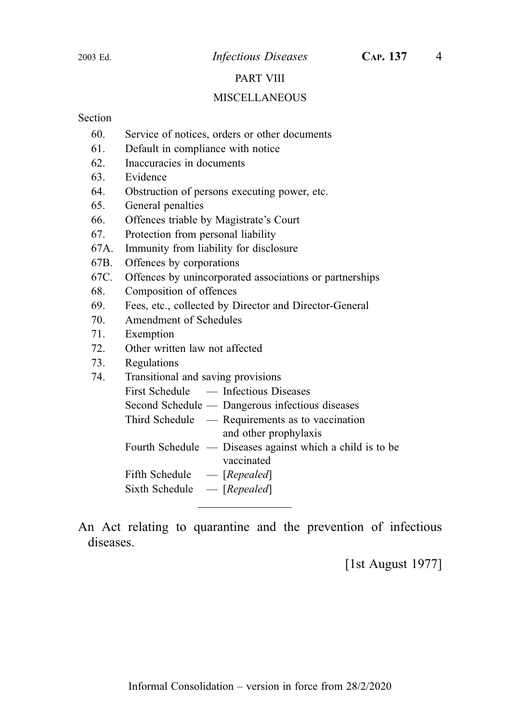#### PART VIII

#### MISCELLANEOUS

#### Section

- 60. Service of notices, orders or other documents
- 61. Default in compliance with notice
- 62. Inaccuracies in documents
- 63. Evidence
- 64. Obstruction of persons executing power, etc.
- 65. General penalties
- 66. Offences triable by Magistrate's Court
- 67. Protection from personal liability
- 67A. Immunity from liability for disclosure
- 67B. Offences by corporations
- 67C. Offences by unincorporated associations or partnerships
- 68. Composition of offences
- 69. Fees, etc., collected by Director and Director-General
- 70. Amendment of Schedules
- 71. Exemption
- 72. Other written law not affected
- 73. Regulations
- 74. Transitional and saving provisions
	- First Schedule Infectious Diseases
		- Second Schedule Dangerous infectious diseases
		- Third Schedule Requirements as to vaccination and other prophylaxis
		- Fourth Schedule Diseases against which a child is to be vaccinated
		- Fifth Schedule [Repealed]
		- Sixth Schedule  $-$  [Repealed]

An Act relating to quarantine and the prevention of infectious diseases.

[1st August 1977]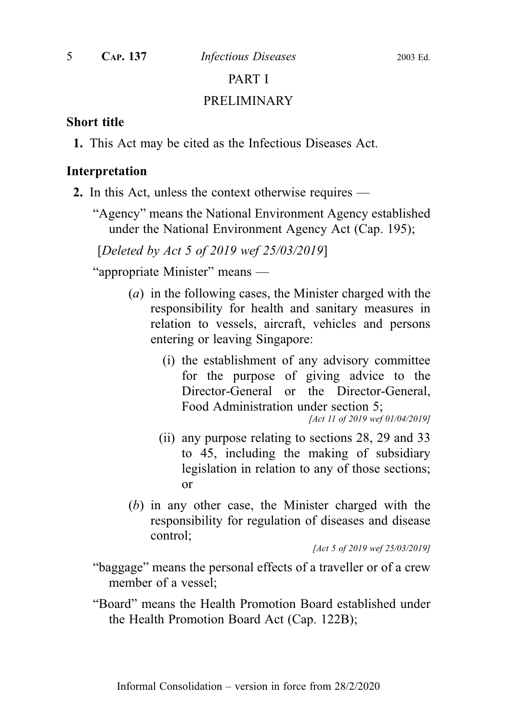#### PART I

#### PRELIMINARY

#### Short title

1. This Act may be cited as the Infectious Diseases Act.

#### Interpretation

- 2. In this Act, unless the context otherwise requires
	- "Agency" means the National Environment Agency established under the National Environment Agency Act (Cap. 195);

[Deleted by Act 5 of 2019 wef 25/03/2019]

"appropriate Minister" means —

- (a) in the following cases, the Minister charged with the responsibility for health and sanitary measures in relation to vessels, aircraft, vehicles and persons entering or leaving Singapore:
	- (i) the establishment of any advisory committee for the purpose of giving advice to the Director-General or the Director-General, Food Administration under section 5;

[Act 11 of 2019 wef 01/04/2019]

- (ii) any purpose relating to sections 28, 29 and 33 to 45, including the making of subsidiary legislation in relation to any of those sections; or
- (b) in any other case, the Minister charged with the responsibility for regulation of diseases and disease control;

[Act 5 of 2019 wef 25/03/2019]

"baggage" means the personal effects of a traveller or of a crew member of a vessel;

"Board" means the Health Promotion Board established under the Health Promotion Board Act (Cap. 122B);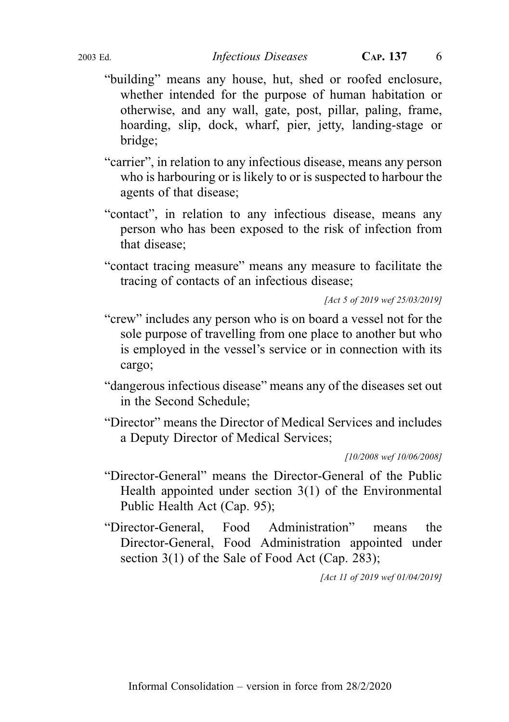- "building" means any house, hut, shed or roofed enclosure, whether intended for the purpose of human habitation or otherwise, and any wall, gate, post, pillar, paling, frame, hoarding, slip, dock, wharf, pier, jetty, landing-stage or bridge;
- "carrier", in relation to any infectious disease, means any person who is harbouring or is likely to or is suspected to harbour the agents of that disease;
- "contact", in relation to any infectious disease, means any person who has been exposed to the risk of infection from that disease;
- "contact tracing measure" means any measure to facilitate the tracing of contacts of an infectious disease;

[Act 5 of 2019 wef 25/03/2019]

- "crew" includes any person who is on board a vessel not for the sole purpose of travelling from one place to another but who is employed in the vessel's service or in connection with its cargo;
- "dangerous infectious disease" means any of the diseases set out in the Second Schedule;
- "Director" means the Director of Medical Services and includes a Deputy Director of Medical Services;

[10/2008 wef 10/06/2008]

- "Director-General" means the Director-General of the Public Health appointed under section 3(1) of the Environmental Public Health Act (Cap. 95);
- "Director-General, Food Administration" means the Director-General, Food Administration appointed under section 3(1) of the Sale of Food Act (Cap. 283);

[Act 11 of 2019 wef 01/04/2019]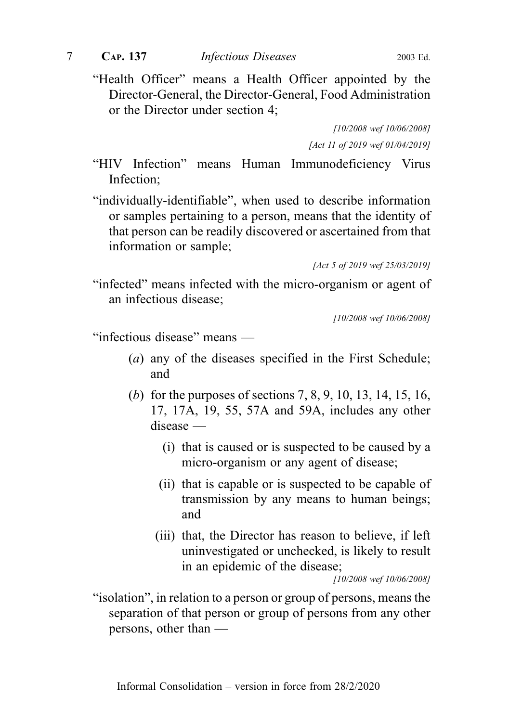"Health Officer" means a Health Officer appointed by the Director-General, the Director-General, Food Administration or the Director under section 4;

> [10/2008 wef 10/06/2008] [Act 11 of 2019 wef 01/04/2019]

"HIV Infection" means Human Immunodeficiency Virus Infection;

"individually-identifiable", when used to describe information or samples pertaining to a person, means that the identity of that person can be readily discovered or ascertained from that information or sample;

[Act 5 of 2019 wef 25/03/2019]

"infected" means infected with the micro-organism or agent of an infectious disease;

[10/2008 wef 10/06/2008]

"infectious disease" means —

- (a) any of the diseases specified in the First Schedule; and
- (b) for the purposes of sections 7, 8, 9, 10, 13, 14, 15, 16, 17, 17A, 19, 55, 57A and 59A, includes any other disease —
	- (i) that is caused or is suspected to be caused by a micro-organism or any agent of disease;
	- (ii) that is capable or is suspected to be capable of transmission by any means to human beings; and
	- (iii) that, the Director has reason to believe, if left uninvestigated or unchecked, is likely to result in an epidemic of the disease;

[10/2008 wef 10/06/2008]

"isolation", in relation to a person or group of persons, means the separation of that person or group of persons from any other persons, other than —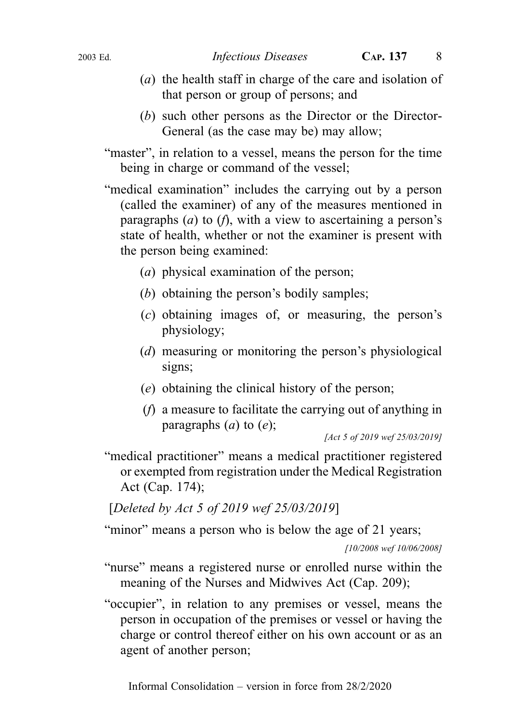- (a) the health staff in charge of the care and isolation of that person or group of persons; and
- (b) such other persons as the Director or the Director-General (as the case may be) may allow;
- "master", in relation to a vessel, means the person for the time being in charge or command of the vessel;
- "medical examination" includes the carrying out by a person (called the examiner) of any of the measures mentioned in paragraphs  $(a)$  to  $(f)$ , with a view to ascertaining a person's state of health, whether or not the examiner is present with the person being examined:
	- (a) physical examination of the person;
	- (b) obtaining the person's bodily samples;
	- (c) obtaining images of, or measuring, the person's physiology;
	- (d) measuring or monitoring the person's physiological signs;
	- (e) obtaining the clinical history of the person;
	- (f) a measure to facilitate the carrying out of anything in paragraphs  $(a)$  to  $(e)$ ;

[Act 5 of 2019 wef 25/03/2019]

"medical practitioner" means a medical practitioner registered or exempted from registration under the Medical Registration Act (Cap. 174);

[Deleted by Act 5 of 2019 wef 25/03/2019]

"minor" means a person who is below the age of 21 years;

[10/2008 wef 10/06/2008]

- "nurse" means a registered nurse or enrolled nurse within the meaning of the Nurses and Midwives Act (Cap. 209);
- "occupier", in relation to any premises or vessel, means the person in occupation of the premises or vessel or having the charge or control thereof either on his own account or as an agent of another person;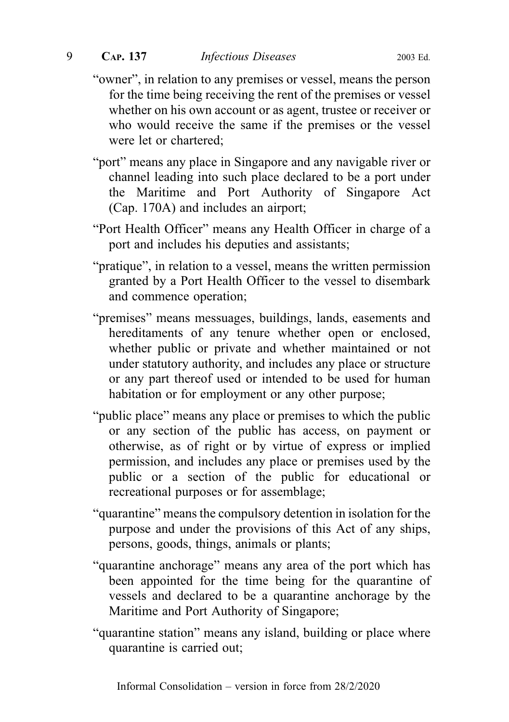- "owner", in relation to any premises or vessel, means the person for the time being receiving the rent of the premises or vessel whether on his own account or as agent, trustee or receiver or who would receive the same if the premises or the vessel were let or chartered;
- "port" means any place in Singapore and any navigable river or channel leading into such place declared to be a port under the Maritime and Port Authority of Singapore Act (Cap. 170A) and includes an airport;
- "Port Health Officer" means any Health Officer in charge of a port and includes his deputies and assistants;
- "pratique", in relation to a vessel, means the written permission granted by a Port Health Officer to the vessel to disembark and commence operation;
- "premises" means messuages, buildings, lands, easements and hereditaments of any tenure whether open or enclosed, whether public or private and whether maintained or not under statutory authority, and includes any place or structure or any part thereof used or intended to be used for human habitation or for employment or any other purpose;
- "public place" means any place or premises to which the public or any section of the public has access, on payment or otherwise, as of right or by virtue of express or implied permission, and includes any place or premises used by the public or a section of the public for educational or recreational purposes or for assemblage;
- "quarantine" means the compulsory detention in isolation for the purpose and under the provisions of this Act of any ships, persons, goods, things, animals or plants;
- "quarantine anchorage" means any area of the port which has been appointed for the time being for the quarantine of vessels and declared to be a quarantine anchorage by the Maritime and Port Authority of Singapore;
- "quarantine station" means any island, building or place where quarantine is carried out;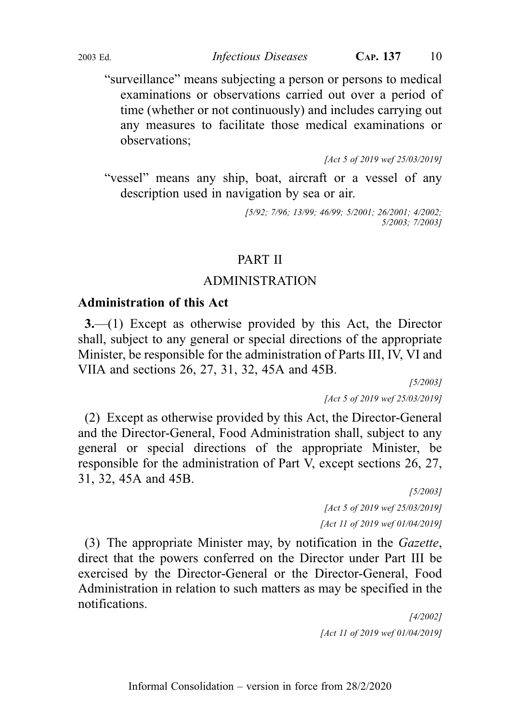"surveillance" means subjecting a person or persons to medical examinations or observations carried out over a period of time (whether or not continuously) and includes carrying out any measures to facilitate those medical examinations or observations;

[Act 5 of 2019 wef 25/03/2019]

"vessel" means any ship, boat, aircraft or a vessel of any description used in navigation by sea or air.

> [5/92; 7/96; 13/99; 46/99; 5/2001; 26/2001; 4/2002; 5/2003; 7/2003]

## PART II

#### ADMINISTRATION

#### Administration of this Act

3.—(1) Except as otherwise provided by this Act, the Director shall, subject to any general or special directions of the appropriate Minister, be responsible for the administration of Parts III, IV, VI and VIIA and sections 26, 27, 31, 32, 45A and 45B.

> [5/2003] [Act 5 of 2019 wef 25/03/2019]

(2) Except as otherwise provided by this Act, the Director-General and the Director-General, Food Administration shall, subject to any general or special directions of the appropriate Minister, be responsible for the administration of Part V, except sections 26, 27, 31, 32, 45A and 45B.

[5/2003] [Act 5 of 2019 wef 25/03/2019] [Act 11 of 2019 wef 01/04/2019]

(3) The appropriate Minister may, by notification in the Gazette, direct that the powers conferred on the Director under Part III be exercised by the Director-General or the Director-General, Food Administration in relation to such matters as may be specified in the notifications.

> [4/2002] [Act 11 of 2019 wef 01/04/2019]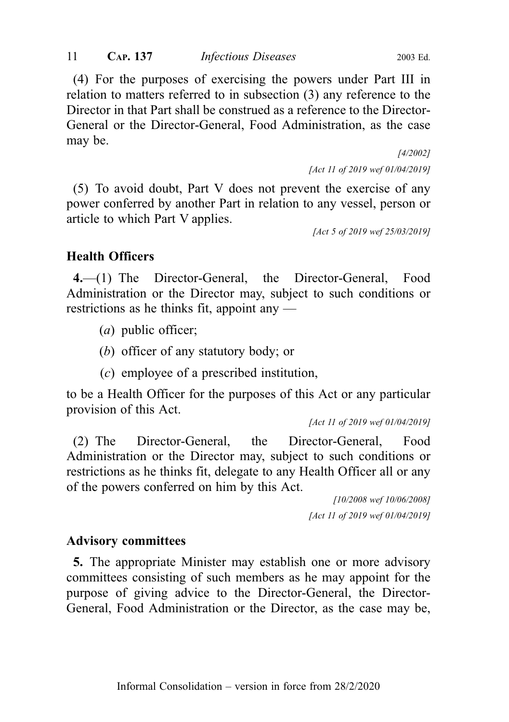(4) For the purposes of exercising the powers under Part III in relation to matters referred to in subsection (3) any reference to the Director in that Part shall be construed as a reference to the Director-General or the Director-General, Food Administration, as the case may be.

> [4/2002] [Act 11 of 2019 wef 01/04/2019]

(5) To avoid doubt, Part V does not prevent the exercise of any power conferred by another Part in relation to any vessel, person or article to which Part V applies.

[Act 5 of 2019 wef 25/03/2019]

## Health Officers

4.—(1) The Director-General, the Director-General, Food Administration or the Director may, subject to such conditions or restrictions as he thinks fit, appoint any —

- (a) public officer;
- (b) officer of any statutory body; or
- (c) employee of a prescribed institution,

to be a Health Officer for the purposes of this Act or any particular provision of this Act.

[Act 11 of 2019 wef 01/04/2019]

(2) The Director-General, the Director-General, Food Administration or the Director may, subject to such conditions or restrictions as he thinks fit, delegate to any Health Officer all or any of the powers conferred on him by this Act.

> [10/2008 wef 10/06/2008] [Act 11 of 2019 wef 01/04/2019]

## Advisory committees

5. The appropriate Minister may establish one or more advisory committees consisting of such members as he may appoint for the purpose of giving advice to the Director-General, the Director-General, Food Administration or the Director, as the case may be,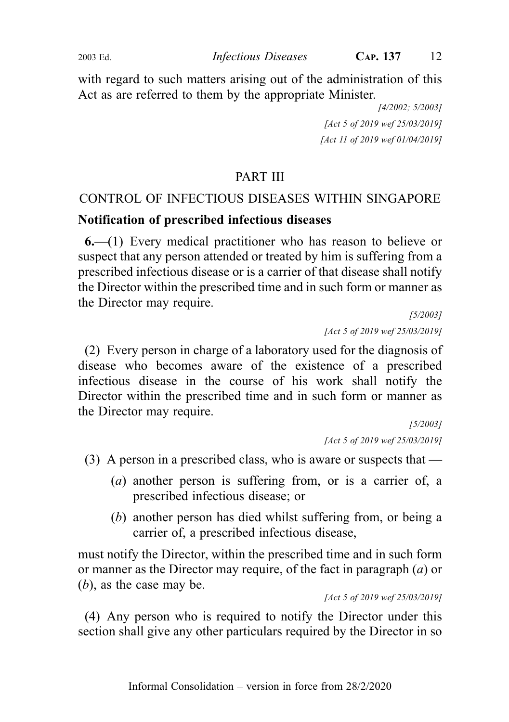with regard to such matters arising out of the administration of this Act as are referred to them by the appropriate Minister.

> [4/2002; 5/2003] [Act 5 of 2019 wef 25/03/2019] [Act 11 of 2019 wef 01/04/2019]

## PART III

## CONTROL OF INFECTIOUS DISEASES WITHIN SINGAPORE

#### Notification of prescribed infectious diseases

6.—(1) Every medical practitioner who has reason to believe or suspect that any person attended or treated by him is suffering from a prescribed infectious disease or is a carrier of that disease shall notify the Director within the prescribed time and in such form or manner as the Director may require.

> [5/2003] [Act 5 of 2019 wef 25/03/2019]

(2) Every person in charge of a laboratory used for the diagnosis of disease who becomes aware of the existence of a prescribed infectious disease in the course of his work shall notify the Director within the prescribed time and in such form or manner as the Director may require.

[5/2003] [Act 5 of 2019 wef 25/03/2019]

(3) A person in a prescribed class, who is aware or suspects that —

- (a) another person is suffering from, or is a carrier of, a prescribed infectious disease; or
- (b) another person has died whilst suffering from, or being a carrier of, a prescribed infectious disease,

must notify the Director, within the prescribed time and in such form or manner as the Director may require, of the fact in paragraph  $(a)$  or  $(b)$ , as the case may be.

[Act 5 of 2019 wef 25/03/2019]

(4) Any person who is required to notify the Director under this section shall give any other particulars required by the Director in so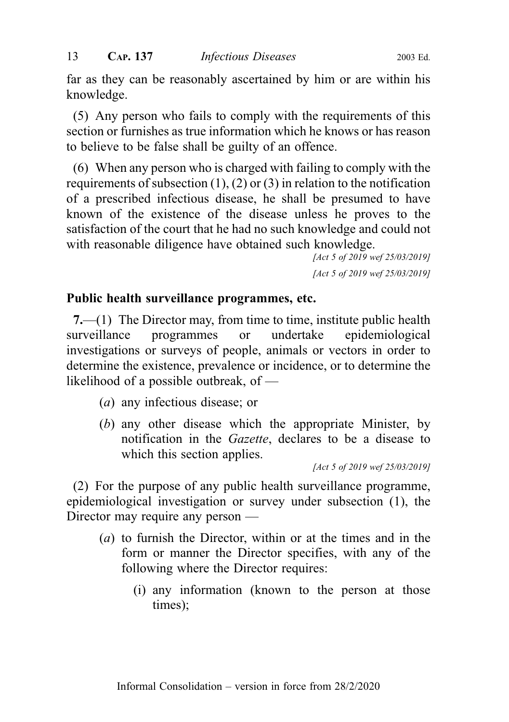far as they can be reasonably ascertained by him or are within his knowledge.

(5) Any person who fails to comply with the requirements of this section or furnishes as true information which he knows or has reason to believe to be false shall be guilty of an offence.

(6) When any person who is charged with failing to comply with the requirements of subsection  $(1)$ ,  $(2)$  or  $(3)$  in relation to the notification of a prescribed infectious disease, he shall be presumed to have known of the existence of the disease unless he proves to the satisfaction of the court that he had no such knowledge and could not with reasonable diligence have obtained such knowledge.

[Act 5 of 2019 wef 25/03/2019] [Act 5 of 2019 wef 25/03/2019]

## Public health surveillance programmes, etc.

7.—(1) The Director may, from time to time, institute public health surveillance programmes or undertake epidemiological investigations or surveys of people, animals or vectors in order to determine the existence, prevalence or incidence, or to determine the likelihood of a possible outbreak, of —

- (a) any infectious disease; or
- (b) any other disease which the appropriate Minister, by notification in the Gazette, declares to be a disease to which this section applies.

[Act 5 of 2019 wef 25/03/2019]

(2) For the purpose of any public health surveillance programme, epidemiological investigation or survey under subsection (1), the Director may require any person —

- (a) to furnish the Director, within or at the times and in the form or manner the Director specifies, with any of the following where the Director requires:
	- (i) any information (known to the person at those times);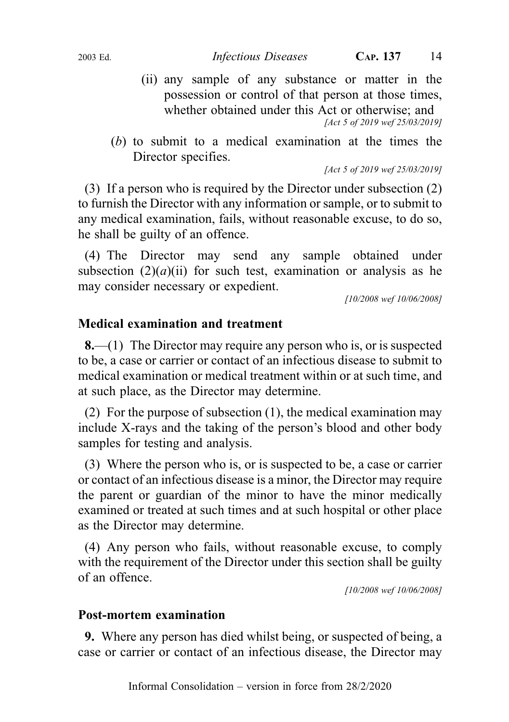- (ii) any sample of any substance or matter in the possession or control of that person at those times, whether obtained under this Act or otherwise; and [Act 5 of 2019 wef 25/03/2019]
- (b) to submit to a medical examination at the times the Director specifies.

[Act 5 of 2019 wef 25/03/2019]

(3) If a person who is required by the Director under subsection (2) to furnish the Director with any information or sample, or to submit to any medical examination, fails, without reasonable excuse, to do so, he shall be guilty of an offence.

(4) The Director may send any sample obtained under subsection  $(2)(a)(ii)$  for such test, examination or analysis as he may consider necessary or expedient.

[10/2008 wef 10/06/2008]

## Medical examination and treatment

8.—(1) The Director may require any person who is, or is suspected to be, a case or carrier or contact of an infectious disease to submit to medical examination or medical treatment within or at such time, and at such place, as the Director may determine.

(2) For the purpose of subsection (1), the medical examination may include X-rays and the taking of the person's blood and other body samples for testing and analysis.

(3) Where the person who is, or is suspected to be, a case or carrier or contact of an infectious disease is a minor, the Director may require the parent or guardian of the minor to have the minor medically examined or treated at such times and at such hospital or other place as the Director may determine.

(4) Any person who fails, without reasonable excuse, to comply with the requirement of the Director under this section shall be guilty of an offence.

[10/2008 wef 10/06/2008]

#### Post-mortem examination

9. Where any person has died whilst being, or suspected of being, a case or carrier or contact of an infectious disease, the Director may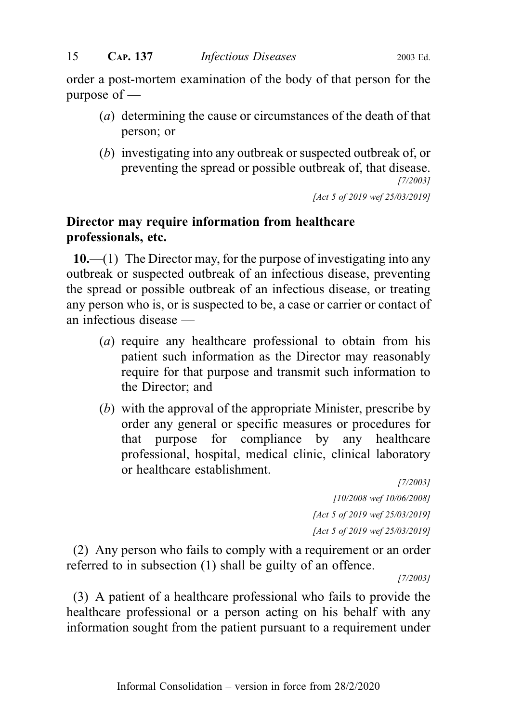order a post-mortem examination of the body of that person for the purpose of —

- (a) determining the cause or circumstances of the death of that person; or
- (b) investigating into any outbreak or suspected outbreak of, or preventing the spread or possible outbreak of, that disease. [7/2003]

[Act 5 of 2019 wef 25/03/2019]

## Director may require information from healthcare professionals, etc.

 $10$ .—(1) The Director may, for the purpose of investigating into any outbreak or suspected outbreak of an infectious disease, preventing the spread or possible outbreak of an infectious disease, or treating any person who is, or is suspected to be, a case or carrier or contact of an infectious disease —

- (a) require any healthcare professional to obtain from his patient such information as the Director may reasonably require for that purpose and transmit such information to the Director; and
- (b) with the approval of the appropriate Minister, prescribe by order any general or specific measures or procedures for that purpose for compliance by any healthcare professional, hospital, medical clinic, clinical laboratory or healthcare establishment.

[7/2003] [10/2008 wef 10/06/2008] [Act 5 of 2019 wef 25/03/2019] [Act 5 of 2019 wef 25/03/2019]

(2) Any person who fails to comply with a requirement or an order referred to in subsection (1) shall be guilty of an offence.

[7/2003]

(3) A patient of a healthcare professional who fails to provide the healthcare professional or a person acting on his behalf with any information sought from the patient pursuant to a requirement under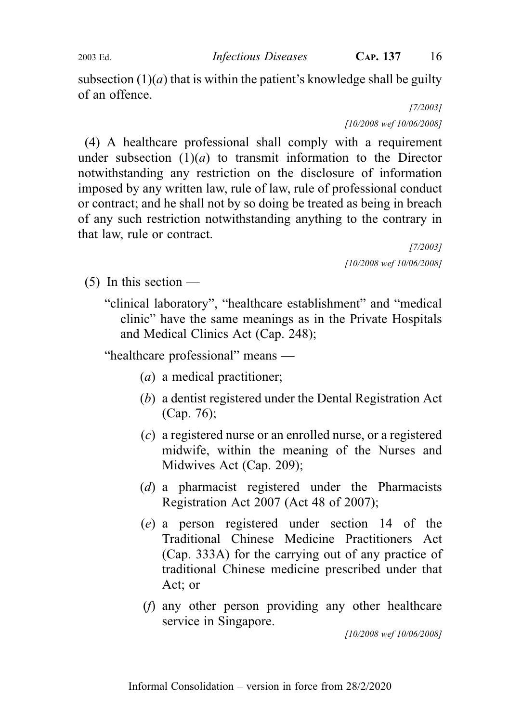subsection  $(1)(a)$  that is within the patient's knowledge shall be guilty of an offence.

> [7/2003] [10/2008 wef 10/06/2008]

(4) A healthcare professional shall comply with a requirement under subsection  $(1)(a)$  to transmit information to the Director notwithstanding any restriction on the disclosure of information imposed by any written law, rule of law, rule of professional conduct or contract; and he shall not by so doing be treated as being in breach of any such restriction notwithstanding anything to the contrary in that law, rule or contract.

[7/2003] [10/2008 wef 10/06/2008]

 $(5)$  In this section —

"clinical laboratory", "healthcare establishment" and "medical clinic" have the same meanings as in the Private Hospitals and Medical Clinics Act (Cap. 248);

"healthcare professional" means —

- (a) a medical practitioner;
- (b) a dentist registered under the Dental Registration Act (Cap. 76);
- (c) a registered nurse or an enrolled nurse, or a registered midwife, within the meaning of the Nurses and Midwives Act (Cap. 209);
- (d) a pharmacist registered under the Pharmacists Registration Act 2007 (Act 48 of 2007);
- (e) a person registered under section 14 of the Traditional Chinese Medicine Practitioners Act (Cap. 333A) for the carrying out of any practice of traditional Chinese medicine prescribed under that Act; or
- (f) any other person providing any other healthcare service in Singapore.

[10/2008 wef 10/06/2008]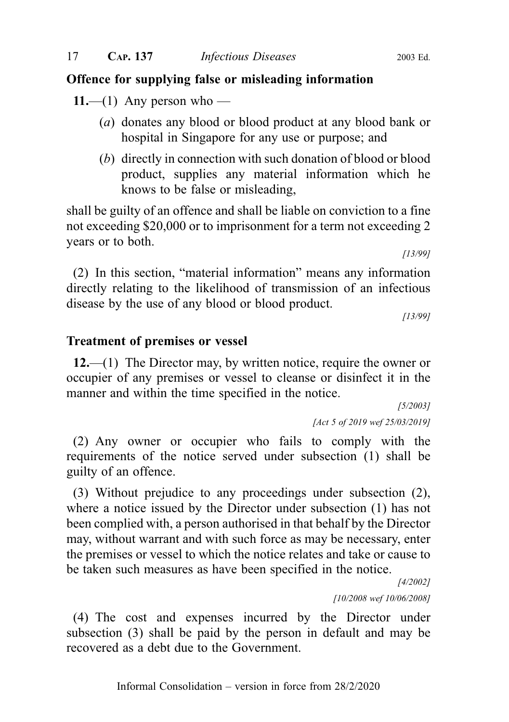## Offence for supplying false or misleading information

11.—(1) Any person who —

- (a) donates any blood or blood product at any blood bank or hospital in Singapore for any use or purpose; and
- (b) directly in connection with such donation of blood or blood product, supplies any material information which he knows to be false or misleading,

shall be guilty of an offence and shall be liable on conviction to a fine not exceeding \$20,000 or to imprisonment for a term not exceeding 2 years or to both.

[13/99]

(2) In this section, "material information" means any information directly relating to the likelihood of transmission of an infectious disease by the use of any blood or blood product.

[13/99]

#### Treatment of premises or vessel

12.—(1) The Director may, by written notice, require the owner or occupier of any premises or vessel to cleanse or disinfect it in the manner and within the time specified in the notice.

> [5/2003] [Act 5 of 2019 wef 25/03/2019]

(2) Any owner or occupier who fails to comply with the requirements of the notice served under subsection (1) shall be guilty of an offence.

(3) Without prejudice to any proceedings under subsection (2), where a notice issued by the Director under subsection (1) has not been complied with, a person authorised in that behalf by the Director may, without warrant and with such force as may be necessary, enter the premises or vessel to which the notice relates and take or cause to be taken such measures as have been specified in the notice.

> [4/2002] [10/2008 wef 10/06/2008]

(4) The cost and expenses incurred by the Director under subsection (3) shall be paid by the person in default and may be recovered as a debt due to the Government.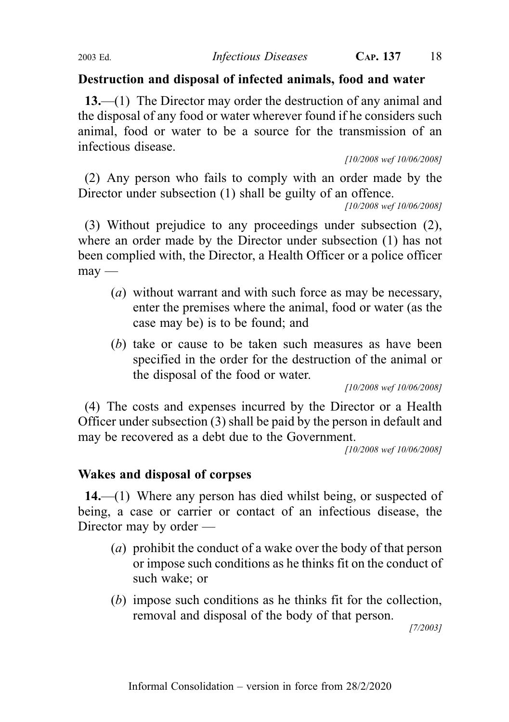## Destruction and disposal of infected animals, food and water

13.—(1) The Director may order the destruction of any animal and the disposal of any food or water wherever found if he considers such animal, food or water to be a source for the transmission of an infectious disease.

[10/2008 wef 10/06/2008]

(2) Any person who fails to comply with an order made by the Director under subsection (1) shall be guilty of an offence.

[10/2008 wef 10/06/2008]

(3) Without prejudice to any proceedings under subsection (2), where an order made by the Director under subsection (1) has not been complied with, the Director, a Health Officer or a police officer  $may$ —

- (a) without warrant and with such force as may be necessary, enter the premises where the animal, food or water (as the case may be) is to be found; and
- (b) take or cause to be taken such measures as have been specified in the order for the destruction of the animal or the disposal of the food or water.

[10/2008 wef 10/06/2008]

(4) The costs and expenses incurred by the Director or a Health Officer under subsection (3) shall be paid by the person in default and may be recovered as a debt due to the Government.

[10/2008 wef 10/06/2008]

## Wakes and disposal of corpses

14.—(1) Where any person has died whilst being, or suspected of being, a case or carrier or contact of an infectious disease, the Director may by order —

- (a) prohibit the conduct of a wake over the body of that person or impose such conditions as he thinks fit on the conduct of such wake; or
- (b) impose such conditions as he thinks fit for the collection, removal and disposal of the body of that person.

[7/2003]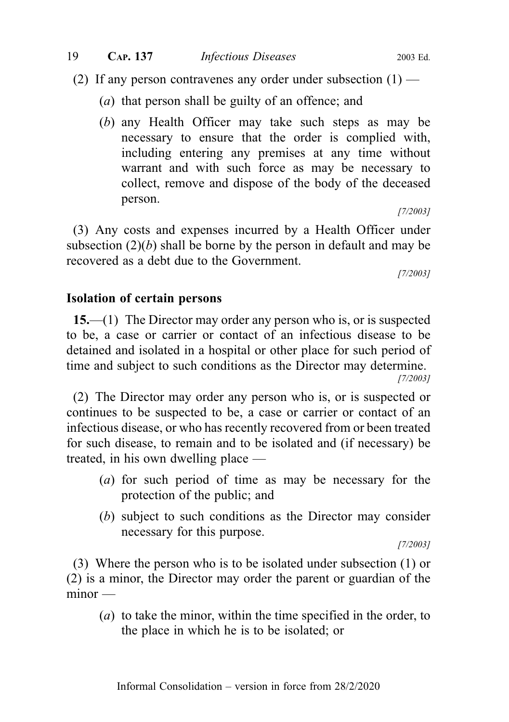(2) If any person contravenes any order under subsection  $(1)$  —

- (a) that person shall be guilty of an offence; and
- (b) any Health Officer may take such steps as may be necessary to ensure that the order is complied with, including entering any premises at any time without warrant and with such force as may be necessary to collect, remove and dispose of the body of the deceased person.

[7/2003]

(3) Any costs and expenses incurred by a Health Officer under subsection  $(2)(b)$  shall be borne by the person in default and may be recovered as a debt due to the Government.

[7/2003]

#### Isolation of certain persons

15.—(1) The Director may order any person who is, or is suspected to be, a case or carrier or contact of an infectious disease to be detained and isolated in a hospital or other place for such period of time and subject to such conditions as the Director may determine. [7/2003]

(2) The Director may order any person who is, or is suspected or continues to be suspected to be, a case or carrier or contact of an infectious disease, or who has recently recovered from or been treated for such disease, to remain and to be isolated and (if necessary) be treated, in his own dwelling place —

- (a) for such period of time as may be necessary for the protection of the public; and
- (b) subject to such conditions as the Director may consider necessary for this purpose.

[7/2003]

(3) Where the person who is to be isolated under subsection (1) or (2) is a minor, the Director may order the parent or guardian of the  $minor -$ 

(a) to take the minor, within the time specified in the order, to the place in which he is to be isolated; or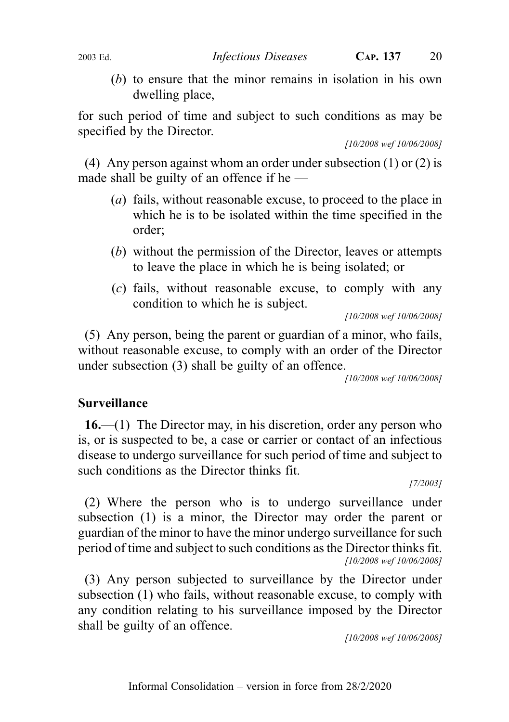(b) to ensure that the minor remains in isolation in his own dwelling place,

for such period of time and subject to such conditions as may be specified by the Director.

[10/2008 wef 10/06/2008]

(4) Any person against whom an order under subsection  $(1)$  or  $(2)$  is made shall be guilty of an offence if he  $-$ 

- (a) fails, without reasonable excuse, to proceed to the place in which he is to be isolated within the time specified in the order;
- (b) without the permission of the Director, leaves or attempts to leave the place in which he is being isolated; or
- (c) fails, without reasonable excuse, to comply with any condition to which he is subject.

[10/2008 wef 10/06/2008]

(5) Any person, being the parent or guardian of a minor, who fails, without reasonable excuse, to comply with an order of the Director under subsection (3) shall be guilty of an offence.

[10/2008 wef 10/06/2008]

## Surveillance

16.—(1) The Director may, in his discretion, order any person who is, or is suspected to be, a case or carrier or contact of an infectious disease to undergo surveillance for such period of time and subject to such conditions as the Director thinks fit.

[7/2003]

(2) Where the person who is to undergo surveillance under subsection (1) is a minor, the Director may order the parent or guardian of the minor to have the minor undergo surveillance for such period of time and subject to such conditions as the Director thinks fit. [10/2008 wef 10/06/2008]

(3) Any person subjected to surveillance by the Director under subsection (1) who fails, without reasonable excuse, to comply with any condition relating to his surveillance imposed by the Director shall be guilty of an offence.

[10/2008 wef 10/06/2008]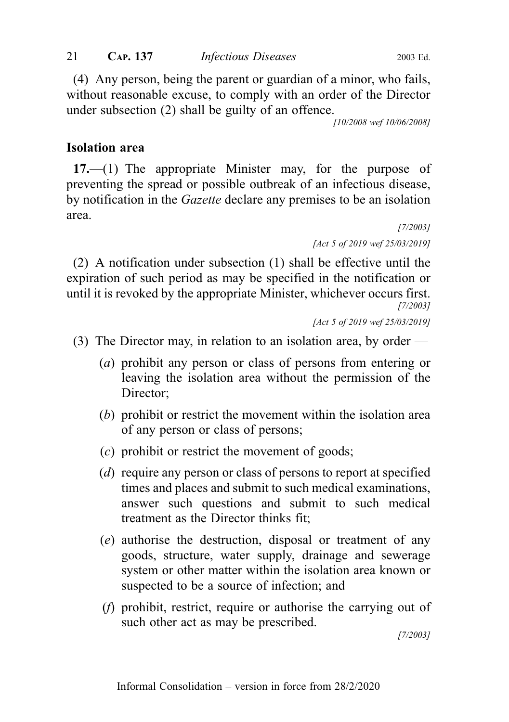(4) Any person, being the parent or guardian of a minor, who fails, without reasonable excuse, to comply with an order of the Director under subsection (2) shall be guilty of an offence.

[10/2008 wef 10/06/2008]

## Isolation area

17.—(1) The appropriate Minister may, for the purpose of preventing the spread or possible outbreak of an infectious disease, by notification in the Gazette declare any premises to be an isolation area.

> [7/2003] [Act 5 of 2019 wef 25/03/2019]

(2) A notification under subsection (1) shall be effective until the expiration of such period as may be specified in the notification or until it is revoked by the appropriate Minister, whichever occurs first. [7/2003]

```
[Act 5 of 2019 wef 25/03/2019]
```
- (3) The Director may, in relation to an isolation area, by order
	- (a) prohibit any person or class of persons from entering or leaving the isolation area without the permission of the Director;
	- (b) prohibit or restrict the movement within the isolation area of any person or class of persons;
	- (c) prohibit or restrict the movement of goods;
	- (d) require any person or class of persons to report at specified times and places and submit to such medical examinations, answer such questions and submit to such medical treatment as the Director thinks fit;
	- (e) authorise the destruction, disposal or treatment of any goods, structure, water supply, drainage and sewerage system or other matter within the isolation area known or suspected to be a source of infection; and
	- (f) prohibit, restrict, require or authorise the carrying out of such other act as may be prescribed.

[7/2003]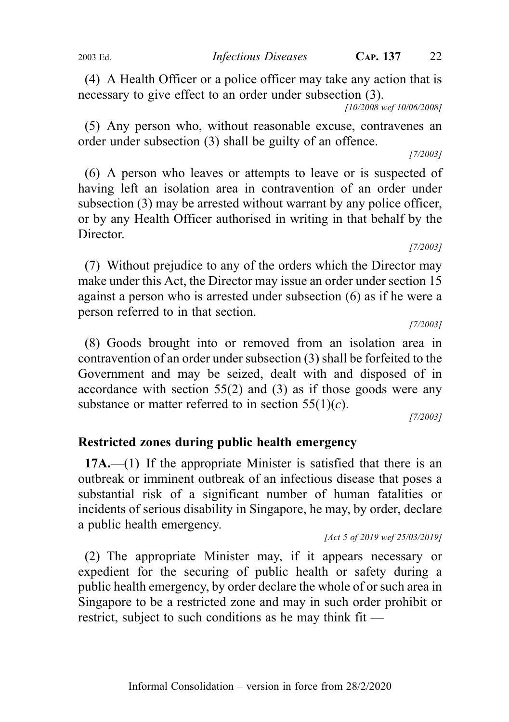(4) A Health Officer or a police officer may take any action that is necessary to give effect to an order under subsection (3).

[10/2008 wef 10/06/2008]

(5) Any person who, without reasonable excuse, contravenes an order under subsection (3) shall be guilty of an offence.

[7/2003]

(6) A person who leaves or attempts to leave or is suspected of having left an isolation area in contravention of an order under subsection (3) may be arrested without warrant by any police officer, or by any Health Officer authorised in writing in that behalf by the Director.

(7) Without prejudice to any of the orders which the Director may make under this Act, the Director may issue an order under section 15 against a person who is arrested under subsection (6) as if he were a person referred to in that section.

[7/2003]

[7/2003]

(8) Goods brought into or removed from an isolation area in contravention of an order under subsection (3) shall be forfeited to the Government and may be seized, dealt with and disposed of in accordance with section 55(2) and (3) as if those goods were any substance or matter referred to in section  $55(1)(c)$ .

[7/2003]

## Restricted zones during public health emergency

17A.—(1) If the appropriate Minister is satisfied that there is an outbreak or imminent outbreak of an infectious disease that poses a substantial risk of a significant number of human fatalities or incidents of serious disability in Singapore, he may, by order, declare a public health emergency.

[Act 5 of 2019 wef 25/03/2019]

(2) The appropriate Minister may, if it appears necessary or expedient for the securing of public health or safety during a public health emergency, by order declare the whole of or such area in Singapore to be a restricted zone and may in such order prohibit or restrict, subject to such conditions as he may think fit —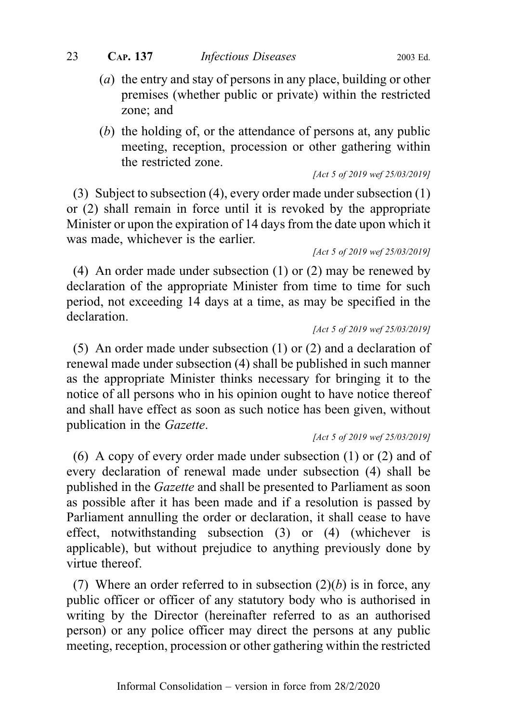#### 23 **CAP. 137** *Infectious Diseases* 2003 Ed.

- (a) the entry and stay of persons in any place, building or other premises (whether public or private) within the restricted zone; and
- (b) the holding of, or the attendance of persons at, any public meeting, reception, procession or other gathering within the restricted zone.

[Act 5 of 2019 wef 25/03/2019]

(3) Subject to subsection (4), every order made under subsection (1) or (2) shall remain in force until it is revoked by the appropriate Minister or upon the expiration of 14 days from the date upon which it was made, whichever is the earlier.

[Act 5 of 2019 wef 25/03/2019]

(4) An order made under subsection (1) or (2) may be renewed by declaration of the appropriate Minister from time to time for such period, not exceeding 14 days at a time, as may be specified in the declaration.

```
[Act 5 of 2019 wef 25/03/2019]
```
(5) An order made under subsection (1) or (2) and a declaration of renewal made under subsection (4) shall be published in such manner as the appropriate Minister thinks necessary for bringing it to the notice of all persons who in his opinion ought to have notice thereof and shall have effect as soon as such notice has been given, without publication in the Gazette.

[Act 5 of 2019 wef 25/03/2019]

(6) A copy of every order made under subsection (1) or (2) and of every declaration of renewal made under subsection (4) shall be published in the Gazette and shall be presented to Parliament as soon as possible after it has been made and if a resolution is passed by Parliament annulling the order or declaration, it shall cease to have effect, notwithstanding subsection (3) or (4) (whichever is applicable), but without prejudice to anything previously done by virtue thereof.

(7) Where an order referred to in subsection  $(2)(b)$  is in force, any public officer or officer of any statutory body who is authorised in writing by the Director (hereinafter referred to as an authorised person) or any police officer may direct the persons at any public meeting, reception, procession or other gathering within the restricted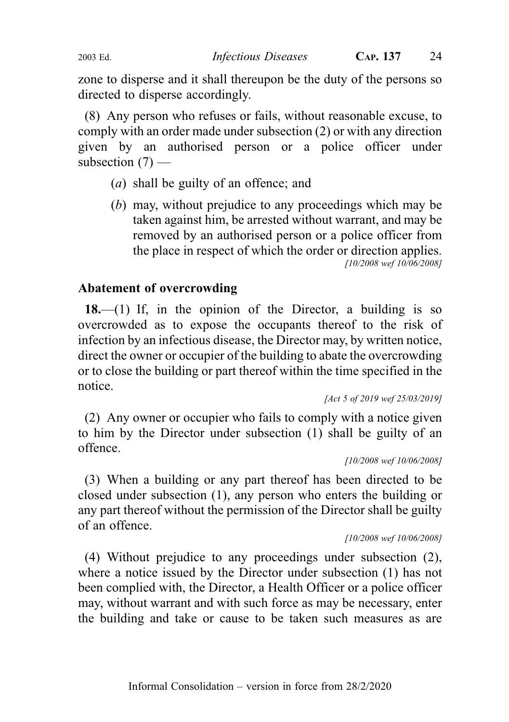zone to disperse and it shall thereupon be the duty of the persons so directed to disperse accordingly.

(8) Any person who refuses or fails, without reasonable excuse, to comply with an order made under subsection (2) or with any direction given by an authorised person or a police officer under subsection  $(7)$  —

- (a) shall be guilty of an offence; and
- (b) may, without prejudice to any proceedings which may be taken against him, be arrested without warrant, and may be removed by an authorised person or a police officer from the place in respect of which the order or direction applies. [10/2008 wef 10/06/2008]

## Abatement of overcrowding

18.—(1) If, in the opinion of the Director, a building is so overcrowded as to expose the occupants thereof to the risk of infection by an infectious disease, the Director may, by written notice, direct the owner or occupier of the building to abate the overcrowding or to close the building or part thereof within the time specified in the notice.

```
[Act 5 of 2019 wef 25/03/2019]
```
(2) Any owner or occupier who fails to comply with a notice given to him by the Director under subsection (1) shall be guilty of an offence.

```
[10/2008 wef 10/06/2008]
```
(3) When a building or any part thereof has been directed to be closed under subsection (1), any person who enters the building or any part thereof without the permission of the Director shall be guilty of an offence.

[10/2008 wef 10/06/2008]

(4) Without prejudice to any proceedings under subsection (2), where a notice issued by the Director under subsection (1) has not been complied with, the Director, a Health Officer or a police officer may, without warrant and with such force as may be necessary, enter the building and take or cause to be taken such measures as are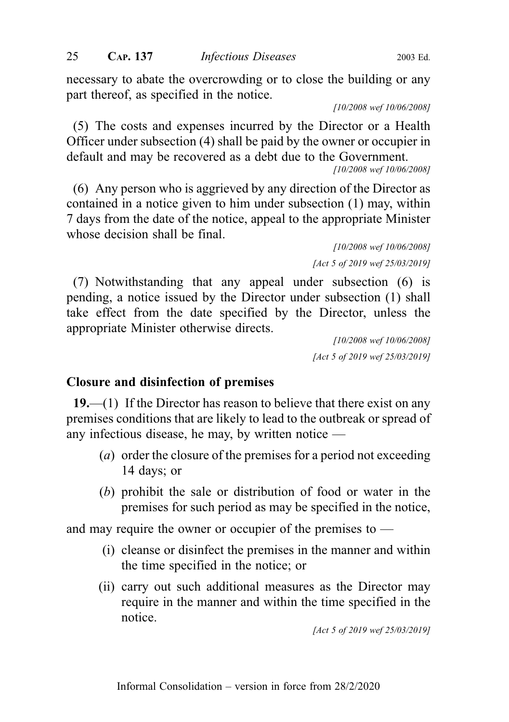necessary to abate the overcrowding or to close the building or any part thereof, as specified in the notice.

[10/2008 wef 10/06/2008]

(5) The costs and expenses incurred by the Director or a Health Officer under subsection (4) shall be paid by the owner or occupier in default and may be recovered as a debt due to the Government.

[10/2008 wef 10/06/2008]

(6) Any person who is aggrieved by any direction of the Director as contained in a notice given to him under subsection (1) may, within 7 days from the date of the notice, appeal to the appropriate Minister whose decision shall be final.

> [10/2008 wef 10/06/2008] [Act 5 of 2019 wef 25/03/2019]

(7) Notwithstanding that any appeal under subsection (6) is pending, a notice issued by the Director under subsection (1) shall take effect from the date specified by the Director, unless the appropriate Minister otherwise directs.

> [10/2008 wef 10/06/2008] [Act 5 of 2019 wef 25/03/2019]

#### Closure and disinfection of premises

19.—(1) If the Director has reason to believe that there exist on any premises conditions that are likely to lead to the outbreak or spread of any infectious disease, he may, by written notice —

- (a) order the closure of the premises for a period not exceeding 14 days; or
- (b) prohibit the sale or distribution of food or water in the premises for such period as may be specified in the notice,

and may require the owner or occupier of the premises to —

- (i) cleanse or disinfect the premises in the manner and within the time specified in the notice; or
- (ii) carry out such additional measures as the Director may require in the manner and within the time specified in the notice.

[Act 5 of 2019 wef 25/03/2019]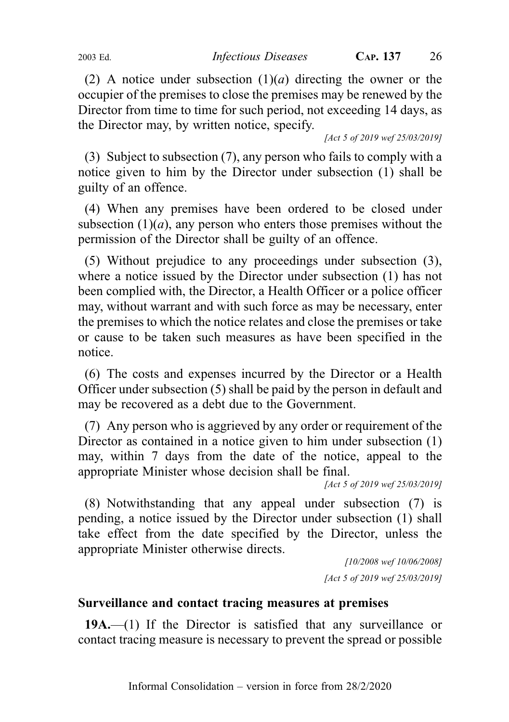(2) A notice under subsection  $(1)(a)$  directing the owner or the occupier of the premises to close the premises may be renewed by the Director from time to time for such period, not exceeding 14 days, as the Director may, by written notice, specify.

[Act 5 of 2019 wef 25/03/2019]

(3) Subject to subsection (7), any person who fails to comply with a notice given to him by the Director under subsection (1) shall be guilty of an offence.

(4) When any premises have been ordered to be closed under subsection  $(1)(a)$ , any person who enters those premises without the permission of the Director shall be guilty of an offence.

(5) Without prejudice to any proceedings under subsection (3), where a notice issued by the Director under subsection (1) has not been complied with, the Director, a Health Officer or a police officer may, without warrant and with such force as may be necessary, enter the premises to which the notice relates and close the premises or take or cause to be taken such measures as have been specified in the notice.

(6) The costs and expenses incurred by the Director or a Health Officer under subsection (5) shall be paid by the person in default and may be recovered as a debt due to the Government.

(7) Any person who is aggrieved by any order or requirement of the Director as contained in a notice given to him under subsection (1) may, within 7 days from the date of the notice, appeal to the appropriate Minister whose decision shall be final.

[Act 5 of 2019 wef 25/03/2019]

(8) Notwithstanding that any appeal under subsection (7) is pending, a notice issued by the Director under subsection (1) shall take effect from the date specified by the Director, unless the appropriate Minister otherwise directs.

> [10/2008 wef 10/06/2008] [Act 5 of 2019 wef 25/03/2019]

## Surveillance and contact tracing measures at premises

19A.—(1) If the Director is satisfied that any surveillance or contact tracing measure is necessary to prevent the spread or possible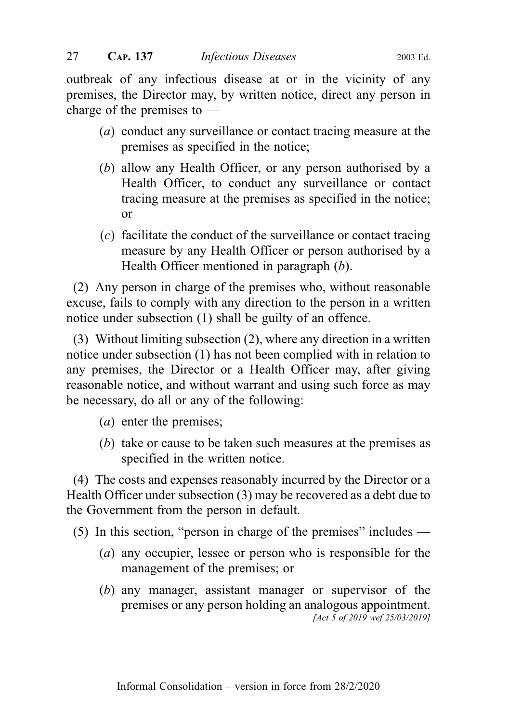outbreak of any infectious disease at or in the vicinity of any premises, the Director may, by written notice, direct any person in charge of the premises to —

- (a) conduct any surveillance or contact tracing measure at the premises as specified in the notice;
- (b) allow any Health Officer, or any person authorised by a Health Officer, to conduct any surveillance or contact tracing measure at the premises as specified in the notice; or
- (c) facilitate the conduct of the surveillance or contact tracing measure by any Health Officer or person authorised by a Health Officer mentioned in paragraph (b).

(2) Any person in charge of the premises who, without reasonable excuse, fails to comply with any direction to the person in a written notice under subsection (1) shall be guilty of an offence.

(3) Without limiting subsection (2), where any direction in a written notice under subsection (1) has not been complied with in relation to any premises, the Director or a Health Officer may, after giving reasonable notice, and without warrant and using such force as may be necessary, do all or any of the following:

- (a) enter the premises;
- (b) take or cause to be taken such measures at the premises as specified in the written notice.

(4) The costs and expenses reasonably incurred by the Director or a Health Officer under subsection (3) may be recovered as a debt due to the Government from the person in default.

(5) In this section, "person in charge of the premises" includes —

- (a) any occupier, lessee or person who is responsible for the management of the premises; or
- (b) any manager, assistant manager or supervisor of the premises or any person holding an analogous appointment. [Act 5 of 2019 wef 25/03/2019]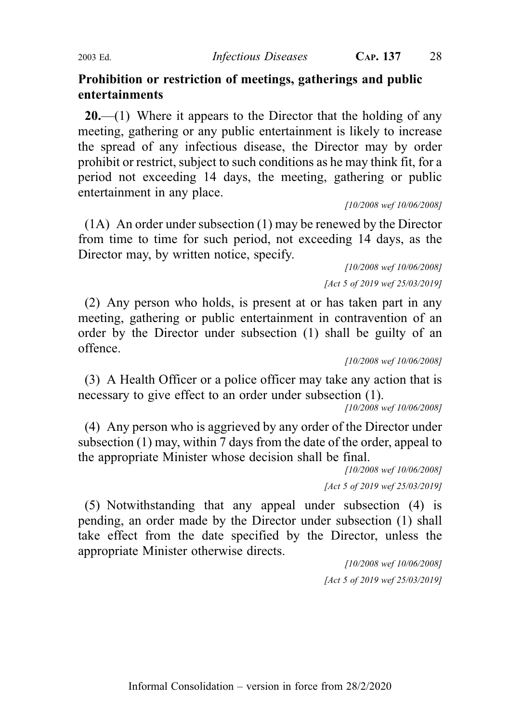## Prohibition or restriction of meetings, gatherings and public entertainments

 $20$ —(1) Where it appears to the Director that the holding of any meeting, gathering or any public entertainment is likely to increase the spread of any infectious disease, the Director may by order prohibit or restrict, subject to such conditions as he may think fit, for a period not exceeding 14 days, the meeting, gathering or public entertainment in any place.

[10/2008 wef 10/06/2008]

(1A) An order under subsection (1) may be renewed by the Director from time to time for such period, not exceeding 14 days, as the Director may, by written notice, specify.

[10/2008 wef 10/06/2008] [Act 5 of 2019 wef 25/03/2019]

(2) Any person who holds, is present at or has taken part in any meeting, gathering or public entertainment in contravention of an order by the Director under subsection (1) shall be guilty of an offence.

[10/2008 wef 10/06/2008]

(3) A Health Officer or a police officer may take any action that is necessary to give effect to an order under subsection (1).

[10/2008 wef 10/06/2008]

(4) Any person who is aggrieved by any order of the Director under subsection (1) may, within 7 days from the date of the order, appeal to the appropriate Minister whose decision shall be final.

> [10/2008 wef 10/06/2008] [Act 5 of 2019 wef 25/03/2019]

(5) Notwithstanding that any appeal under subsection (4) is pending, an order made by the Director under subsection (1) shall take effect from the date specified by the Director, unless the appropriate Minister otherwise directs.

> [10/2008 wef 10/06/2008] [Act 5 of 2019 wef 25/03/2019]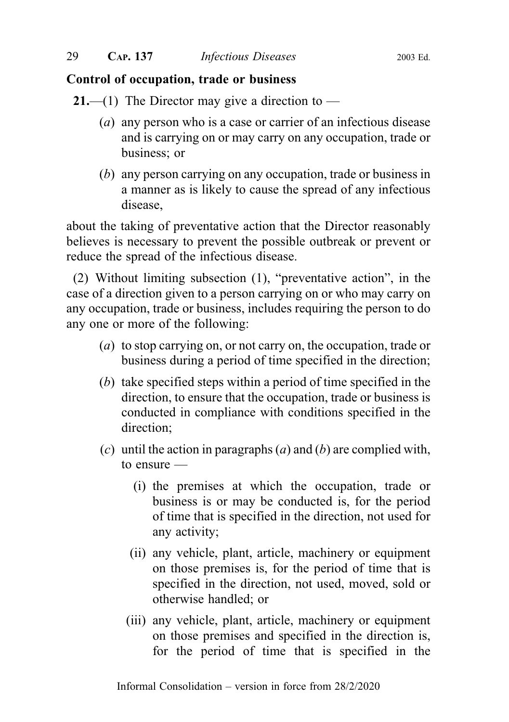## Control of occupation, trade or business

**21.**—(1) The Director may give a direction to —

- (a) any person who is a case or carrier of an infectious disease and is carrying on or may carry on any occupation, trade or business; or
- (b) any person carrying on any occupation, trade or business in a manner as is likely to cause the spread of any infectious disease,

about the taking of preventative action that the Director reasonably believes is necessary to prevent the possible outbreak or prevent or reduce the spread of the infectious disease.

(2) Without limiting subsection (1), "preventative action", in the case of a direction given to a person carrying on or who may carry on any occupation, trade or business, includes requiring the person to do any one or more of the following:

- (a) to stop carrying on, or not carry on, the occupation, trade or business during a period of time specified in the direction;
- (b) take specified steps within a period of time specified in the direction, to ensure that the occupation, trade or business is conducted in compliance with conditions specified in the direction;
- (c) until the action in paragraphs (a) and (b) are complied with, to ensure —
	- (i) the premises at which the occupation, trade or business is or may be conducted is, for the period of time that is specified in the direction, not used for any activity;
	- (ii) any vehicle, plant, article, machinery or equipment on those premises is, for the period of time that is specified in the direction, not used, moved, sold or otherwise handled; or
	- (iii) any vehicle, plant, article, machinery or equipment on those premises and specified in the direction is, for the period of time that is specified in the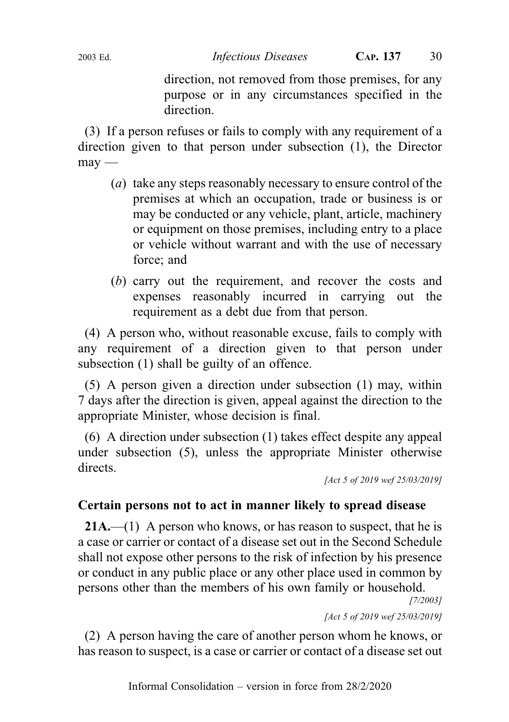direction, not removed from those premises, for any purpose or in any circumstances specified in the direction.

(3) If a person refuses or fails to comply with any requirement of a direction given to that person under subsection (1), the Director  $m$ ay —

- (a) take any steps reasonably necessary to ensure control of the premises at which an occupation, trade or business is or may be conducted or any vehicle, plant, article, machinery or equipment on those premises, including entry to a place or vehicle without warrant and with the use of necessary force; and
- (b) carry out the requirement, and recover the costs and expenses reasonably incurred in carrying out the requirement as a debt due from that person.

(4) A person who, without reasonable excuse, fails to comply with any requirement of a direction given to that person under subsection (1) shall be guilty of an offence.

(5) A person given a direction under subsection (1) may, within 7 days after the direction is given, appeal against the direction to the appropriate Minister, whose decision is final.

(6) A direction under subsection (1) takes effect despite any appeal under subsection (5), unless the appropriate Minister otherwise directs.

```
[Act 5 of 2019 wef 25/03/2019]
```
## Certain persons not to act in manner likely to spread disease

**21A.**—(1) A person who knows, or has reason to suspect, that he is a case or carrier or contact of a disease set out in the Second Schedule shall not expose other persons to the risk of infection by his presence or conduct in any public place or any other place used in common by persons other than the members of his own family or household.

[7/2003]

[Act 5 of 2019 wef 25/03/2019]

(2) A person having the care of another person whom he knows, or has reason to suspect, is a case or carrier or contact of a disease set out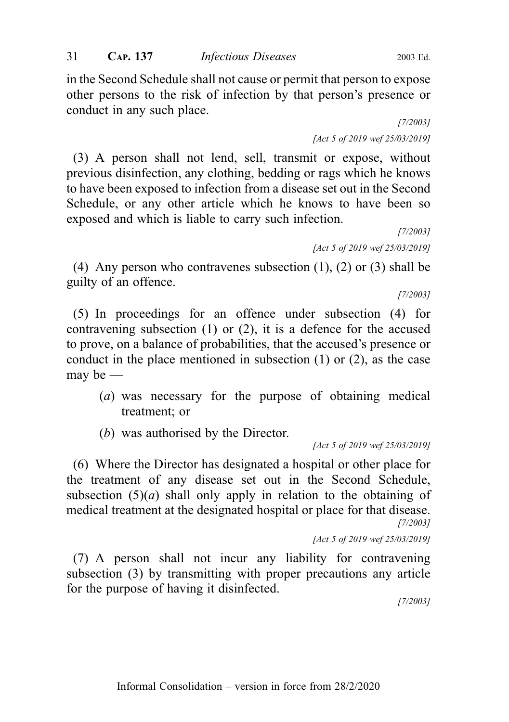in the Second Schedule shall not cause or permit that person to expose other persons to the risk of infection by that person's presence or conduct in any such place.

> [7/2003] [Act 5 of 2019 wef 25/03/2019]

(3) A person shall not lend, sell, transmit or expose, without previous disinfection, any clothing, bedding or rags which he knows to have been exposed to infection from a disease set out in the Second Schedule, or any other article which he knows to have been so exposed and which is liable to carry such infection.

[7/2003] [Act 5 of 2019 wef 25/03/2019]

(4) Any person who contravenes subsection (1), (2) or (3) shall be guilty of an offence.

[7/2003]

(5) In proceedings for an offence under subsection (4) for contravening subsection (1) or (2), it is a defence for the accused to prove, on a balance of probabilities, that the accused's presence or conduct in the place mentioned in subsection (1) or (2), as the case may be —

- (a) was necessary for the purpose of obtaining medical treatment; or
- (b) was authorised by the Director.

[Act 5 of 2019 wef 25/03/2019]

(6) Where the Director has designated a hospital or other place for the treatment of any disease set out in the Second Schedule, subsection  $(5)(a)$  shall only apply in relation to the obtaining of medical treatment at the designated hospital or place for that disease. [7/2003]

[Act 5 of 2019 wef 25/03/2019]

(7) A person shall not incur any liability for contravening subsection (3) by transmitting with proper precautions any article for the purpose of having it disinfected.

[7/2003]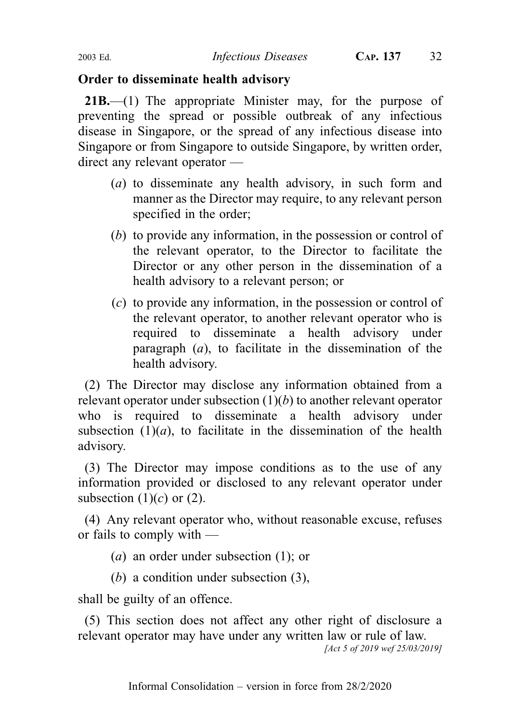## Order to disseminate health advisory

21B.—(1) The appropriate Minister may, for the purpose of preventing the spread or possible outbreak of any infectious disease in Singapore, or the spread of any infectious disease into Singapore or from Singapore to outside Singapore, by written order, direct any relevant operator —

- (a) to disseminate any health advisory, in such form and manner as the Director may require, to any relevant person specified in the order;
- (b) to provide any information, in the possession or control of the relevant operator, to the Director to facilitate the Director or any other person in the dissemination of a health advisory to a relevant person; or
- (c) to provide any information, in the possession or control of the relevant operator, to another relevant operator who is required to disseminate a health advisory under paragraph  $(a)$ , to facilitate in the dissemination of the health advisory.

(2) The Director may disclose any information obtained from a relevant operator under subsection  $(1)(b)$  to another relevant operator who is required to disseminate a health advisory under subsection  $(1)(a)$ , to facilitate in the dissemination of the health advisory.

(3) The Director may impose conditions as to the use of any information provided or disclosed to any relevant operator under subsection  $(1)(c)$  or  $(2)$ .

(4) Any relevant operator who, without reasonable excuse, refuses or fails to comply with —

(a) an order under subsection (1); or

(b) a condition under subsection (3),

shall be guilty of an offence.

(5) This section does not affect any other right of disclosure a relevant operator may have under any written law or rule of law.

[Act 5 of 2019 wef 25/03/2019]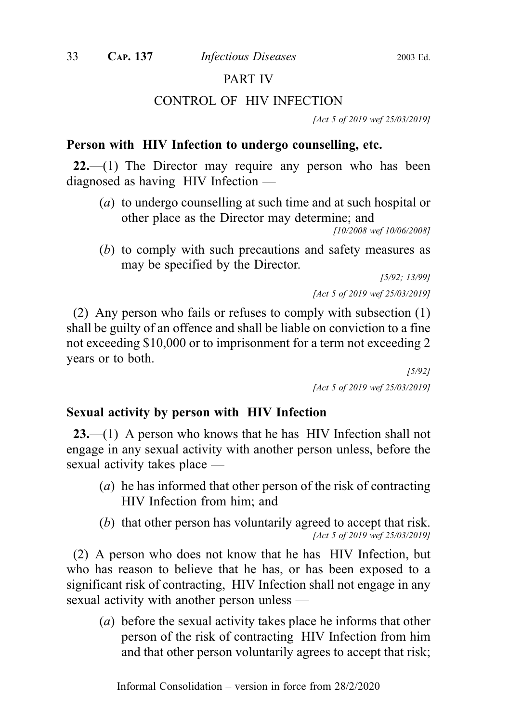## PART IV

## CONTROL OF HIV INFECTION

[Act 5 of 2019 wef 25/03/2019]

## Person with HIV Infection to undergo counselling, etc.

 $22$ —(1) The Director may require any person who has been diagnosed as having HIV Infection —

(a) to undergo counselling at such time and at such hospital or other place as the Director may determine; and

```
[10/2008 wef 10/06/2008]
```
(b) to comply with such precautions and safety measures as may be specified by the Director.

> [5/92; 13/99] [Act 5 of 2019 wef 25/03/2019]

(2) Any person who fails or refuses to comply with subsection (1) shall be guilty of an offence and shall be liable on conviction to a fine not exceeding \$10,000 or to imprisonment for a term not exceeding 2 years or to both.

> [5/92] [Act 5 of 2019 wef 25/03/2019]

## Sexual activity by person with HIV Infection

23.—(1) A person who knows that he has HIV Infection shall not engage in any sexual activity with another person unless, before the sexual activity takes place —

- (a) he has informed that other person of the risk of contracting HIV Infection from him; and
- (b) that other person has voluntarily agreed to accept that risk. [Act 5 of 2019 wef 25/03/2019]

(2) A person who does not know that he has HIV Infection, but who has reason to believe that he has, or has been exposed to a significant risk of contracting, HIV Infection shall not engage in any sexual activity with another person unless —

(a) before the sexual activity takes place he informs that other person of the risk of contracting HIV Infection from him and that other person voluntarily agrees to accept that risk;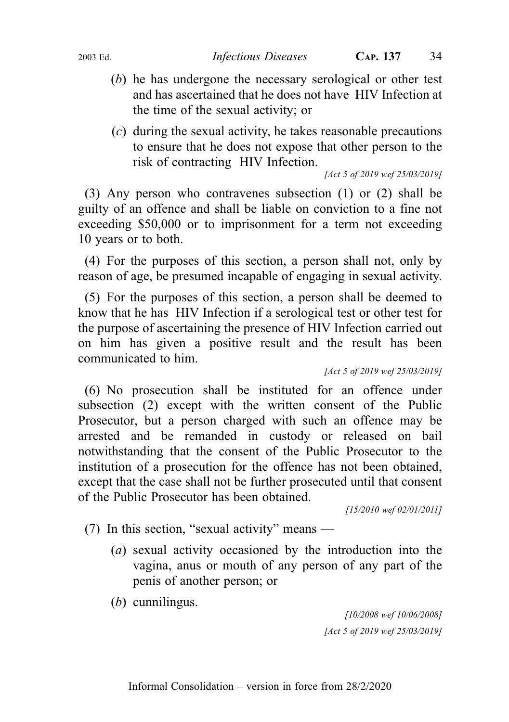- (b) he has undergone the necessary serological or other test and has ascertained that he does not have HIV Infection at the time of the sexual activity; or
- (c) during the sexual activity, he takes reasonable precautions to ensure that he does not expose that other person to the risk of contracting HIV Infection.

[Act 5 of 2019 wef 25/03/2019]

(3) Any person who contravenes subsection (1) or (2) shall be guilty of an offence and shall be liable on conviction to a fine not exceeding \$50,000 or to imprisonment for a term not exceeding 10 years or to both.

(4) For the purposes of this section, a person shall not, only by reason of age, be presumed incapable of engaging in sexual activity.

(5) For the purposes of this section, a person shall be deemed to know that he has HIV Infection if a serological test or other test for the purpose of ascertaining the presence of HIV Infection carried out on him has given a positive result and the result has been communicated to him.

[Act 5 of 2019 wef 25/03/2019]

(6) No prosecution shall be instituted for an offence under subsection (2) except with the written consent of the Public Prosecutor, but a person charged with such an offence may be arrested and be remanded in custody or released on bail notwithstanding that the consent of the Public Prosecutor to the institution of a prosecution for the offence has not been obtained, except that the case shall not be further prosecuted until that consent of the Public Prosecutor has been obtained.

[15/2010 wef 02/01/2011]

- (7) In this section, "sexual activity" means
	- (a) sexual activity occasioned by the introduction into the vagina, anus or mouth of any person of any part of the penis of another person; or
	- (b) cunnilingus.

[10/2008 wef 10/06/2008] [Act 5 of 2019 wef 25/03/2019]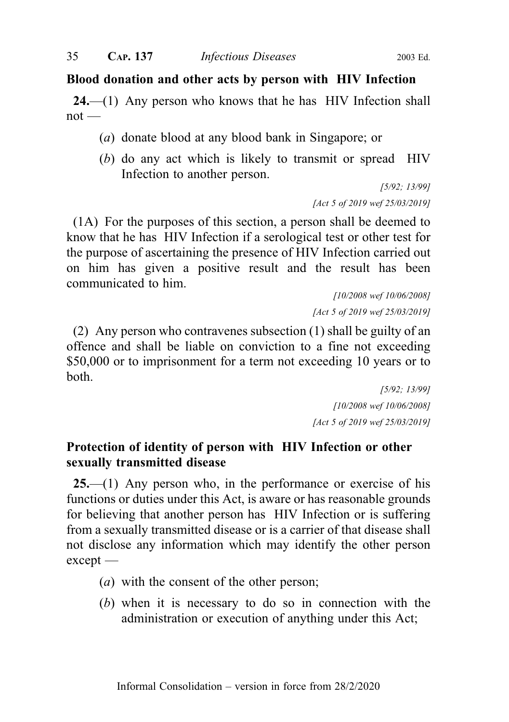#### Blood donation and other acts by person with HIV Infection

24.—(1) Any person who knows that he has HIV Infection shall  $not$  —

- (a) donate blood at any blood bank in Singapore; or
- (b) do any act which is likely to transmit or spread HIV Infection to another person.

[5/92; 13/99] [Act 5 of 2019 wef 25/03/2019]

(1A) For the purposes of this section, a person shall be deemed to know that he has HIV Infection if a serological test or other test for the purpose of ascertaining the presence of HIV Infection carried out on him has given a positive result and the result has been communicated to him.

> [10/2008 wef 10/06/2008] [Act 5 of 2019 wef 25/03/2019]

(2) Any person who contravenes subsection (1) shall be guilty of an offence and shall be liable on conviction to a fine not exceeding \$50,000 or to imprisonment for a term not exceeding 10 years or to both.

> [5/92; 13/99] [10/2008 wef 10/06/2008] [Act 5 of 2019 wef 25/03/2019]

## Protection of identity of person with HIV Infection or other sexually transmitted disease

 $25$ —(1) Any person who, in the performance or exercise of his functions or duties under this Act, is aware or has reasonable grounds for believing that another person has HIV Infection or is suffering from a sexually transmitted disease or is a carrier of that disease shall not disclose any information which may identify the other person except —

- (a) with the consent of the other person;
- (b) when it is necessary to do so in connection with the administration or execution of anything under this Act;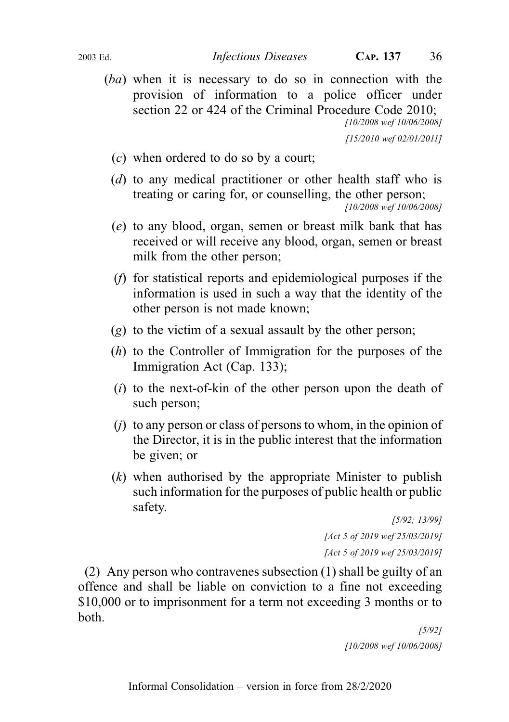(ba) when it is necessary to do so in connection with the provision of information to a police officer under section 22 or 424 of the Criminal Procedure Code 2010; [10/2008 wef 10/06/2008]

[15/2010 wef 02/01/2011]

- (c) when ordered to do so by a court;
- (d) to any medical practitioner or other health staff who is treating or caring for, or counselling, the other person; [10/2008 wef 10/06/2008]
- (e) to any blood, organ, semen or breast milk bank that has received or will receive any blood, organ, semen or breast milk from the other person;
- (f) for statistical reports and epidemiological purposes if the information is used in such a way that the identity of the other person is not made known;
- (g) to the victim of a sexual assault by the other person;
- (h) to the Controller of Immigration for the purposes of the Immigration Act (Cap. 133);
- $(i)$  to the next-of-kin of the other person upon the death of such person;
- $(i)$  to any person or class of persons to whom, in the opinion of the Director, it is in the public interest that the information be given; or
- $(k)$  when authorised by the appropriate Minister to publish such information for the purposes of public health or public safety.

[5/92; 13/99] [Act 5 of 2019 wef 25/03/2019] [Act 5 of 2019 wef 25/03/2019]

(2) Any person who contravenes subsection (1) shall be guilty of an offence and shall be liable on conviction to a fine not exceeding \$10,000 or to imprisonment for a term not exceeding 3 months or to both.

> [5/92] [10/2008 wef 10/06/2008]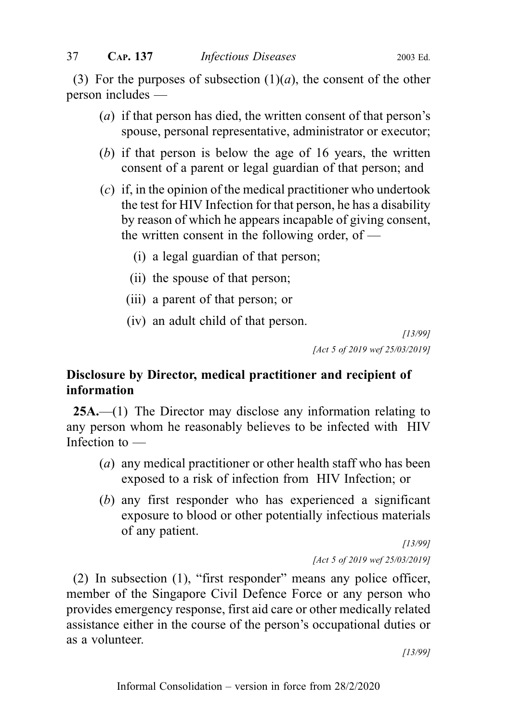(3) For the purposes of subsection  $(1)(a)$ , the consent of the other person includes —

- (a) if that person has died, the written consent of that person's spouse, personal representative, administrator or executor;
- (b) if that person is below the age of 16 years, the written consent of a parent or legal guardian of that person; and
- (c) if, in the opinion of the medical practitioner who undertook the test for HIV Infection for that person, he has a disability by reason of which he appears incapable of giving consent, the written consent in the following order, of —
	- (i) a legal guardian of that person;
	- (ii) the spouse of that person;
	- (iii) a parent of that person; or
	- (iv) an adult child of that person.

[13/99] [Act 5 of 2019 wef 25/03/2019]

# Disclosure by Director, medical practitioner and recipient of information

25A.—(1) The Director may disclose any information relating to any person whom he reasonably believes to be infected with HIV Infection to —

- (a) any medical practitioner or other health staff who has been exposed to a risk of infection from HIV Infection; or
- (b) any first responder who has experienced a significant exposure to blood or other potentially infectious materials of any patient.

[13/99] [Act 5 of 2019 wef 25/03/2019]

(2) In subsection (1), "first responder" means any police officer, member of the Singapore Civil Defence Force or any person who provides emergency response, first aid care or other medically related assistance either in the course of the person's occupational duties or as a volunteer.

[13/99]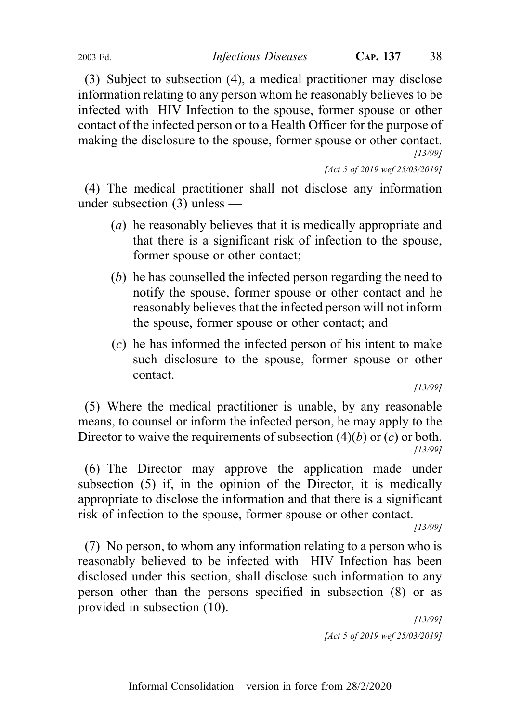(3) Subject to subsection (4), a medical practitioner may disclose information relating to any person whom he reasonably believes to be infected with HIV Infection to the spouse, former spouse or other contact of the infected person or to a Health Officer for the purpose of making the disclosure to the spouse, former spouse or other contact. [13/99]

[Act 5 of 2019 wef 25/03/2019]

(4) The medical practitioner shall not disclose any information under subsection (3) unless —

- (a) he reasonably believes that it is medically appropriate and that there is a significant risk of infection to the spouse, former spouse or other contact;
- (b) he has counselled the infected person regarding the need to notify the spouse, former spouse or other contact and he reasonably believes that the infected person will not inform the spouse, former spouse or other contact; and
- (c) he has informed the infected person of his intent to make such disclosure to the spouse, former spouse or other contact.

[13/99]

(5) Where the medical practitioner is unable, by any reasonable means, to counsel or inform the infected person, he may apply to the Director to waive the requirements of subsection  $(4)(b)$  or  $(c)$  or both. [13/99]

(6) The Director may approve the application made under subsection (5) if, in the opinion of the Director, it is medically appropriate to disclose the information and that there is a significant risk of infection to the spouse, former spouse or other contact.

[13/99]

(7) No person, to whom any information relating to a person who is reasonably believed to be infected with HIV Infection has been disclosed under this section, shall disclose such information to any person other than the persons specified in subsection (8) or as provided in subsection (10).

[13/99] [Act 5 of 2019 wef 25/03/2019]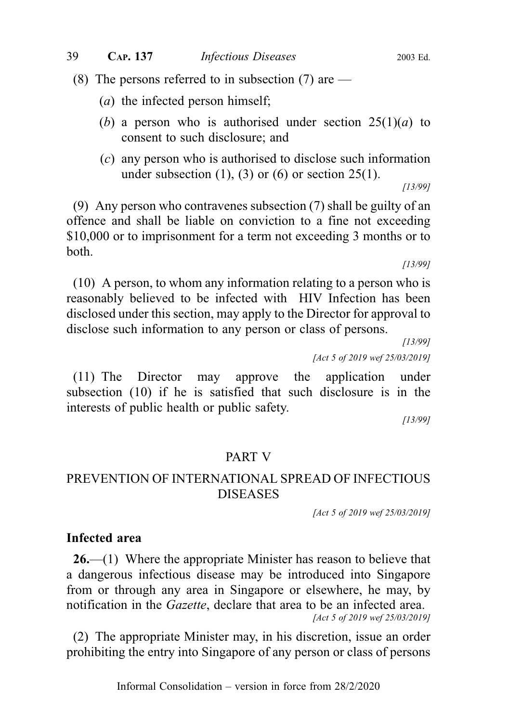(8) The persons referred to in subsection (7) are  $-$ 

- (a) the infected person himself;
- (b) a person who is authorised under section  $25(1)(a)$  to consent to such disclosure; and
- (c) any person who is authorised to disclose such information under subsection  $(1)$ ,  $(3)$  or  $(6)$  or section  $25(1)$ . [13/99]

(9) Any person who contravenes subsection (7) shall be guilty of an

offence and shall be liable on conviction to a fine not exceeding \$10,000 or to imprisonment for a term not exceeding 3 months or to both.

[13/99]

(10) A person, to whom any information relating to a person who is reasonably believed to be infected with HIV Infection has been disclosed under this section, may apply to the Director for approval to disclose such information to any person or class of persons.

[13/99]

[Act 5 of 2019 wef 25/03/2019]

(11) The Director may approve the application under subsection (10) if he is satisfied that such disclosure is in the interests of public health or public safety.

[13/99]

#### PART V

# PREVENTION OF INTERNATIONAL SPREAD OF INFECTIOUS DISEASES

[Act 5 of 2019 wef 25/03/2019]

#### Infected area

26.—(1) Where the appropriate Minister has reason to believe that a dangerous infectious disease may be introduced into Singapore from or through any area in Singapore or elsewhere, he may, by notification in the Gazette, declare that area to be an infected area. [Act 5 of 2019 wef 25/03/2019]

(2) The appropriate Minister may, in his discretion, issue an order prohibiting the entry into Singapore of any person or class of persons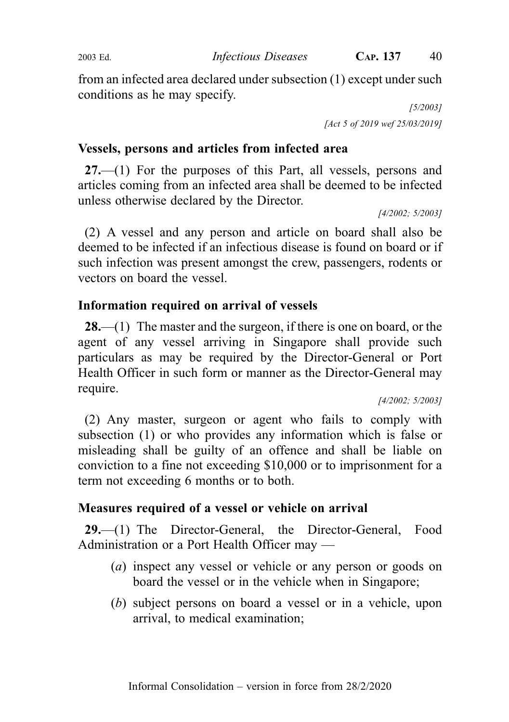from an infected area declared under subsection (1) except under such conditions as he may specify.

> [5/2003] [Act 5 of 2019 wef 25/03/2019]

# Vessels, persons and articles from infected area

27.—(1) For the purposes of this Part, all vessels, persons and articles coming from an infected area shall be deemed to be infected unless otherwise declared by the Director.

[4/2002; 5/2003]

(2) A vessel and any person and article on board shall also be deemed to be infected if an infectious disease is found on board or if such infection was present amongst the crew, passengers, rodents or vectors on board the vessel.

# Information required on arrival of vessels

**28.**—(1) The master and the surgeon, if there is one on board, or the agent of any vessel arriving in Singapore shall provide such particulars as may be required by the Director-General or Port Health Officer in such form or manner as the Director-General may require.

[4/2002; 5/2003]

(2) Any master, surgeon or agent who fails to comply with subsection (1) or who provides any information which is false or misleading shall be guilty of an offence and shall be liable on conviction to a fine not exceeding \$10,000 or to imprisonment for a term not exceeding 6 months or to both.

# Measures required of a vessel or vehicle on arrival

29.—(1) The Director-General, the Director-General, Food Administration or a Port Health Officer may —

- (a) inspect any vessel or vehicle or any person or goods on board the vessel or in the vehicle when in Singapore;
- (b) subject persons on board a vessel or in a vehicle, upon arrival, to medical examination;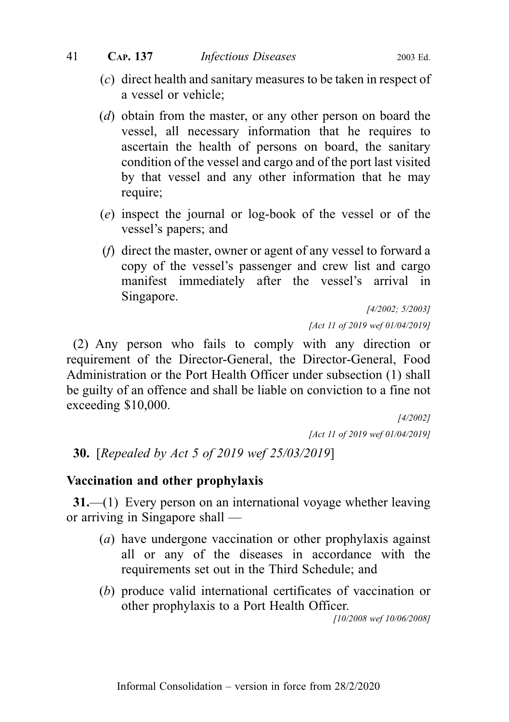- (c) direct health and sanitary measures to be taken in respect of a vessel or vehicle;
- (d) obtain from the master, or any other person on board the vessel, all necessary information that he requires to ascertain the health of persons on board, the sanitary condition of the vessel and cargo and of the port last visited by that vessel and any other information that he may require;
- (e) inspect the journal or log-book of the vessel or of the vessel's papers; and
- (f) direct the master, owner or agent of any vessel to forward a copy of the vessel's passenger and crew list and cargo manifest immediately after the vessel's arrival in Singapore.

[4/2002; 5/2003] [Act 11 of 2019 wef 01/04/2019]

(2) Any person who fails to comply with any direction or requirement of the Director-General, the Director-General, Food Administration or the Port Health Officer under subsection (1) shall be guilty of an offence and shall be liable on conviction to a fine not exceeding \$10,000.

> [4/2002] [Act 11 of 2019 wef 01/04/2019]

30. [Repealed by Act 5 of 2019 wef 25/03/2019]

# Vaccination and other prophylaxis

31.—(1) Every person on an international voyage whether leaving or arriving in Singapore shall —

- (a) have undergone vaccination or other prophylaxis against all or any of the diseases in accordance with the requirements set out in the Third Schedule; and
- (b) produce valid international certificates of vaccination or other prophylaxis to a Port Health Officer.

[10/2008 wef 10/06/2008]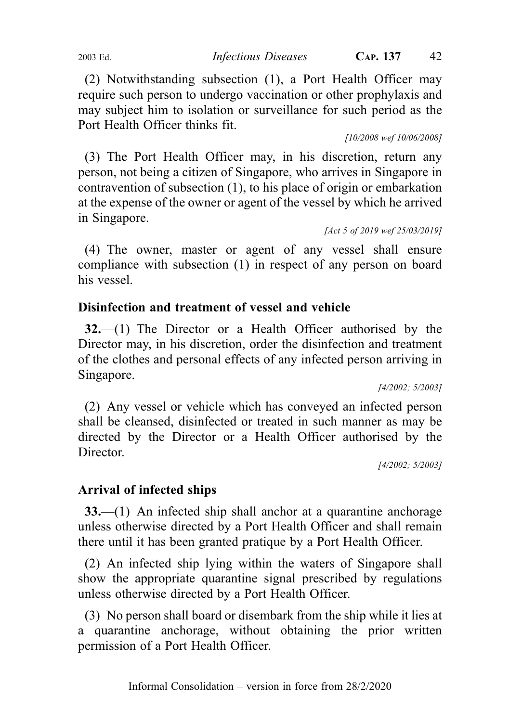(2) Notwithstanding subsection (1), a Port Health Officer may require such person to undergo vaccination or other prophylaxis and may subject him to isolation or surveillance for such period as the Port Health Officer thinks fit.

[10/2008 wef 10/06/2008]

(3) The Port Health Officer may, in his discretion, return any person, not being a citizen of Singapore, who arrives in Singapore in contravention of subsection (1), to his place of origin or embarkation at the expense of the owner or agent of the vessel by which he arrived in Singapore.

[Act 5 of 2019 wef 25/03/2019]

(4) The owner, master or agent of any vessel shall ensure compliance with subsection (1) in respect of any person on board his vessel.

# Disinfection and treatment of vessel and vehicle

32.—(1) The Director or a Health Officer authorised by the Director may, in his discretion, order the disinfection and treatment of the clothes and personal effects of any infected person arriving in Singapore.

[4/2002; 5/2003]

(2) Any vessel or vehicle which has conveyed an infected person shall be cleansed, disinfected or treated in such manner as may be directed by the Director or a Health Officer authorised by the Director.

[4/2002; 5/2003]

# Arrival of infected ships

33.—(1) An infected ship shall anchor at a quarantine anchorage unless otherwise directed by a Port Health Officer and shall remain there until it has been granted pratique by a Port Health Officer.

(2) An infected ship lying within the waters of Singapore shall show the appropriate quarantine signal prescribed by regulations unless otherwise directed by a Port Health Officer.

(3) No person shall board or disembark from the ship while it lies at a quarantine anchorage, without obtaining the prior written permission of a Port Health Officer.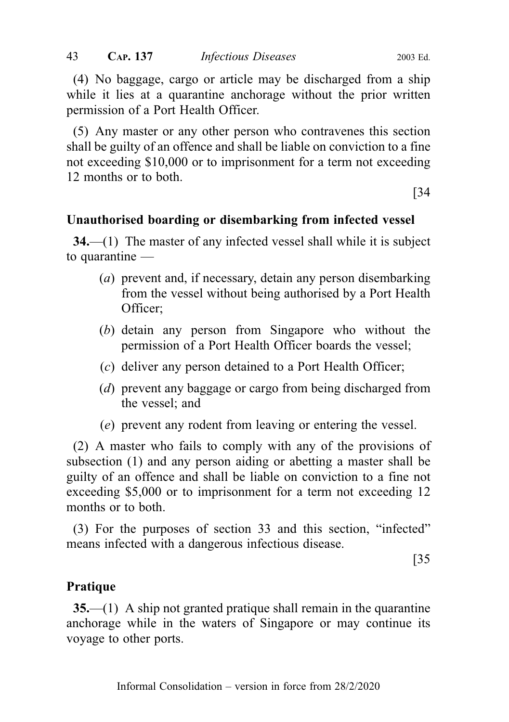(4) No baggage, cargo or article may be discharged from a ship while it lies at a quarantine anchorage without the prior written permission of a Port Health Officer.

(5) Any master or any other person who contravenes this section shall be guilty of an offence and shall be liable on conviction to a fine not exceeding \$10,000 or to imprisonment for a term not exceeding 12 months or to both.

[34

# Unauthorised boarding or disembarking from infected vessel

34.—(1) The master of any infected vessel shall while it is subject to quarantine —

- (*a*) prevent and, if necessary, detain any person disembarking from the vessel without being authorised by a Port Health Officer;
- (b) detain any person from Singapore who without the permission of a Port Health Officer boards the vessel;
- (c) deliver any person detained to a Port Health Officer;
- (d) prevent any baggage or cargo from being discharged from the vessel; and
- (e) prevent any rodent from leaving or entering the vessel.

(2) A master who fails to comply with any of the provisions of subsection (1) and any person aiding or abetting a master shall be guilty of an offence and shall be liable on conviction to a fine not exceeding \$5,000 or to imprisonment for a term not exceeding 12 months or to both.

(3) For the purposes of section 33 and this section, "infected" means infected with a dangerous infectious disease.

[35

# **Pratique**

35.—(1) A ship not granted pratique shall remain in the quarantine anchorage while in the waters of Singapore or may continue its voyage to other ports.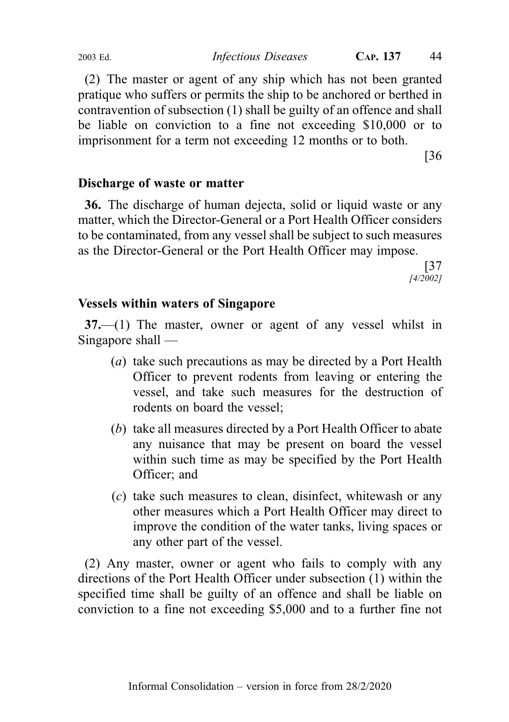(2) The master or agent of any ship which has not been granted pratique who suffers or permits the ship to be anchored or berthed in contravention of subsection (1) shall be guilty of an offence and shall be liable on conviction to a fine not exceeding \$10,000 or to imprisonment for a term not exceeding 12 months or to both.

[36

# Discharge of waste or matter

36. The discharge of human dejecta, solid or liquid waste or any matter, which the Director-General or a Port Health Officer considers to be contaminated, from any vessel shall be subject to such measures as the Director-General or the Port Health Officer may impose.

> [37 [4/2002]

# Vessels within waters of Singapore

37.—(1) The master, owner or agent of any vessel whilst in Singapore shall —

- (a) take such precautions as may be directed by a Port Health Officer to prevent rodents from leaving or entering the vessel, and take such measures for the destruction of rodents on board the vessel;
- (b) take all measures directed by a Port Health Officer to abate any nuisance that may be present on board the vessel within such time as may be specified by the Port Health Officer; and
- (c) take such measures to clean, disinfect, whitewash or any other measures which a Port Health Officer may direct to improve the condition of the water tanks, living spaces or any other part of the vessel.

(2) Any master, owner or agent who fails to comply with any directions of the Port Health Officer under subsection (1) within the specified time shall be guilty of an offence and shall be liable on conviction to a fine not exceeding \$5,000 and to a further fine not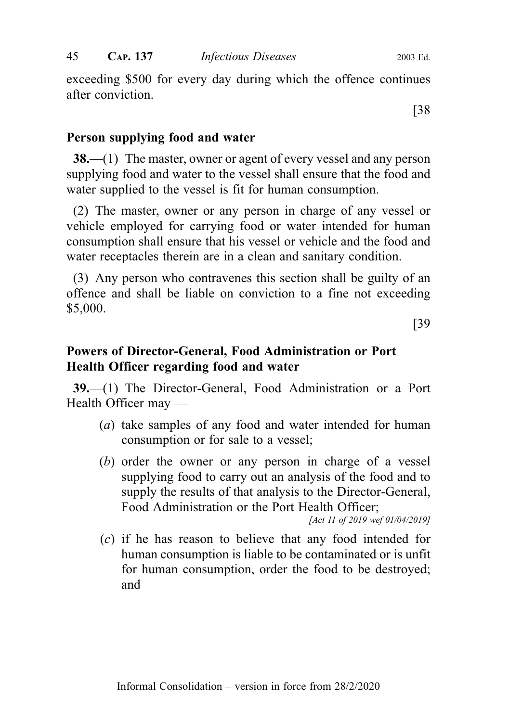exceeding \$500 for every day during which the offence continues after conviction.

[38

## Person supplying food and water

38.—(1) The master, owner or agent of every vessel and any person supplying food and water to the vessel shall ensure that the food and water supplied to the vessel is fit for human consumption.

(2) The master, owner or any person in charge of any vessel or vehicle employed for carrying food or water intended for human consumption shall ensure that his vessel or vehicle and the food and water receptacles therein are in a clean and sanitary condition.

(3) Any person who contravenes this section shall be guilty of an offence and shall be liable on conviction to a fine not exceeding \$5,000.

[39

# Powers of Director-General, Food Administration or Port Health Officer regarding food and water

39.—(1) The Director-General, Food Administration or a Port Health Officer may —

- (a) take samples of any food and water intended for human consumption or for sale to a vessel;
- (b) order the owner or any person in charge of a vessel supplying food to carry out an analysis of the food and to supply the results of that analysis to the Director-General, Food Administration or the Port Health Officer;

[Act 11 of 2019 wef 01/04/2019]

(c) if he has reason to believe that any food intended for human consumption is liable to be contaminated or is unfit for human consumption, order the food to be destroyed; and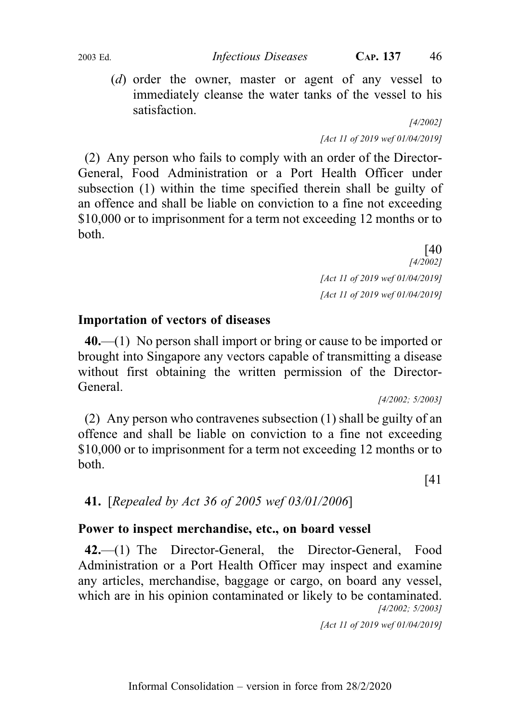(d) order the owner, master or agent of any vessel to immediately cleanse the water tanks of the vessel to his satisfaction.

[4/2002] [Act 11 of 2019 wef 01/04/2019]

(2) Any person who fails to comply with an order of the Director-General, Food Administration or a Port Health Officer under subsection (1) within the time specified therein shall be guilty of an offence and shall be liable on conviction to a fine not exceeding \$10,000 or to imprisonment for a term not exceeding 12 months or to both.

> [40 [4/2002] [Act 11 of 2019 wef 01/04/2019] [Act 11 of 2019 wef 01/04/2019]

## Importation of vectors of diseases

40.—(1) No person shall import or bring or cause to be imported or brought into Singapore any vectors capable of transmitting a disease without first obtaining the written permission of the Director-General.

[4/2002; 5/2003]

(2) Any person who contravenes subsection (1) shall be guilty of an offence and shall be liable on conviction to a fine not exceeding \$10,000 or to imprisonment for a term not exceeding 12 months or to both.

[41

# 41. [Repealed by Act 36 of 2005 wef 03/01/2006]

# Power to inspect merchandise, etc., on board vessel

42.—(1) The Director-General, the Director-General, Food Administration or a Port Health Officer may inspect and examine any articles, merchandise, baggage or cargo, on board any vessel, which are in his opinion contaminated or likely to be contaminated. [4/2002; 5/2003]

[Act 11 of 2019 wef 01/04/2019]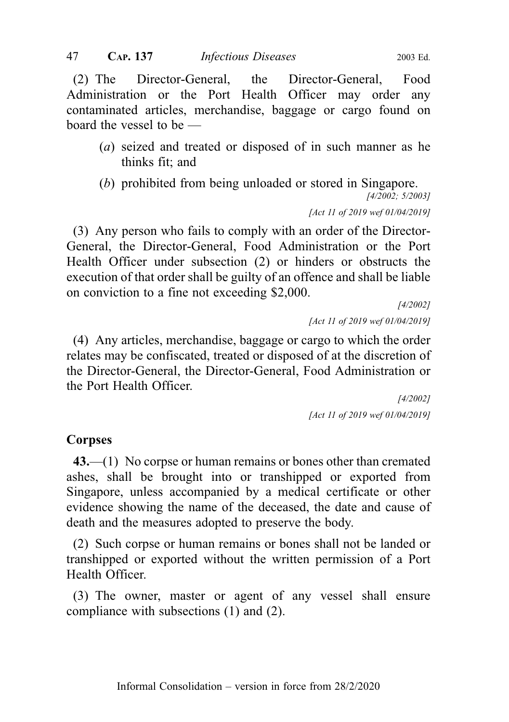(2) The Director-General, the Director-General, Food Administration or the Port Health Officer may order any contaminated articles, merchandise, baggage or cargo found on board the vessel to be —

- (a) seized and treated or disposed of in such manner as he thinks fit; and
- (b) prohibited from being unloaded or stored in Singapore.

[4/2002; 5/2003]

[Act 11 of 2019 wef 01/04/2019]

(3) Any person who fails to comply with an order of the Director-General, the Director-General, Food Administration or the Port Health Officer under subsection (2) or hinders or obstructs the execution of that order shall be guilty of an offence and shall be liable on conviction to a fine not exceeding \$2,000.

> [4/2002] [Act 11 of 2019 wef 01/04/2019]

(4) Any articles, merchandise, baggage or cargo to which the order relates may be confiscated, treated or disposed of at the discretion of the Director-General, the Director-General, Food Administration or the Port Health Officer.

> [4/2002] [Act 11 of 2019 wef 01/04/2019]

# **Corpses**

43.—(1) No corpse or human remains or bones other than cremated ashes, shall be brought into or transhipped or exported from Singapore, unless accompanied by a medical certificate or other evidence showing the name of the deceased, the date and cause of death and the measures adopted to preserve the body.

(2) Such corpse or human remains or bones shall not be landed or transhipped or exported without the written permission of a Port Health Officer.

(3) The owner, master or agent of any vessel shall ensure compliance with subsections (1) and (2).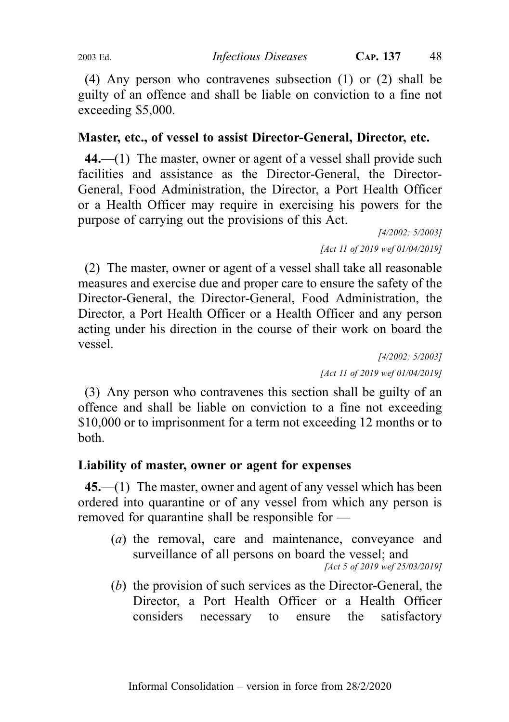(4) Any person who contravenes subsection (1) or (2) shall be guilty of an offence and shall be liable on conviction to a fine not exceeding \$5,000.

# Master, etc., of vessel to assist Director-General, Director, etc.

44.—(1) The master, owner or agent of a vessel shall provide such facilities and assistance as the Director-General, the Director-General, Food Administration, the Director, a Port Health Officer or a Health Officer may require in exercising his powers for the purpose of carrying out the provisions of this Act.

[4/2002; 5/2003] [Act 11 of 2019 wef 01/04/2019]

(2) The master, owner or agent of a vessel shall take all reasonable measures and exercise due and proper care to ensure the safety of the Director-General, the Director-General, Food Administration, the Director, a Port Health Officer or a Health Officer and any person acting under his direction in the course of their work on board the vessel.

[4/2002; 5/2003] [Act 11 of 2019 wef 01/04/2019]

(3) Any person who contravenes this section shall be guilty of an offence and shall be liable on conviction to a fine not exceeding \$10,000 or to imprisonment for a term not exceeding 12 months or to both.

# Liability of master, owner or agent for expenses

45.—(1) The master, owner and agent of any vessel which has been ordered into quarantine or of any vessel from which any person is removed for quarantine shall be responsible for —

- (a) the removal, care and maintenance, conveyance and surveillance of all persons on board the vessel; and [Act 5 of 2019 wef 25/03/2019]
- (b) the provision of such services as the Director-General, the Director, a Port Health Officer or a Health Officer considers necessary to ensure the satisfactory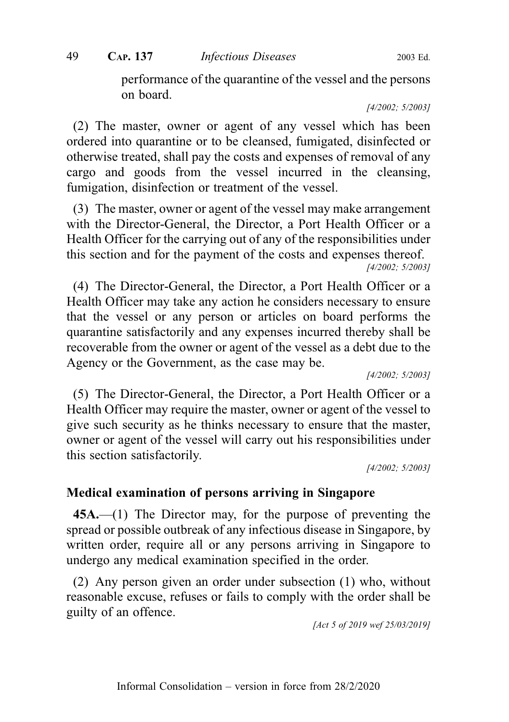performance of the quarantine of the vessel and the persons on board.

[4/2002; 5/2003]

(2) The master, owner or agent of any vessel which has been ordered into quarantine or to be cleansed, fumigated, disinfected or otherwise treated, shall pay the costs and expenses of removal of any cargo and goods from the vessel incurred in the cleansing, fumigation, disinfection or treatment of the vessel.

(3) The master, owner or agent of the vessel may make arrangement with the Director-General, the Director, a Port Health Officer or a Health Officer for the carrying out of any of the responsibilities under this section and for the payment of the costs and expenses thereof. [4/2002; 5/2003]

(4) The Director-General, the Director, a Port Health Officer or a Health Officer may take any action he considers necessary to ensure that the vessel or any person or articles on board performs the quarantine satisfactorily and any expenses incurred thereby shall be recoverable from the owner or agent of the vessel as a debt due to the Agency or the Government, as the case may be.

[4/2002; 5/2003]

(5) The Director-General, the Director, a Port Health Officer or a Health Officer may require the master, owner or agent of the vessel to give such security as he thinks necessary to ensure that the master, owner or agent of the vessel will carry out his responsibilities under this section satisfactorily.

[4/2002; 5/2003]

#### Medical examination of persons arriving in Singapore

45A.—(1) The Director may, for the purpose of preventing the spread or possible outbreak of any infectious disease in Singapore, by written order, require all or any persons arriving in Singapore to undergo any medical examination specified in the order.

(2) Any person given an order under subsection (1) who, without reasonable excuse, refuses or fails to comply with the order shall be guilty of an offence.

[Act 5 of 2019 wef 25/03/2019]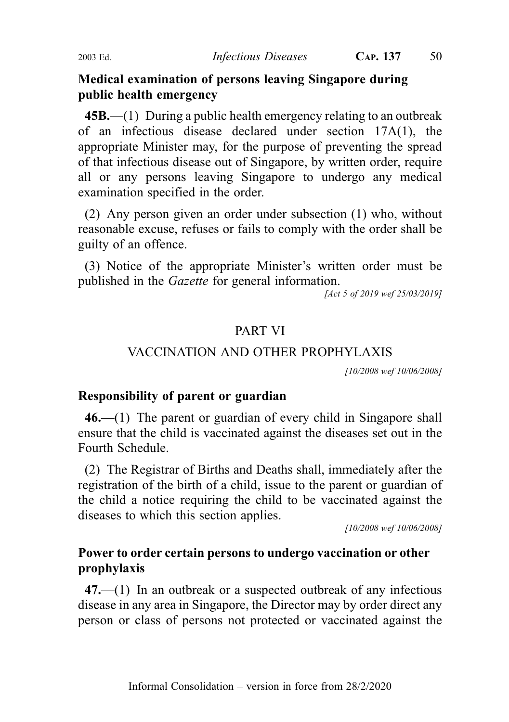## Medical examination of persons leaving Singapore during public health emergency

 $45B$ ,—(1) During a public health emergency relating to an outbreak of an infectious disease declared under section 17A(1), the appropriate Minister may, for the purpose of preventing the spread of that infectious disease out of Singapore, by written order, require all or any persons leaving Singapore to undergo any medical examination specified in the order.

(2) Any person given an order under subsection (1) who, without reasonable excuse, refuses or fails to comply with the order shall be guilty of an offence.

(3) Notice of the appropriate Minister's written order must be published in the Gazette for general information.

[Act 5 of 2019 wef 25/03/2019]

#### PART VI

#### VACCINATION AND OTHER PROPHYLAXIS

[10/2008 wef 10/06/2008]

### Responsibility of parent or guardian

46.—(1) The parent or guardian of every child in Singapore shall ensure that the child is vaccinated against the diseases set out in the Fourth Schedule.

(2) The Registrar of Births and Deaths shall, immediately after the registration of the birth of a child, issue to the parent or guardian of the child a notice requiring the child to be vaccinated against the diseases to which this section applies.

[10/2008 wef 10/06/2008]

## Power to order certain persons to undergo vaccination or other prophylaxis

47.—(1) In an outbreak or a suspected outbreak of any infectious disease in any area in Singapore, the Director may by order direct any person or class of persons not protected or vaccinated against the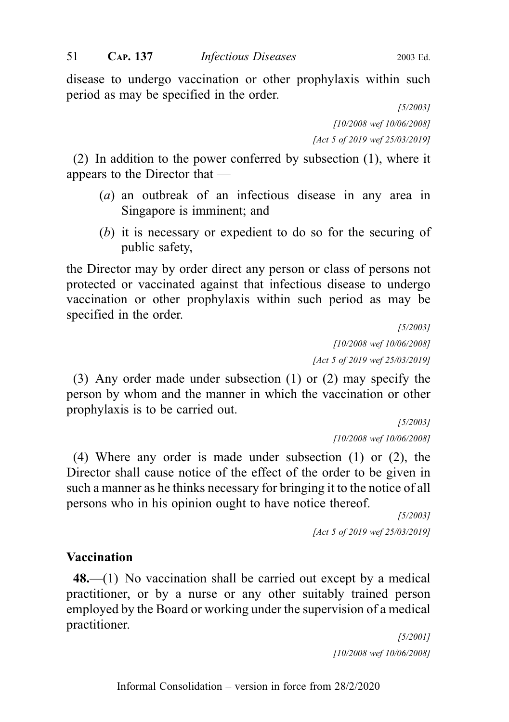disease to undergo vaccination or other prophylaxis within such period as may be specified in the order.

> [5/2003] [10/2008 wef 10/06/2008] [Act 5 of 2019 wef 25/03/2019]

(2) In addition to the power conferred by subsection (1), where it appears to the Director that —

- (a) an outbreak of an infectious disease in any area in Singapore is imminent; and
- (b) it is necessary or expedient to do so for the securing of public safety,

the Director may by order direct any person or class of persons not protected or vaccinated against that infectious disease to undergo vaccination or other prophylaxis within such period as may be specified in the order.

[5/2003] [10/2008 wef 10/06/2008] [Act 5 of 2019 wef 25/03/2019]

(3) Any order made under subsection (1) or (2) may specify the person by whom and the manner in which the vaccination or other prophylaxis is to be carried out.

> [5/2003] [10/2008 wef 10/06/2008]

(4) Where any order is made under subsection (1) or (2), the Director shall cause notice of the effect of the order to be given in such a manner as he thinks necessary for bringing it to the notice of all persons who in his opinion ought to have notice thereof.

> [5/2003] [Act 5 of 2019 wef 25/03/2019]

### Vaccination

48.—(1) No vaccination shall be carried out except by a medical practitioner, or by a nurse or any other suitably trained person employed by the Board or working under the supervision of a medical practitioner.

> [5/2001] [10/2008 wef 10/06/2008]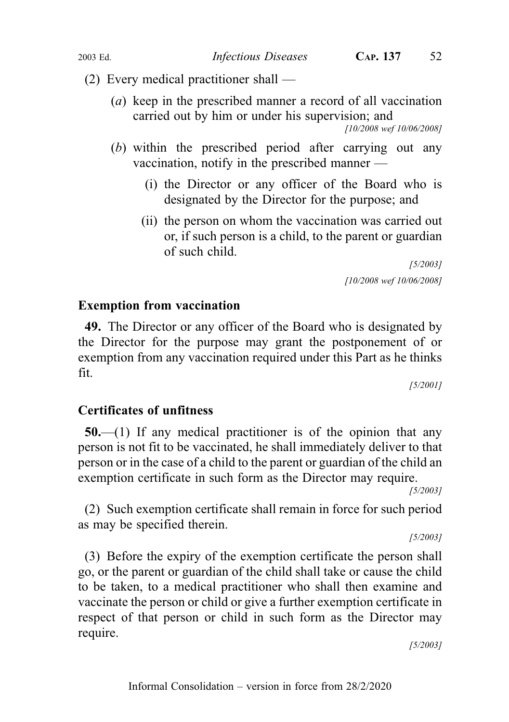- (2) Every medical practitioner shall
	- (a) keep in the prescribed manner a record of all vaccination carried out by him or under his supervision; and

[10/2008 wef 10/06/2008]

- (b) within the prescribed period after carrying out any vaccination, notify in the prescribed manner —
	- (i) the Director or any officer of the Board who is designated by the Director for the purpose; and
	- (ii) the person on whom the vaccination was carried out or, if such person is a child, to the parent or guardian of such child.

[5/2003] [10/2008 wef 10/06/2008]

# Exemption from vaccination

49. The Director or any officer of the Board who is designated by the Director for the purpose may grant the postponement of or exemption from any vaccination required under this Part as he thinks fit.

[5/2001]

# Certificates of unfitness

 $50$ .—(1) If any medical practitioner is of the opinion that any person is not fit to be vaccinated, he shall immediately deliver to that person or in the case of a child to the parent or guardian of the child an exemption certificate in such form as the Director may require.

[5/2003]

(2) Such exemption certificate shall remain in force for such period as may be specified therein.

[5/2003]

(3) Before the expiry of the exemption certificate the person shall go, or the parent or guardian of the child shall take or cause the child to be taken, to a medical practitioner who shall then examine and vaccinate the person or child or give a further exemption certificate in respect of that person or child in such form as the Director may require.

[5/2003]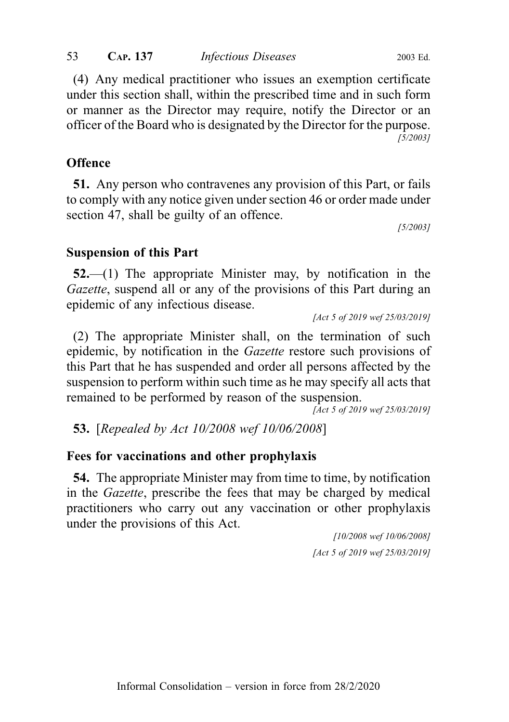(4) Any medical practitioner who issues an exemption certificate under this section shall, within the prescribed time and in such form or manner as the Director may require, notify the Director or an officer of the Board who is designated by the Director for the purpose. [5/2003]

# **Offence**

51. Any person who contravenes any provision of this Part, or fails to comply with any notice given under section 46 or order made under section 47, shall be guilty of an offence.

[5/2003]

# Suspension of this Part

52.—(1) The appropriate Minister may, by notification in the Gazette, suspend all or any of the provisions of this Part during an epidemic of any infectious disease.

[Act 5 of 2019 wef 25/03/2019]

(2) The appropriate Minister shall, on the termination of such epidemic, by notification in the Gazette restore such provisions of this Part that he has suspended and order all persons affected by the suspension to perform within such time as he may specify all acts that remained to be performed by reason of the suspension.

[Act 5 of 2019 wef 25/03/2019]

53. [Repealed by Act 10/2008 wef 10/06/2008]

# Fees for vaccinations and other prophylaxis

54. The appropriate Minister may from time to time, by notification in the Gazette, prescribe the fees that may be charged by medical practitioners who carry out any vaccination or other prophylaxis under the provisions of this Act.

> [10/2008 wef 10/06/2008] [Act 5 of 2019 wef 25/03/2019]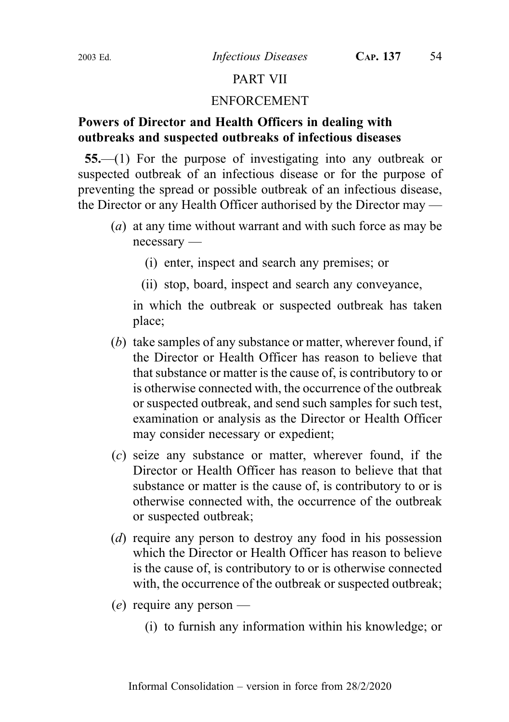# PART VII

#### ENFORCEMENT

# Powers of Director and Health Officers in dealing with outbreaks and suspected outbreaks of infectious diseases

55.—(1) For the purpose of investigating into any outbreak or suspected outbreak of an infectious disease or for the purpose of preventing the spread or possible outbreak of an infectious disease, the Director or any Health Officer authorised by the Director may —

- (a) at any time without warrant and with such force as may be necessary —
	- (i) enter, inspect and search any premises; or
	- (ii) stop, board, inspect and search any conveyance,

in which the outbreak or suspected outbreak has taken place;

- (b) take samples of any substance or matter, wherever found, if the Director or Health Officer has reason to believe that that substance or matter is the cause of, is contributory to or is otherwise connected with, the occurrence of the outbreak or suspected outbreak, and send such samples for such test, examination or analysis as the Director or Health Officer may consider necessary or expedient;
- (c) seize any substance or matter, wherever found, if the Director or Health Officer has reason to believe that that substance or matter is the cause of, is contributory to or is otherwise connected with, the occurrence of the outbreak or suspected outbreak;
- (d) require any person to destroy any food in his possession which the Director or Health Officer has reason to believe is the cause of, is contributory to or is otherwise connected with, the occurrence of the outbreak or suspected outbreak;
- $(e)$  require any person
	- (i) to furnish any information within his knowledge; or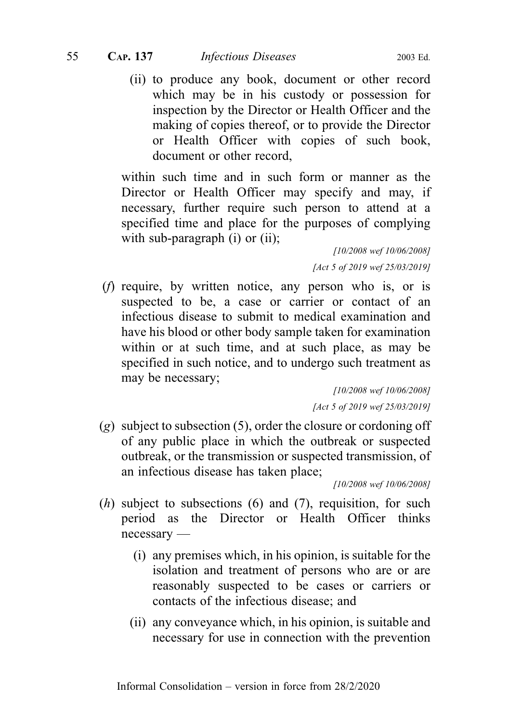(ii) to produce any book, document or other record which may be in his custody or possession for inspection by the Director or Health Officer and the making of copies thereof, or to provide the Director or Health Officer with copies of such book, document or other record,

within such time and in such form or manner as the Director or Health Officer may specify and may, if necessary, further require such person to attend at a specified time and place for the purposes of complying with sub-paragraph (i) or (ii);

> [10/2008 wef 10/06/2008] [Act 5 of 2019 wef 25/03/2019]

(f) require, by written notice, any person who is, or is suspected to be, a case or carrier or contact of an infectious disease to submit to medical examination and have his blood or other body sample taken for examination within or at such time, and at such place, as may be specified in such notice, and to undergo such treatment as may be necessary;

> [10/2008 wef 10/06/2008] [Act 5 of 2019 wef 25/03/2019]

 $(g)$  subject to subsection (5), order the closure or cordoning off of any public place in which the outbreak or suspected outbreak, or the transmission or suspected transmission, of an infectious disease has taken place;

[10/2008 wef 10/06/2008]

- $(h)$  subject to subsections  $(6)$  and  $(7)$ , requisition, for such period as the Director or Health Officer thinks necessary —
	- (i) any premises which, in his opinion, is suitable for the isolation and treatment of persons who are or are reasonably suspected to be cases or carriers or contacts of the infectious disease; and
	- (ii) any conveyance which, in his opinion, is suitable and necessary for use in connection with the prevention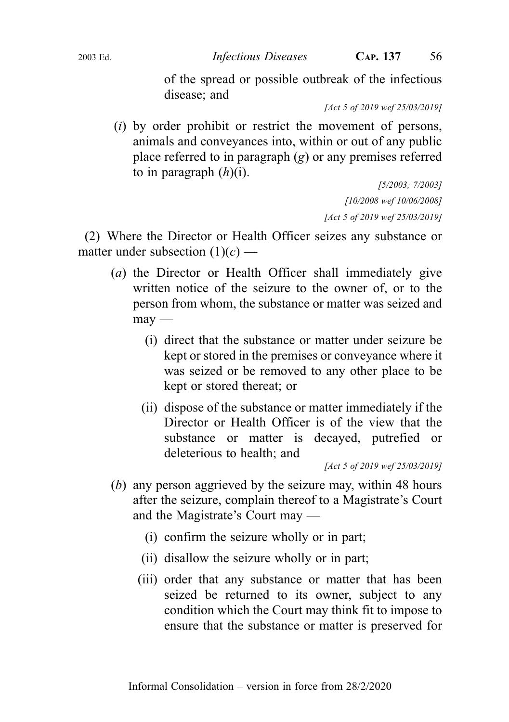of the spread or possible outbreak of the infectious disease; and

[Act 5 of 2019 wef 25/03/2019]

(i) by order prohibit or restrict the movement of persons, animals and conveyances into, within or out of any public place referred to in paragraph  $(g)$  or any premises referred to in paragraph  $(h)(i)$ .

> [5/2003; 7/2003] [10/2008 wef 10/06/2008] [Act 5 of 2019 wef 25/03/2019]

(2) Where the Director or Health Officer seizes any substance or matter under subsection  $(1)(c)$  —

- (a) the Director or Health Officer shall immediately give written notice of the seizure to the owner of, or to the person from whom, the substance or matter was seized and  $m$ ay —
	- (i) direct that the substance or matter under seizure be kept or stored in the premises or conveyance where it was seized or be removed to any other place to be kept or stored thereat; or
	- (ii) dispose of the substance or matter immediately if the Director or Health Officer is of the view that the substance or matter is decayed, putrefied or deleterious to health; and

[Act 5 of 2019 wef 25/03/2019]

- (b) any person aggrieved by the seizure may, within 48 hours after the seizure, complain thereof to a Magistrate's Court and the Magistrate's Court may —
	- (i) confirm the seizure wholly or in part;
	- (ii) disallow the seizure wholly or in part;
	- (iii) order that any substance or matter that has been seized be returned to its owner, subject to any condition which the Court may think fit to impose to ensure that the substance or matter is preserved for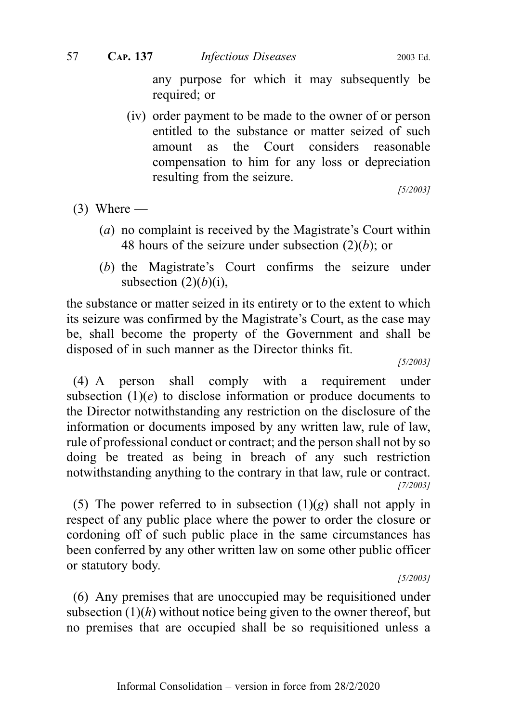any purpose for which it may subsequently be required; or

(iv) order payment to be made to the owner of or person entitled to the substance or matter seized of such amount as the Court considers reasonable compensation to him for any loss or depreciation resulting from the seizure.

[5/2003]

- $(3)$  Where
	- (a) no complaint is received by the Magistrate's Court within 48 hours of the seizure under subsection  $(2)(b)$ ; or
	- (b) the Magistrate's Court confirms the seizure under subsection  $(2)(b)(i)$ ,

the substance or matter seized in its entirety or to the extent to which its seizure was confirmed by the Magistrate's Court, as the case may be, shall become the property of the Government and shall be disposed of in such manner as the Director thinks fit.

[5/2003]

(4) A person shall comply with a requirement under subsection  $(1)(e)$  to disclose information or produce documents to the Director notwithstanding any restriction on the disclosure of the information or documents imposed by any written law, rule of law, rule of professional conduct or contract; and the person shall not by so doing be treated as being in breach of any such restriction notwithstanding anything to the contrary in that law, rule or contract. [7/2003]

(5) The power referred to in subsection  $(1)(g)$  shall not apply in respect of any public place where the power to order the closure or cordoning off of such public place in the same circumstances has been conferred by any other written law on some other public officer or statutory body.

[5/2003]

(6) Any premises that are unoccupied may be requisitioned under subsection  $(1)(h)$  without notice being given to the owner thereof, but no premises that are occupied shall be so requisitioned unless a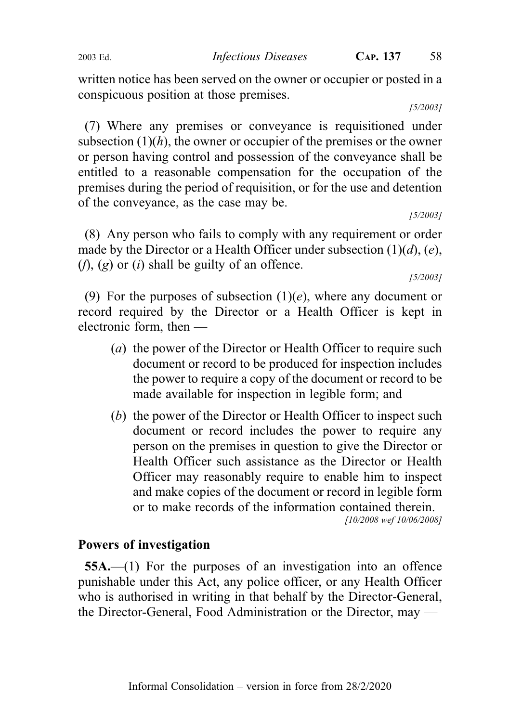written notice has been served on the owner or occupier or posted in a conspicuous position at those premises.

[5/2003]

(7) Where any premises or conveyance is requisitioned under subsection  $(1)(h)$ , the owner or occupier of the premises or the owner or person having control and possession of the conveyance shall be entitled to a reasonable compensation for the occupation of the premises during the period of requisition, or for the use and detention of the conveyance, as the case may be.

[5/2003]

(8) Any person who fails to comply with any requirement or order made by the Director or a Health Officer under subsection  $(1)(d)$ ,  $(e)$ ,  $(f)$ ,  $(g)$  or  $(i)$  shall be guilty of an offence.

[5/2003]

(9) For the purposes of subsection  $(1)(e)$ , where any document or record required by the Director or a Health Officer is kept in electronic form, then —

- (a) the power of the Director or Health Officer to require such document or record to be produced for inspection includes the power to require a copy of the document or record to be made available for inspection in legible form; and
- (b) the power of the Director or Health Officer to inspect such document or record includes the power to require any person on the premises in question to give the Director or Health Officer such assistance as the Director or Health Officer may reasonably require to enable him to inspect and make copies of the document or record in legible form or to make records of the information contained therein.

[10/2008 wef 10/06/2008]

### Powers of investigation

55A.—(1) For the purposes of an investigation into an offence punishable under this Act, any police officer, or any Health Officer who is authorised in writing in that behalf by the Director-General, the Director-General, Food Administration or the Director, may —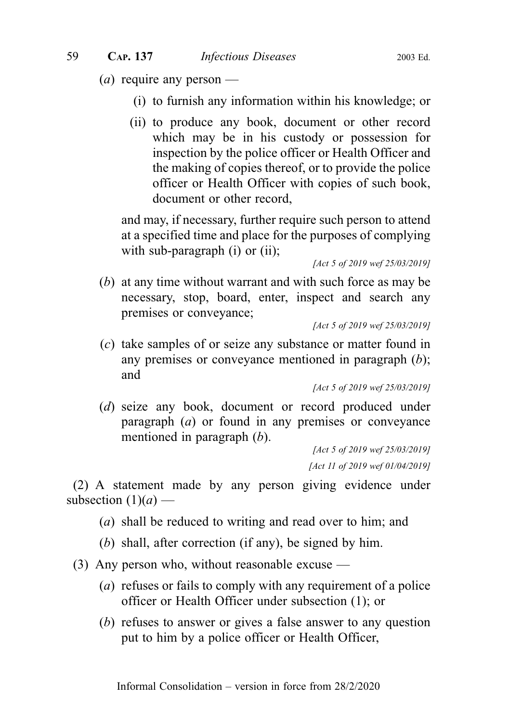- (*a*) require any person
	- (i) to furnish any information within his knowledge; or
	- (ii) to produce any book, document or other record which may be in his custody or possession for inspection by the police officer or Health Officer and the making of copies thereof, or to provide the police officer or Health Officer with copies of such book, document or other record,

and may, if necessary, further require such person to attend at a specified time and place for the purposes of complying with sub-paragraph (i) or (ii);

[Act 5 of 2019 wef 25/03/2019]

(b) at any time without warrant and with such force as may be necessary, stop, board, enter, inspect and search any premises or conveyance;

[Act 5 of 2019 wef 25/03/2019]

(c) take samples of or seize any substance or matter found in any premises or conveyance mentioned in paragraph (b); and

[Act 5 of 2019 wef 25/03/2019]

(d) seize any book, document or record produced under paragraph (a) or found in any premises or conveyance mentioned in paragraph (b).

[Act 5 of 2019 wef 25/03/2019] [Act 11 of 2019 wef 01/04/2019]

(2) A statement made by any person giving evidence under subsection  $(1)(a)$  —

- (a) shall be reduced to writing and read over to him; and
- (b) shall, after correction (if any), be signed by him.
- (3) Any person who, without reasonable excuse
	- (a) refuses or fails to comply with any requirement of a police officer or Health Officer under subsection (1); or
	- (b) refuses to answer or gives a false answer to any question put to him by a police officer or Health Officer,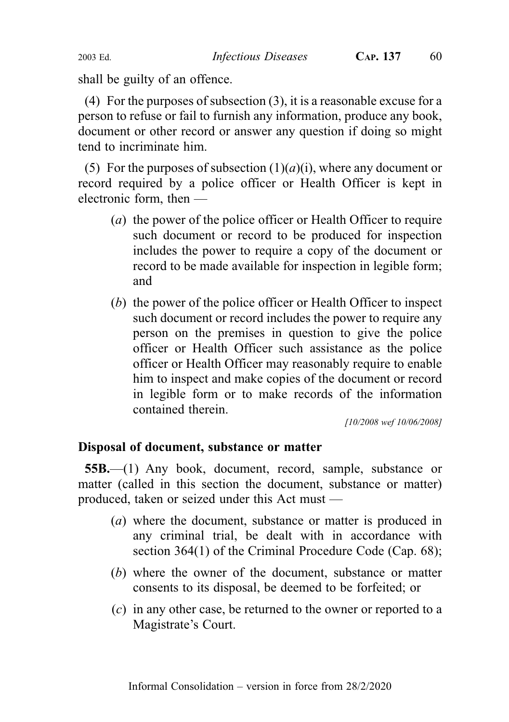shall be guilty of an offence.

(4) For the purposes of subsection (3), it is a reasonable excuse for a person to refuse or fail to furnish any information, produce any book, document or other record or answer any question if doing so might tend to incriminate him.

(5) For the purposes of subsection  $(1)(a)(i)$ , where any document or record required by a police officer or Health Officer is kept in electronic form, then —

- (a) the power of the police officer or Health Officer to require such document or record to be produced for inspection includes the power to require a copy of the document or record to be made available for inspection in legible form; and
- (b) the power of the police officer or Health Officer to inspect such document or record includes the power to require any person on the premises in question to give the police officer or Health Officer such assistance as the police officer or Health Officer may reasonably require to enable him to inspect and make copies of the document or record in legible form or to make records of the information contained therein.

[10/2008 wef 10/06/2008]

# Disposal of document, substance or matter

55B.—(1) Any book, document, record, sample, substance or matter (called in this section the document, substance or matter) produced, taken or seized under this Act must —

- (a) where the document, substance or matter is produced in any criminal trial, be dealt with in accordance with section 364(1) of the Criminal Procedure Code (Cap. 68);
- (b) where the owner of the document, substance or matter consents to its disposal, be deemed to be forfeited; or
- (c) in any other case, be returned to the owner or reported to a Magistrate's Court.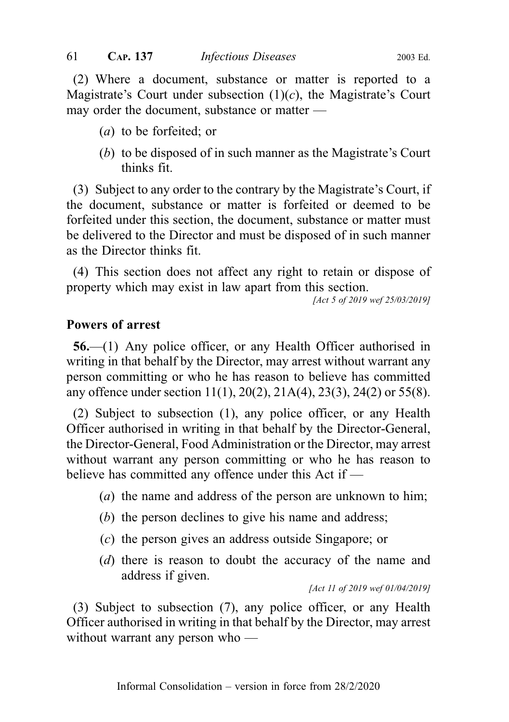(2) Where a document, substance or matter is reported to a Magistrate's Court under subsection  $(1)(c)$ , the Magistrate's Court may order the document, substance or matter —

- (a) to be forfeited; or
- (b) to be disposed of in such manner as the Magistrate's Court thinks fit.

(3) Subject to any order to the contrary by the Magistrate's Court, if the document, substance or matter is forfeited or deemed to be forfeited under this section, the document, substance or matter must be delivered to the Director and must be disposed of in such manner as the Director thinks fit.

(4) This section does not affect any right to retain or dispose of property which may exist in law apart from this section.

[Act 5 of 2019 wef 25/03/2019]

#### Powers of arrest

56.—(1) Any police officer, or any Health Officer authorised in writing in that behalf by the Director, may arrest without warrant any person committing or who he has reason to believe has committed any offence under section 11(1), 20(2), 21A(4), 23(3), 24(2) or 55(8).

(2) Subject to subsection (1), any police officer, or any Health Officer authorised in writing in that behalf by the Director-General, the Director-General, Food Administration or the Director, may arrest without warrant any person committing or who he has reason to believe has committed any offence under this Act if —

- (a) the name and address of the person are unknown to him;
- (b) the person declines to give his name and address;
- (c) the person gives an address outside Singapore; or
- (d) there is reason to doubt the accuracy of the name and address if given.

[Act 11 of 2019 wef 01/04/2019]

(3) Subject to subsection (7), any police officer, or any Health Officer authorised in writing in that behalf by the Director, may arrest without warrant any person who —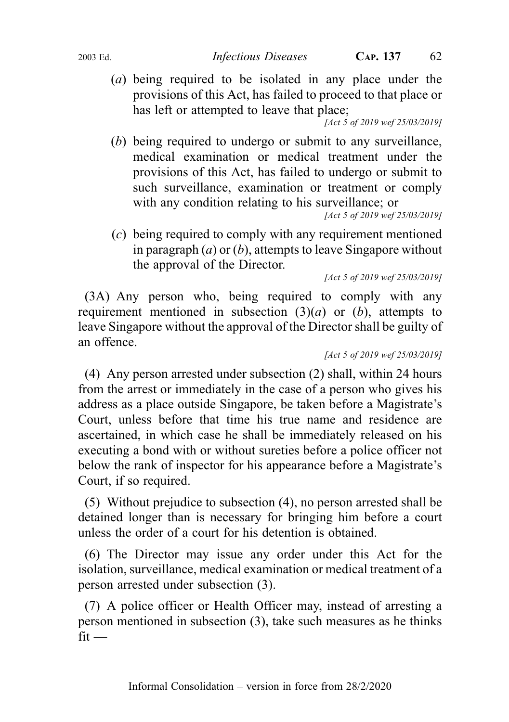(a) being required to be isolated in any place under the provisions of this Act, has failed to proceed to that place or has left or attempted to leave that place;

[Act 5 of 2019 wef 25/03/2019]

(b) being required to undergo or submit to any surveillance, medical examination or medical treatment under the provisions of this Act, has failed to undergo or submit to such surveillance, examination or treatment or comply with any condition relating to his surveillance; or

[Act 5 of 2019 wef 25/03/2019]

(c) being required to comply with any requirement mentioned in paragraph  $(a)$  or  $(b)$ , attempts to leave Singapore without the approval of the Director.

[Act 5 of 2019 wef 25/03/2019]

(3A) Any person who, being required to comply with any requirement mentioned in subsection  $(3)(a)$  or  $(b)$ , attempts to leave Singapore without the approval of the Director shall be guilty of an offence.

[Act 5 of 2019 wef 25/03/2019]

(4) Any person arrested under subsection (2) shall, within 24 hours from the arrest or immediately in the case of a person who gives his address as a place outside Singapore, be taken before a Magistrate's Court, unless before that time his true name and residence are ascertained, in which case he shall be immediately released on his executing a bond with or without sureties before a police officer not below the rank of inspector for his appearance before a Magistrate's Court, if so required.

(5) Without prejudice to subsection (4), no person arrested shall be detained longer than is necessary for bringing him before a court unless the order of a court for his detention is obtained.

(6) The Director may issue any order under this Act for the isolation, surveillance, medical examination or medical treatment of a person arrested under subsection (3).

(7) A police officer or Health Officer may, instead of arresting a person mentioned in subsection (3), take such measures as he thinks  $fit -$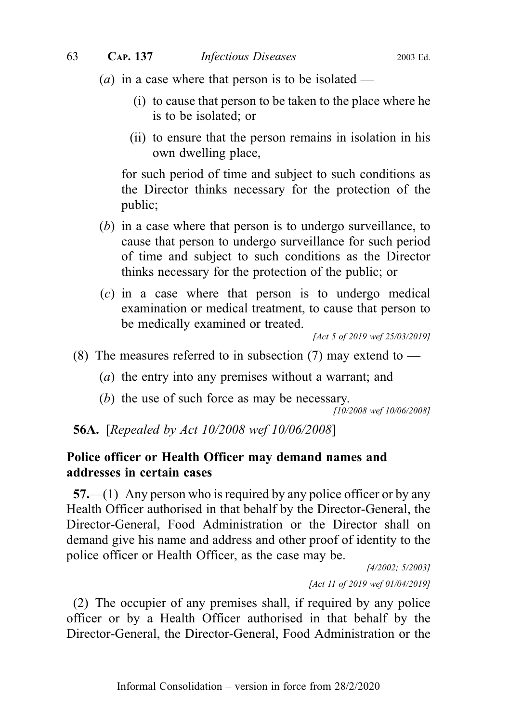- (*a*) in a case where that person is to be isolated
	- (i) to cause that person to be taken to the place where he is to be isolated; or
	- (ii) to ensure that the person remains in isolation in his own dwelling place,

for such period of time and subject to such conditions as the Director thinks necessary for the protection of the public;

- (b) in a case where that person is to undergo surveillance, to cause that person to undergo surveillance for such period of time and subject to such conditions as the Director thinks necessary for the protection of the public; or
- (c) in a case where that person is to undergo medical examination or medical treatment, to cause that person to be medically examined or treated.

[Act 5 of 2019 wef 25/03/2019]

- (8) The measures referred to in subsection (7) may extend to  $-$ 
	- (a) the entry into any premises without a warrant; and
	- (b) the use of such force as may be necessary.

[10/2008 wef 10/06/2008]

**56A.** [Repealed by Act 10/2008 wef 10/06/2008]

## Police officer or Health Officer may demand names and addresses in certain cases

57.—(1) Any person who is required by any police officer or by any Health Officer authorised in that behalf by the Director-General, the Director-General, Food Administration or the Director shall on demand give his name and address and other proof of identity to the police officer or Health Officer, as the case may be.

> [4/2002; 5/2003] [Act 11 of 2019 wef 01/04/2019]

(2) The occupier of any premises shall, if required by any police officer or by a Health Officer authorised in that behalf by the Director-General, the Director-General, Food Administration or the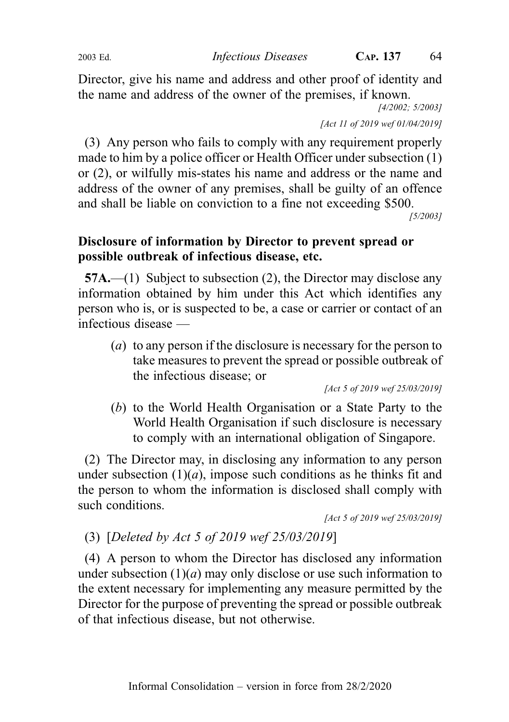Director, give his name and address and other proof of identity and the name and address of the owner of the premises, if known.

[4/2002; 5/2003]

[Act 11 of 2019 wef 01/04/2019]

(3) Any person who fails to comply with any requirement properly made to him by a police officer or Health Officer under subsection (1) or (2), or wilfully mis-states his name and address or the name and address of the owner of any premises, shall be guilty of an offence and shall be liable on conviction to a fine not exceeding \$500.

[5/2003]

# Disclosure of information by Director to prevent spread or possible outbreak of infectious disease, etc.

57A.—(1) Subject to subsection (2), the Director may disclose any information obtained by him under this Act which identifies any person who is, or is suspected to be, a case or carrier or contact of an infectious disease —

(a) to any person if the disclosure is necessary for the person to take measures to prevent the spread or possible outbreak of the infectious disease; or

[Act 5 of 2019 wef 25/03/2019]

(b) to the World Health Organisation or a State Party to the World Health Organisation if such disclosure is necessary to comply with an international obligation of Singapore.

(2) The Director may, in disclosing any information to any person under subsection  $(1)(a)$ , impose such conditions as he thinks fit and the person to whom the information is disclosed shall comply with such conditions.

[Act 5 of 2019 wef 25/03/2019]

(3) [Deleted by Act 5 of 2019 wef 25/03/2019]

(4) A person to whom the Director has disclosed any information under subsection  $(1)(a)$  may only disclose or use such information to the extent necessary for implementing any measure permitted by the Director for the purpose of preventing the spread or possible outbreak of that infectious disease, but not otherwise.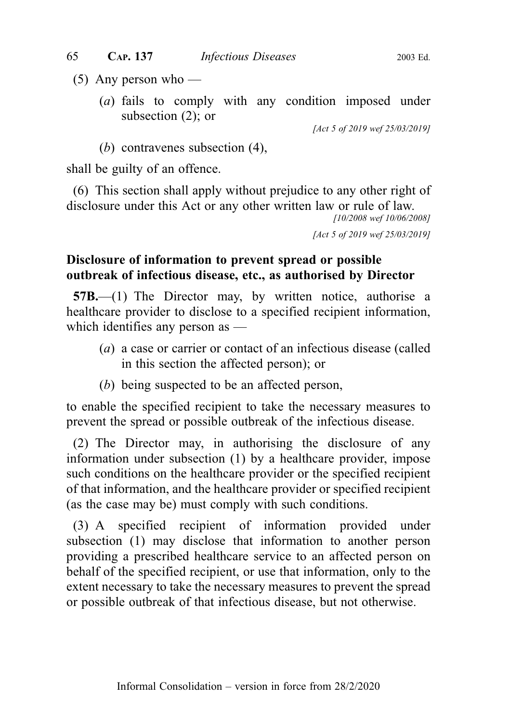- $(5)$  Any person who
	- (a) fails to comply with any condition imposed under subsection (2); or

[Act 5 of 2019 wef 25/03/2019]

(b) contravenes subsection (4),

shall be guilty of an offence.

(6) This section shall apply without prejudice to any other right of disclosure under this Act or any other written law or rule of law.

[10/2008 wef 10/06/2008]

[Act 5 of 2019 wef 25/03/2019]

# Disclosure of information to prevent spread or possible outbreak of infectious disease, etc., as authorised by Director

57B.—(1) The Director may, by written notice, authorise a healthcare provider to disclose to a specified recipient information, which identifies any person as —

- (a) a case or carrier or contact of an infectious disease (called in this section the affected person); or
- (b) being suspected to be an affected person,

to enable the specified recipient to take the necessary measures to prevent the spread or possible outbreak of the infectious disease.

(2) The Director may, in authorising the disclosure of any information under subsection (1) by a healthcare provider, impose such conditions on the healthcare provider or the specified recipient of that information, and the healthcare provider or specified recipient (as the case may be) must comply with such conditions.

(3) A specified recipient of information provided under subsection (1) may disclose that information to another person providing a prescribed healthcare service to an affected person on behalf of the specified recipient, or use that information, only to the extent necessary to take the necessary measures to prevent the spread or possible outbreak of that infectious disease, but not otherwise.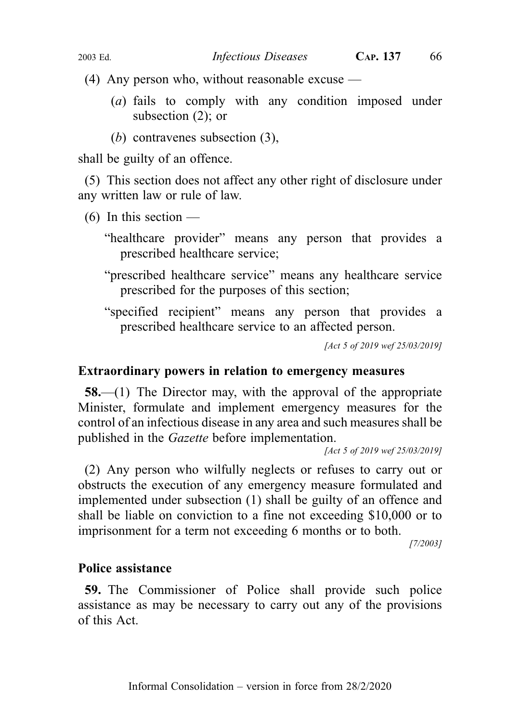(4) Any person who, without reasonable excuse —

- (a) fails to comply with any condition imposed under subsection (2); or
- (b) contravenes subsection (3),

shall be guilty of an offence.

(5) This section does not affect any other right of disclosure under any written law or rule of law.

 $(6)$  In this section —

"healthcare provider" means any person that provides a prescribed healthcare service;

- "prescribed healthcare service" means any healthcare service prescribed for the purposes of this section;
- "specified recipient" means any person that provides a prescribed healthcare service to an affected person.

[Act 5 of 2019 wef 25/03/2019]

#### Extraordinary powers in relation to emergency measures

58.—(1) The Director may, with the approval of the appropriate Minister, formulate and implement emergency measures for the control of an infectious disease in any area and such measures shall be published in the Gazette before implementation.

[Act 5 of 2019 wef 25/03/2019]

(2) Any person who wilfully neglects or refuses to carry out or obstructs the execution of any emergency measure formulated and implemented under subsection (1) shall be guilty of an offence and shall be liable on conviction to a fine not exceeding \$10,000 or to imprisonment for a term not exceeding 6 months or to both.

[7/2003]

### Police assistance

59. The Commissioner of Police shall provide such police assistance as may be necessary to carry out any of the provisions of this Act.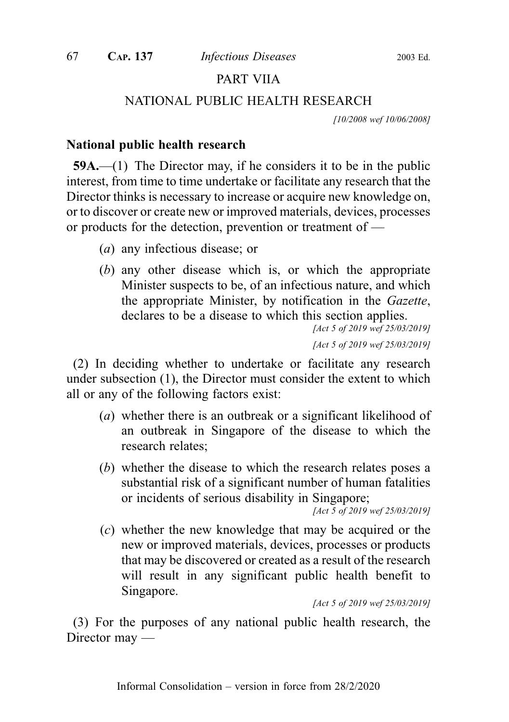# PART VIIA

### NATIONAL PUBLIC HEALTH RESEARCH

[10/2008 wef 10/06/2008]

#### National public health research

59A.—(1) The Director may, if he considers it to be in the public interest, from time to time undertake or facilitate any research that the Director thinks is necessary to increase or acquire new knowledge on, or to discover or create new or improved materials, devices, processes or products for the detection, prevention or treatment of —

- (a) any infectious disease; or
- (b) any other disease which is, or which the appropriate Minister suspects to be, of an infectious nature, and which the appropriate Minister, by notification in the Gazette, declares to be a disease to which this section applies.

[Act 5 of 2019 wef 25/03/2019] [Act 5 of 2019 wef 25/03/2019]

(2) In deciding whether to undertake or facilitate any research under subsection (1), the Director must consider the extent to which all or any of the following factors exist:

- (a) whether there is an outbreak or a significant likelihood of an outbreak in Singapore of the disease to which the research relates;
- (b) whether the disease to which the research relates poses a substantial risk of a significant number of human fatalities or incidents of serious disability in Singapore;

[Act 5 of 2019 wef 25/03/2019]

(c) whether the new knowledge that may be acquired or the new or improved materials, devices, processes or products that may be discovered or created as a result of the research will result in any significant public health benefit to Singapore.

[Act 5 of 2019 wef 25/03/2019]

(3) For the purposes of any national public health research, the Director may —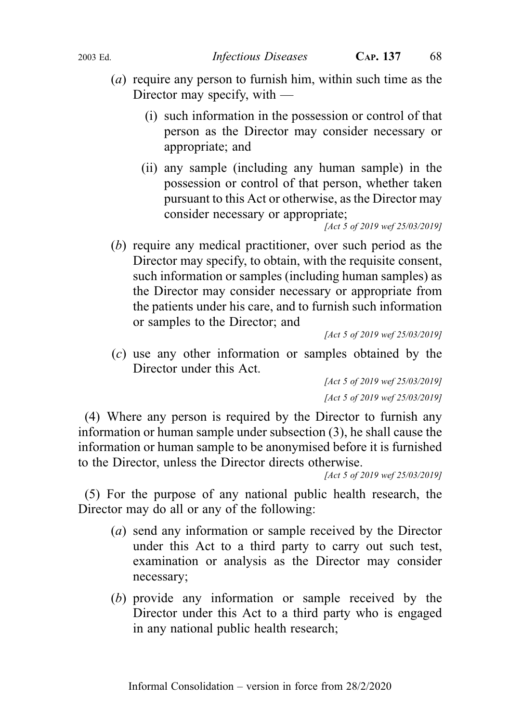- (a) require any person to furnish him, within such time as the Director may specify, with —
	- (i) such information in the possession or control of that person as the Director may consider necessary or appropriate; and
	- (ii) any sample (including any human sample) in the possession or control of that person, whether taken pursuant to this Act or otherwise, as the Director may consider necessary or appropriate;

[Act 5 of 2019 wef 25/03/2019]

(b) require any medical practitioner, over such period as the Director may specify, to obtain, with the requisite consent, such information or samples (including human samples) as the Director may consider necessary or appropriate from the patients under his care, and to furnish such information or samples to the Director; and

```
[Act 5 of 2019 wef 25/03/2019]
```
(c) use any other information or samples obtained by the Director under this Act.

> [Act 5 of 2019 wef 25/03/2019] [Act 5 of 2019 wef 25/03/2019]

(4) Where any person is required by the Director to furnish any information or human sample under subsection (3), he shall cause the information or human sample to be anonymised before it is furnished to the Director, unless the Director directs otherwise.

[Act 5 of 2019 wef 25/03/2019]

(5) For the purpose of any national public health research, the Director may do all or any of the following:

- (a) send any information or sample received by the Director under this Act to a third party to carry out such test, examination or analysis as the Director may consider necessary;
- (b) provide any information or sample received by the Director under this Act to a third party who is engaged in any national public health research;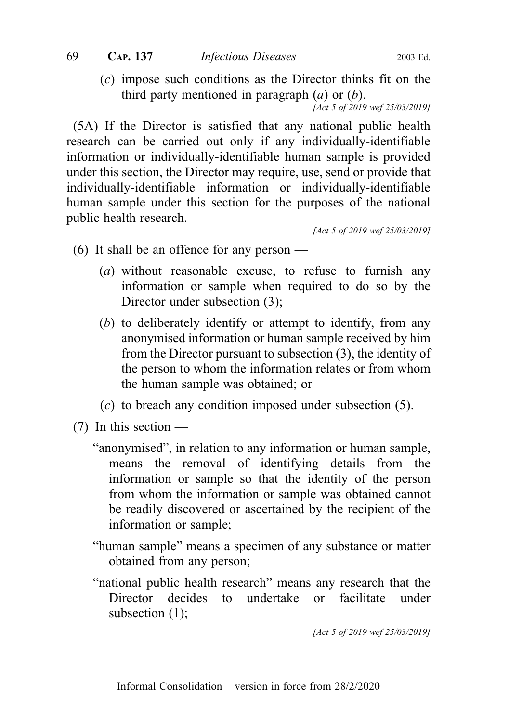(c) impose such conditions as the Director thinks fit on the third party mentioned in paragraph  $(a)$  or  $(b)$ .

[Act 5 of 2019 wef 25/03/2019]

(5A) If the Director is satisfied that any national public health research can be carried out only if any individually-identifiable information or individually-identifiable human sample is provided under this section, the Director may require, use, send or provide that individually-identifiable information or individually-identifiable human sample under this section for the purposes of the national public health research.

[Act 5 of 2019 wef 25/03/2019]

- (6) It shall be an offence for any person
	- (a) without reasonable excuse, to refuse to furnish any information or sample when required to do so by the Director under subsection (3);
	- (b) to deliberately identify or attempt to identify, from any anonymised information or human sample received by him from the Director pursuant to subsection (3), the identity of the person to whom the information relates or from whom the human sample was obtained; or
	- (c) to breach any condition imposed under subsection (5).
- $(7)$  In this section
	- "anonymised", in relation to any information or human sample, means the removal of identifying details from the information or sample so that the identity of the person from whom the information or sample was obtained cannot be readily discovered or ascertained by the recipient of the information or sample;
	- "human sample" means a specimen of any substance or matter obtained from any person;
	- "national public health research" means any research that the Director decides to undertake or facilitate under subsection (1);

[Act 5 of 2019 wef 25/03/2019]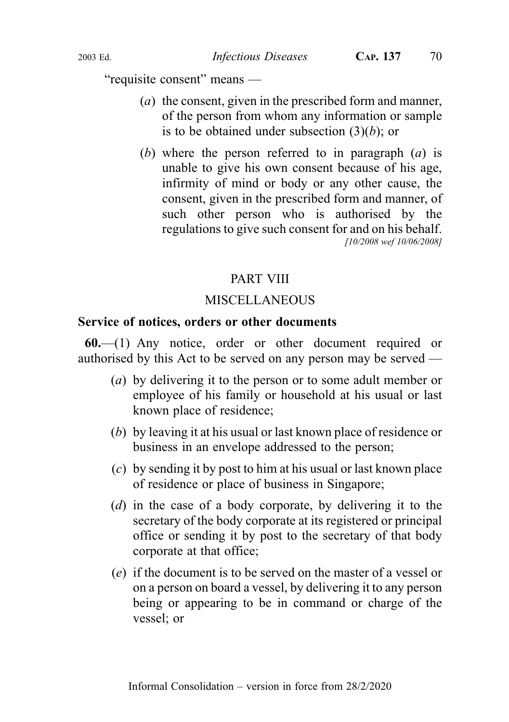"requisite consent" means —

- (a) the consent, given in the prescribed form and manner, of the person from whom any information or sample is to be obtained under subsection  $(3)(b)$ ; or
- (b) where the person referred to in paragraph  $(a)$  is unable to give his own consent because of his age, infirmity of mind or body or any other cause, the consent, given in the prescribed form and manner, of such other person who is authorised by the regulations to give such consent for and on his behalf. [10/2008 wef 10/06/2008]

# PART VIII

# MISCELLANEOUS

### Service of notices, orders or other documents

60.—(1) Any notice, order or other document required or authorised by this Act to be served on any person may be served —

- (a) by delivering it to the person or to some adult member or employee of his family or household at his usual or last known place of residence;
- (b) by leaving it at his usual or last known place of residence or business in an envelope addressed to the person;
- (c) by sending it by post to him at his usual or last known place of residence or place of business in Singapore;
- (d) in the case of a body corporate, by delivering it to the secretary of the body corporate at its registered or principal office or sending it by post to the secretary of that body corporate at that office;
- (e) if the document is to be served on the master of a vessel or on a person on board a vessel, by delivering it to any person being or appearing to be in command or charge of the vessel; or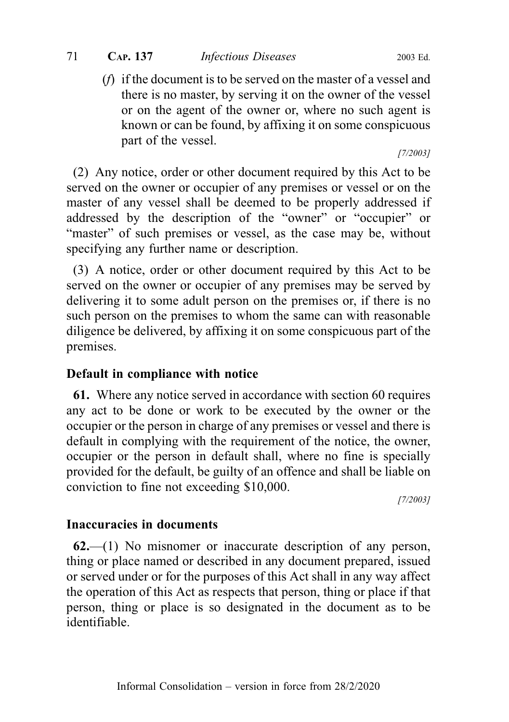## 71 CAP. 137 Infectious Diseases 2003 Ed.

(f) if the document is to be served on the master of a vessel and there is no master, by serving it on the owner of the vessel or on the agent of the owner or, where no such agent is known or can be found, by affixing it on some conspicuous part of the vessel.

[7/2003]

(2) Any notice, order or other document required by this Act to be served on the owner or occupier of any premises or vessel or on the master of any vessel shall be deemed to be properly addressed if addressed by the description of the "owner" or "occupier" or "master" of such premises or vessel, as the case may be, without specifying any further name or description.

(3) A notice, order or other document required by this Act to be served on the owner or occupier of any premises may be served by delivering it to some adult person on the premises or, if there is no such person on the premises to whom the same can with reasonable diligence be delivered, by affixing it on some conspicuous part of the premises.

# Default in compliance with notice

61. Where any notice served in accordance with section 60 requires any act to be done or work to be executed by the owner or the occupier or the person in charge of any premises or vessel and there is default in complying with the requirement of the notice, the owner, occupier or the person in default shall, where no fine is specially provided for the default, be guilty of an offence and shall be liable on conviction to fine not exceeding \$10,000.

[7/2003]

# Inaccuracies in documents

 $62$ —(1) No misnomer or inaccurate description of any person, thing or place named or described in any document prepared, issued or served under or for the purposes of this Act shall in any way affect the operation of this Act as respects that person, thing or place if that person, thing or place is so designated in the document as to be identifiable.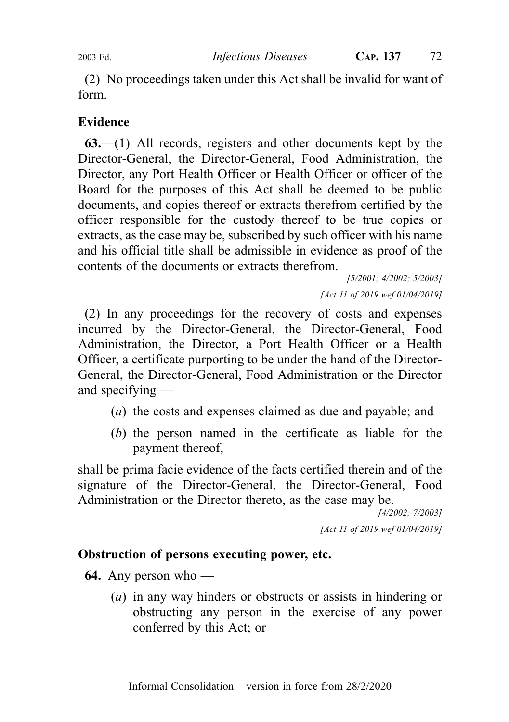(2) No proceedings taken under this Act shall be invalid for want of form.

## Evidence

63.—(1) All records, registers and other documents kept by the Director-General, the Director-General, Food Administration, the Director, any Port Health Officer or Health Officer or officer of the Board for the purposes of this Act shall be deemed to be public documents, and copies thereof or extracts therefrom certified by the officer responsible for the custody thereof to be true copies or extracts, as the case may be, subscribed by such officer with his name and his official title shall be admissible in evidence as proof of the contents of the documents or extracts therefrom.

[5/2001; 4/2002; 5/2003] [Act 11 of 2019 wef 01/04/2019]

(2) In any proceedings for the recovery of costs and expenses incurred by the Director-General, the Director-General, Food Administration, the Director, a Port Health Officer or a Health Officer, a certificate purporting to be under the hand of the Director-General, the Director-General, Food Administration or the Director and specifying —

- (a) the costs and expenses claimed as due and payable; and
- (b) the person named in the certificate as liable for the payment thereof,

shall be prima facie evidence of the facts certified therein and of the signature of the Director-General, the Director-General, Food Administration or the Director thereto, as the case may be.

> [4/2002; 7/2003] [Act 11 of 2019 wef 01/04/2019]

### Obstruction of persons executing power, etc.

**64.** Any person who —

(a) in any way hinders or obstructs or assists in hindering or obstructing any person in the exercise of any power conferred by this Act; or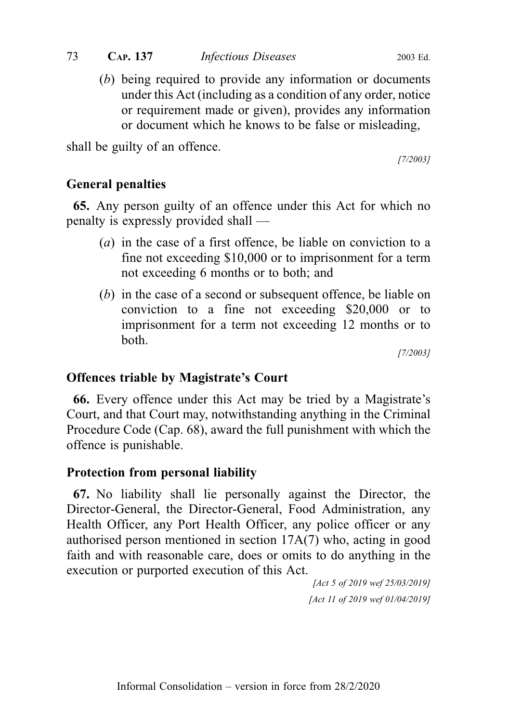or requirement made or given), provides any information or document which he knows to be false or misleading,

shall be guilty of an offence.

[7/2003]

# General penalties

65. Any person guilty of an offence under this Act for which no penalty is expressly provided shall —

- (a) in the case of a first offence, be liable on conviction to a fine not exceeding \$10,000 or to imprisonment for a term not exceeding 6 months or to both; and
- (b) in the case of a second or subsequent offence, be liable on conviction to a fine not exceeding \$20,000 or to imprisonment for a term not exceeding 12 months or to both.

[7/2003]

# Offences triable by Magistrate's Court

66. Every offence under this Act may be tried by a Magistrate's Court, and that Court may, notwithstanding anything in the Criminal Procedure Code (Cap. 68), award the full punishment with which the offence is punishable.

# Protection from personal liability

67. No liability shall lie personally against the Director, the Director-General, the Director-General, Food Administration, any Health Officer, any Port Health Officer, any police officer or any authorised person mentioned in section 17A(7) who, acting in good faith and with reasonable care, does or omits to do anything in the execution or purported execution of this Act.

[Act 5 of 2019 wef 25/03/2019] [Act 11 of 2019 wef 01/04/2019]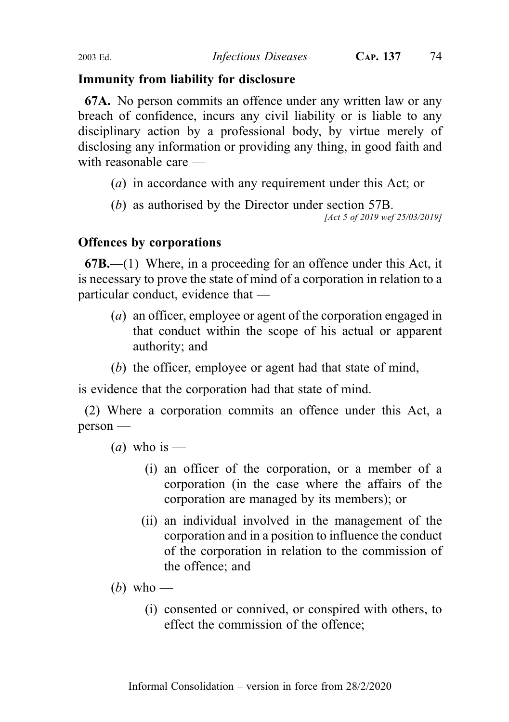# Immunity from liability for disclosure

67A. No person commits an offence under any written law or any breach of confidence, incurs any civil liability or is liable to any disciplinary action by a professional body, by virtue merely of disclosing any information or providing any thing, in good faith and with reasonable care

- (a) in accordance with any requirement under this Act; or
- (b) as authorised by the Director under section 57B.

[Act 5 of 2019 wef 25/03/2019]

# Offences by corporations

67B.—(1) Where, in a proceeding for an offence under this Act, it is necessary to prove the state of mind of a corporation in relation to a particular conduct, evidence that —

- (a) an officer, employee or agent of the corporation engaged in that conduct within the scope of his actual or apparent authority; and
- (b) the officer, employee or agent had that state of mind,

is evidence that the corporation had that state of mind.

(2) Where a corporation commits an offence under this Act, a person —

(*a*) who is —

- (i) an officer of the corporation, or a member of a corporation (in the case where the affairs of the corporation are managed by its members); or
- (ii) an individual involved in the management of the corporation and in a position to influence the conduct of the corporation in relation to the commission of the offence; and
- (b) who
	- (i) consented or connived, or conspired with others, to effect the commission of the offence;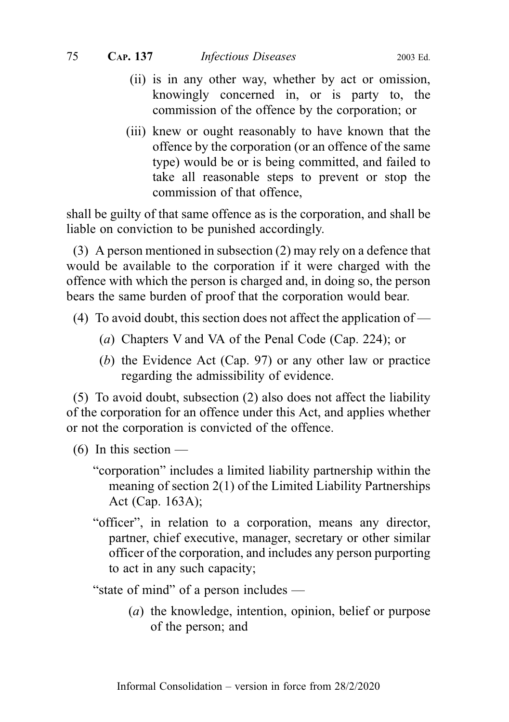- (ii) is in any other way, whether by act or omission, knowingly concerned in, or is party to, the commission of the offence by the corporation; or
- (iii) knew or ought reasonably to have known that the offence by the corporation (or an offence of the same type) would be or is being committed, and failed to take all reasonable steps to prevent or stop the commission of that offence,

shall be guilty of that same offence as is the corporation, and shall be liable on conviction to be punished accordingly.

(3) A person mentioned in subsection (2) may rely on a defence that would be available to the corporation if it were charged with the offence with which the person is charged and, in doing so, the person bears the same burden of proof that the corporation would bear.

- (4) To avoid doubt, this section does not affect the application of
	- (a) Chapters V and VA of the Penal Code (Cap. 224); or
	- (b) the Evidence Act (Cap. 97) or any other law or practice regarding the admissibility of evidence.

(5) To avoid doubt, subsection (2) also does not affect the liability of the corporation for an offence under this Act, and applies whether or not the corporation is convicted of the offence.

- $(6)$  In this section
	- "corporation" includes a limited liability partnership within the meaning of section 2(1) of the Limited Liability Partnerships Act (Cap. 163A);
	- "officer", in relation to a corporation, means any director, partner, chief executive, manager, secretary or other similar officer of the corporation, and includes any person purporting to act in any such capacity;

"state of mind" of a person includes —

(a) the knowledge, intention, opinion, belief or purpose of the person; and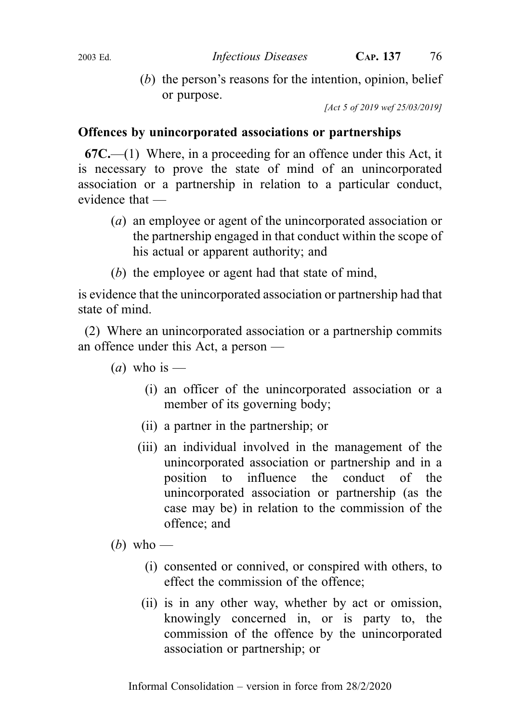(b) the person's reasons for the intention, opinion, belief or purpose.

[Act 5 of 2019 wef 25/03/2019]

## Offences by unincorporated associations or partnerships

67C.—(1) Where, in a proceeding for an offence under this Act, it is necessary to prove the state of mind of an unincorporated association or a partnership in relation to a particular conduct, evidence that —

- (a) an employee or agent of the unincorporated association or the partnership engaged in that conduct within the scope of his actual or apparent authority; and
- (b) the employee or agent had that state of mind,

is evidence that the unincorporated association or partnership had that state of mind.

(2) Where an unincorporated association or a partnership commits an offence under this Act, a person —

- (*a*) who is
	- (i) an officer of the unincorporated association or a member of its governing body;
	- (ii) a partner in the partnership; or
	- (iii) an individual involved in the management of the unincorporated association or partnership and in a position to influence the conduct of the unincorporated association or partnership (as the case may be) in relation to the commission of the offence; and
- (b) who
	- (i) consented or connived, or conspired with others, to effect the commission of the offence;
	- (ii) is in any other way, whether by act or omission, knowingly concerned in, or is party to, the commission of the offence by the unincorporated association or partnership; or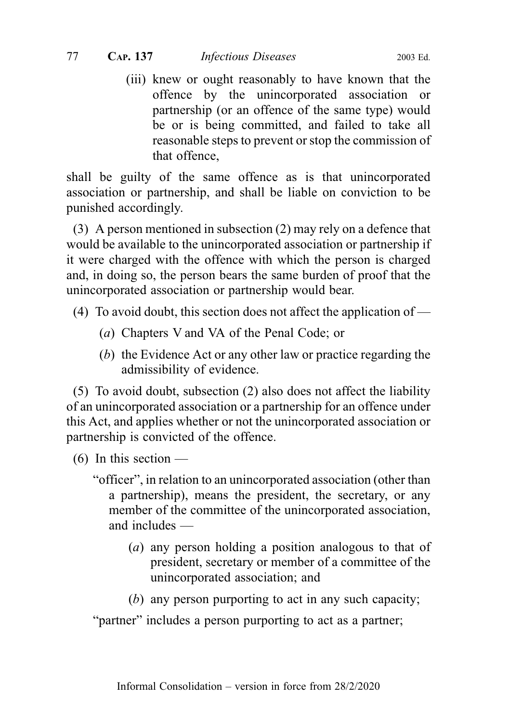(iii) knew or ought reasonably to have known that the offence by the unincorporated association or partnership (or an offence of the same type) would be or is being committed, and failed to take all reasonable steps to prevent or stop the commission of that offence,

shall be guilty of the same offence as is that unincorporated association or partnership, and shall be liable on conviction to be punished accordingly.

(3) A person mentioned in subsection (2) may rely on a defence that would be available to the unincorporated association or partnership if it were charged with the offence with which the person is charged and, in doing so, the person bears the same burden of proof that the unincorporated association or partnership would bear.

- (4) To avoid doubt, this section does not affect the application of
	- (a) Chapters V and VA of the Penal Code; or
	- (b) the Evidence Act or any other law or practice regarding the admissibility of evidence.

(5) To avoid doubt, subsection (2) also does not affect the liability of an unincorporated association or a partnership for an offence under this Act, and applies whether or not the unincorporated association or partnership is convicted of the offence.

- $(6)$  In this section
	- "officer", in relation to an unincorporated association (other than a partnership), means the president, the secretary, or any member of the committee of the unincorporated association, and includes —
		- (a) any person holding a position analogous to that of president, secretary or member of a committee of the unincorporated association; and
		- (b) any person purporting to act in any such capacity;

"partner" includes a person purporting to act as a partner;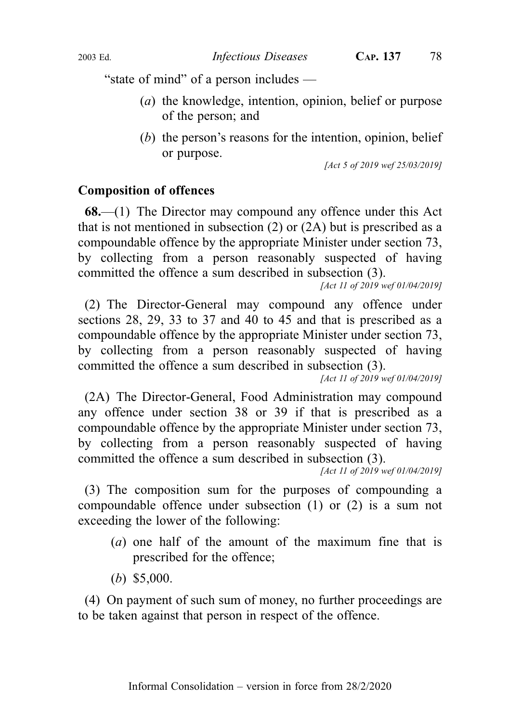"state of mind" of a person includes —

- (a) the knowledge, intention, opinion, belief or purpose of the person; and
- (b) the person's reasons for the intention, opinion, belief or purpose.

[Act 5 of 2019 wef 25/03/2019]

### Composition of offences

68.—(1) The Director may compound any offence under this Act that is not mentioned in subsection (2) or (2A) but is prescribed as a compoundable offence by the appropriate Minister under section 73, by collecting from a person reasonably suspected of having committed the offence a sum described in subsection (3).

[Act 11 of 2019 wef 01/04/2019]

(2) The Director-General may compound any offence under sections 28, 29, 33 to 37 and 40 to 45 and that is prescribed as a compoundable offence by the appropriate Minister under section 73, by collecting from a person reasonably suspected of having committed the offence a sum described in subsection (3).

[Act 11 of 2019 wef 01/04/2019]

(2A) The Director-General, Food Administration may compound any offence under section 38 or 39 if that is prescribed as a compoundable offence by the appropriate Minister under section 73, by collecting from a person reasonably suspected of having committed the offence a sum described in subsection (3).

[Act 11 of 2019 wef 01/04/2019]

(3) The composition sum for the purposes of compounding a compoundable offence under subsection (1) or (2) is a sum not exceeding the lower of the following:

- (a) one half of the amount of the maximum fine that is prescribed for the offence;
- (b) \$5,000.

(4) On payment of such sum of money, no further proceedings are to be taken against that person in respect of the offence.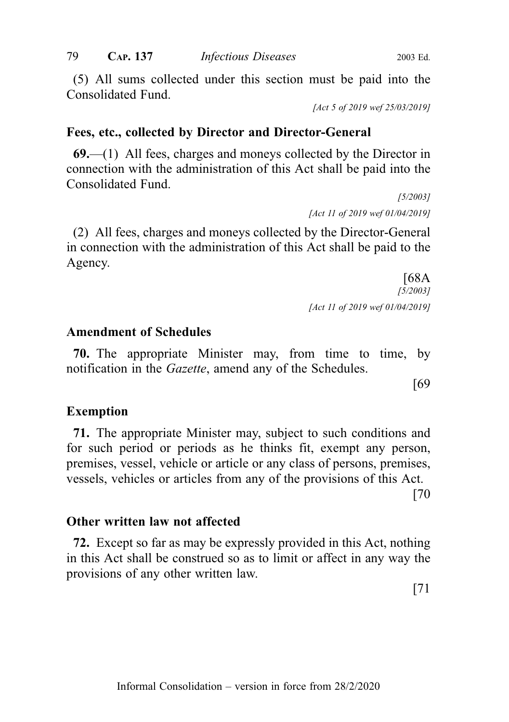(5) All sums collected under this section must be paid into the Consolidated Fund.

[Act 5 of 2019 wef 25/03/2019]

### Fees, etc., collected by Director and Director-General

 $69$ —(1) All fees, charges and moneys collected by the Director in connection with the administration of this Act shall be paid into the Consolidated Fund.

> [5/2003] [Act 11 of 2019 wef 01/04/2019]

(2) All fees, charges and moneys collected by the Director-General in connection with the administration of this Act shall be paid to the Agency.

> [68A [5/2003] [Act 11 of 2019 wef 01/04/2019]

### Amendment of Schedules

70. The appropriate Minister may, from time to time, by notification in the *Gazette*, amend any of the Schedules.

[69

### Exemption

71. The appropriate Minister may, subject to such conditions and for such period or periods as he thinks fit, exempt any person, premises, vessel, vehicle or article or any class of persons, premises, vessels, vehicles or articles from any of the provisions of this Act.

[70

### Other written law not affected

72. Except so far as may be expressly provided in this Act, nothing in this Act shall be construed so as to limit or affect in any way the provisions of any other written law.

[71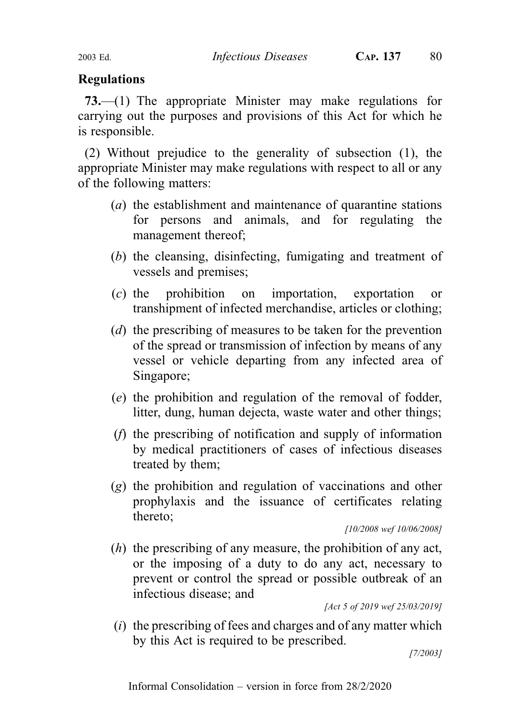# Regulations

73.—(1) The appropriate Minister may make regulations for carrying out the purposes and provisions of this Act for which he is responsible.

(2) Without prejudice to the generality of subsection (1), the appropriate Minister may make regulations with respect to all or any of the following matters:

- (a) the establishment and maintenance of quarantine stations for persons and animals, and for regulating the management thereof;
- (b) the cleansing, disinfecting, fumigating and treatment of vessels and premises;
- (c) the prohibition on importation, exportation or transhipment of infected merchandise, articles or clothing;
- (d) the prescribing of measures to be taken for the prevention of the spread or transmission of infection by means of any vessel or vehicle departing from any infected area of Singapore;
- (e) the prohibition and regulation of the removal of fodder, litter, dung, human dejecta, waste water and other things;
- (f) the prescribing of notification and supply of information by medical practitioners of cases of infectious diseases treated by them;
- (g) the prohibition and regulation of vaccinations and other prophylaxis and the issuance of certificates relating thereto;

[10/2008 wef 10/06/2008]

(h) the prescribing of any measure, the prohibition of any act, or the imposing of a duty to do any act, necessary to prevent or control the spread or possible outbreak of an infectious disease; and

[Act 5 of 2019 wef 25/03/2019]

 $(i)$  the prescribing of fees and charges and of any matter which by this Act is required to be prescribed.

[7/2003]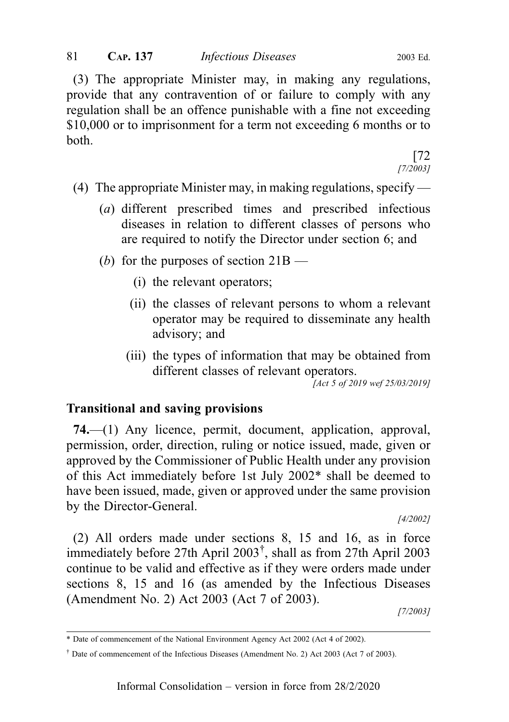(3) The appropriate Minister may, in making any regulations, provide that any contravention of or failure to comply with any regulation shall be an offence punishable with a fine not exceeding \$10,000 or to imprisonment for a term not exceeding 6 months or to both.

[72 [7/2003]

- (4) The appropriate Minister may, in making regulations, specify
	- (a) different prescribed times and prescribed infectious diseases in relation to different classes of persons who are required to notify the Director under section 6; and
	- (b) for the purposes of section  $21B -$ 
		- (i) the relevant operators;
		- (ii) the classes of relevant persons to whom a relevant operator may be required to disseminate any health advisory; and
		- (iii) the types of information that may be obtained from different classes of relevant operators.

[Act 5 of 2019 wef 25/03/2019]

### Transitional and saving provisions

74.—(1) Any licence, permit, document, application, approval, permission, order, direction, ruling or notice issued, made, given or approved by the Commissioner of Public Health under any provision of this Act immediately before 1st July 2002\* shall be deemed to have been issued, made, given or approved under the same provision by the Director-General.

[4/2002]

(2) All orders made under sections 8, 15 and 16, as in force immediately before 27th April 2003† , shall as from 27th April 2003 continue to be valid and effective as if they were orders made under sections 8, 15 and 16 (as amended by the Infectious Diseases (Amendment No. 2) Act 2003 (Act 7 of 2003).

[7/2003]

<sup>\*</sup> Date of commencement of the National Environment Agency Act 2002 (Act 4 of 2002).

<sup>†</sup> Date of commencement of the Infectious Diseases (Amendment No. 2) Act 2003 (Act 7 of 2003).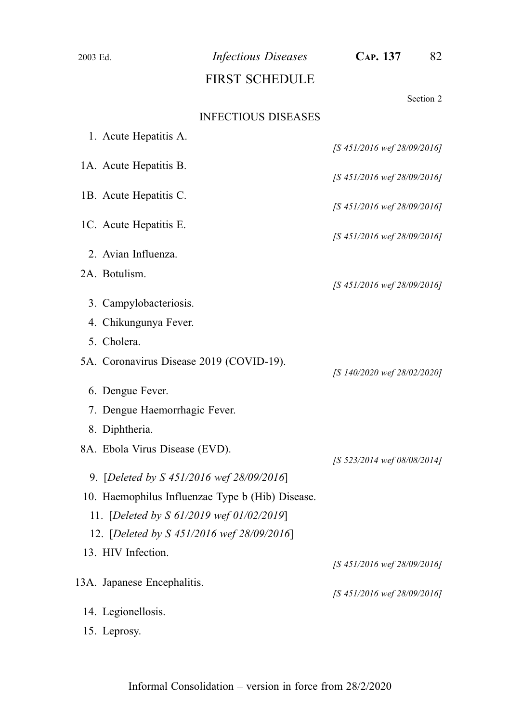| 2003 Ed. | <b>Infectious Diseases</b>                       | CAP. 137<br>82              |
|----------|--------------------------------------------------|-----------------------------|
|          | <b>FIRST SCHEDULE</b>                            |                             |
|          |                                                  | Section 2                   |
|          | <b>INFECTIOUS DISEASES</b>                       |                             |
|          | 1. Acute Hepatitis A.                            |                             |
|          | 1A. Acute Hepatitis B.                           | [S 451/2016 wef 28/09/2016] |
|          |                                                  | [S 451/2016 wef 28/09/2016] |
|          | 1B. Acute Hepatitis C.                           | [S 451/2016 wef 28/09/2016] |
|          | 1C. Acute Hepatitis E.                           |                             |
|          |                                                  | [S 451/2016 wef 28/09/2016] |
|          | 2. Avian Influenza.                              |                             |
|          | 2A. Botulism.                                    | [S 451/2016 wef 28/09/2016] |
|          | 3. Campylobacteriosis.                           |                             |
|          | 4. Chikungunya Fever.                            |                             |
|          | 5. Cholera.                                      |                             |
|          | 5A. Coronavirus Disease 2019 (COVID-19).         |                             |
|          |                                                  | [S 140/2020 wef 28/02/2020] |
|          | 6. Dengue Fever.                                 |                             |
|          | 7. Dengue Haemorrhagic Fever.                    |                             |
|          | 8. Diphtheria.                                   |                             |
|          | 8A. Ebola Virus Disease (EVD).                   | [S 523/2014 wef 08/08/2014] |
|          | 9. [Deleted by S 451/2016 wef 28/09/2016]        |                             |
|          | 10. Haemophilus Influenzae Type b (Hib) Disease. |                             |
|          | 11. [Deleted by S 61/2019 wef 01/02/2019]        |                             |
|          | 12. [Deleted by S 451/2016 wef 28/09/2016]       |                             |
|          | 13. HIV Infection.                               | [S 451/2016 wef 28/09/2016] |
|          | 13A. Japanese Encephalitis.                      |                             |
|          |                                                  | [S 451/2016 wef 28/09/2016] |
|          | 14. Legionellosis.                               |                             |
|          | 15. Leprosy.                                     |                             |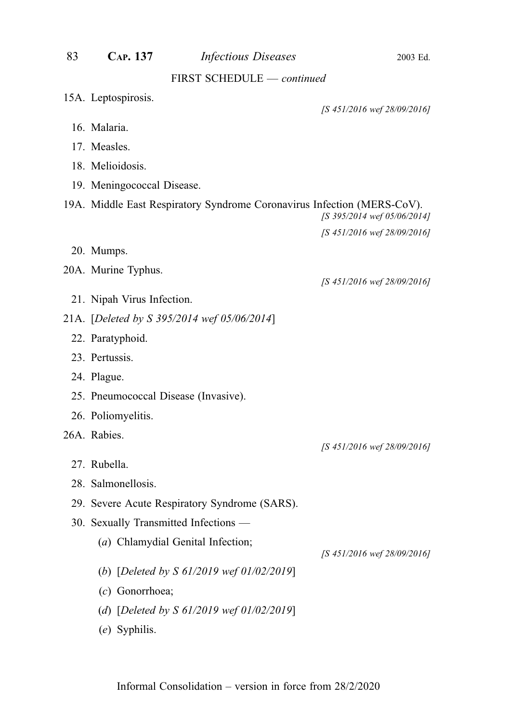| 83                         | CAP. 137                              | <b>Infectious Diseases</b>                                              | 2003 Ed.                    |  |
|----------------------------|---------------------------------------|-------------------------------------------------------------------------|-----------------------------|--|
| FIRST SCHEDULE - continued |                                       |                                                                         |                             |  |
|                            | 15A. Leptospirosis.                   |                                                                         |                             |  |
|                            | 16. Malaria.                          |                                                                         | [S 451/2016 wef 28/09/2016] |  |
|                            |                                       |                                                                         |                             |  |
|                            | 17. Measles.<br>18. Melioidosis.      |                                                                         |                             |  |
|                            |                                       |                                                                         |                             |  |
|                            | 19. Meningococcal Disease.            |                                                                         |                             |  |
|                            |                                       | 19A. Middle East Respiratory Syndrome Coronavirus Infection (MERS-CoV). | [S 395/2014 wef 05/06/2014] |  |
|                            |                                       |                                                                         | [S 451/2016 wef 28/09/2016] |  |
|                            | 20. Mumps.                            |                                                                         |                             |  |
|                            | 20A. Murine Typhus.                   |                                                                         |                             |  |
|                            |                                       |                                                                         | [S 451/2016 wef 28/09/2016] |  |
|                            | 21. Nipah Virus Infection.            |                                                                         |                             |  |
|                            |                                       | 21A. [Deleted by S 395/2014 wef 05/06/2014]                             |                             |  |
|                            | 22. Paratyphoid.                      |                                                                         |                             |  |
|                            | 23. Pertussis.                        |                                                                         |                             |  |
|                            | 24. Plague.                           |                                                                         |                             |  |
|                            | 25. Pneumococcal Disease (Invasive).  |                                                                         |                             |  |
|                            | 26. Poliomyelitis.                    |                                                                         |                             |  |
|                            | 26A. Rabies.                          |                                                                         |                             |  |
|                            |                                       |                                                                         | [S 451/2016 wef 28/09/2016] |  |
|                            | 27. Rubella.                          |                                                                         |                             |  |
|                            | 28. Salmonellosis.                    |                                                                         |                             |  |
|                            |                                       | 29. Severe Acute Respiratory Syndrome (SARS).                           |                             |  |
|                            | 30. Sexually Transmitted Infections - |                                                                         |                             |  |
|                            |                                       | (a) Chlamydial Genital Infection;                                       | [S 451/2016 wef 28/09/2016] |  |
|                            |                                       | (b) [Deleted by S $61/2019$ wef $01/02/2019$ ]                          |                             |  |
|                            | (c) Gonorrhoea;                       |                                                                         |                             |  |
|                            |                                       | (d) [Deleted by S $61/2019$ wef $01/02/2019$ ]                          |                             |  |
|                            | (e) Syphilis.                         |                                                                         |                             |  |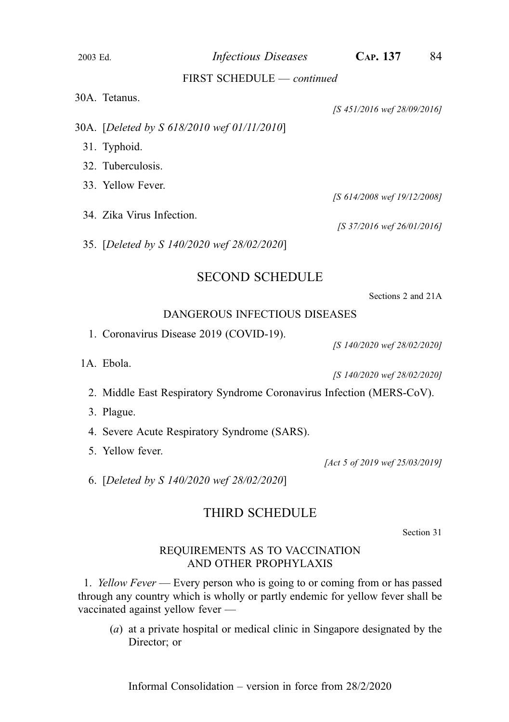2003 Ed. *Infectious Diseases* CAP. 137 84

#### FIRST SCHEDULE — continued

| 30A. Tetanus.                               | [S 451/2016 wef 28/09/2016] |
|---------------------------------------------|-----------------------------|
| 30A. [Deleted by S 618/2010 wef 01/11/2010] |                             |
| 31. Typhoid.                                |                             |
| 32. Tuberculosis.                           |                             |
| 33. Yellow Fever.                           |                             |
|                                             | [S 614/2008 wef 19/12/2008] |
| 34. Zika Virus Infection.                   | [S 37/2016 wef 26/01/2016]  |
| 35. [Deleted by S 140/2020 wef 28/02/2020]  |                             |
|                                             |                             |

### SECOND SCHEDULE

Sections 2 and 21A

#### DANGEROUS INFECTIOUS DISEASES

1. Coronavirus Disease 2019 (COVID-19).

1A. Ebola.

[S 140/2020 wef 28/02/2020]

[S 140/2020 wef 28/02/2020]

- 2. Middle East Respiratory Syndrome Coronavirus Infection (MERS-CoV).
- 3. Plague.
- 4. Severe Acute Respiratory Syndrome (SARS).
- 5. Yellow fever.

[Act 5 of 2019 wef 25/03/2019]

6. [Deleted by S 140/2020 wef 28/02/2020]

### THIRD SCHEDULE

Section 31

### REQUIREMENTS AS TO VACCINATION AND OTHER PROPHYLAXIS

1. *Yellow Fever* — Every person who is going to or coming from or has passed through any country which is wholly or partly endemic for yellow fever shall be vaccinated against yellow fever —

(a) at a private hospital or medical clinic in Singapore designated by the Director; or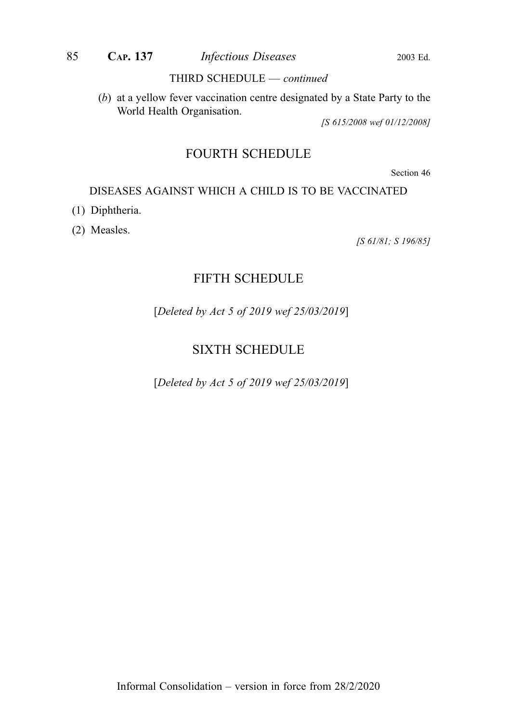#### THIRD SCHEDULE — continued

(b) at a yellow fever vaccination centre designated by a State Party to the World Health Organisation.

[S 615/2008 wef 01/12/2008]

# FOURTH SCHEDULE

Section 46

### DISEASES AGAINST WHICH A CHILD IS TO BE VACCINATED

- (1) Diphtheria.
- (2) Measles.

[S 61/81; S 196/85]

### FIFTH SCHEDULE

[Deleted by Act 5 of 2019 wef 25/03/2019]

# SIXTH SCHEDULE

[Deleted by Act 5 of 2019 wef 25/03/2019]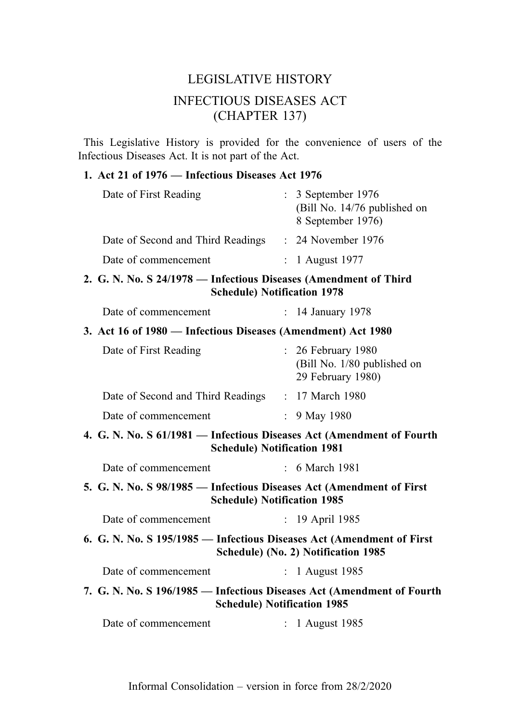# LEGISLATIVE HISTORY INFECTIOUS DISEASES ACT (CHAPTER 137)

This Legislative History is provided for the convenience of users of the Infectious Diseases Act. It is not part of the Act.

### 1. Act 21 of 1976 — Infectious Diseases Act 1976

| Date of First Reading                                                                                        |                           | : 3 September 1976<br>(Bill No. 14/76 published on<br>8 September 1976) |
|--------------------------------------------------------------------------------------------------------------|---------------------------|-------------------------------------------------------------------------|
| Date of Second and Third Readings                                                                            |                           | $: 24$ November 1976                                                    |
| Date of commencement                                                                                         | $\mathbb{R}^{\mathbb{Z}}$ | 1 August 1977                                                           |
| 2. G. N. No. S 24/1978 - Infectious Diseases (Amendment of Third<br><b>Schedule) Notification 1978</b>       |                           |                                                                         |
| Date of commencement                                                                                         |                           | : 14 January 1978                                                       |
| 3. Act 16 of 1980 - Infectious Diseases (Amendment) Act 1980                                                 |                           |                                                                         |
| Date of First Reading                                                                                        |                           | : 26 February 1980<br>(Bill No. 1/80 published on<br>29 February 1980)  |
| Date of Second and Third Readings : 17 March 1980                                                            |                           |                                                                         |
| Date of commencement                                                                                         | $\mathbb{R}^{\mathbb{Z}}$ | 9 May 1980                                                              |
| 4. G. N. No. S 61/1981 - Infectious Diseases Act (Amendment of Fourth<br><b>Schedule) Notification 1981</b>  |                           |                                                                         |
| Date of commencement                                                                                         |                           | $\div$ 6 March 1981                                                     |
| 5. G. N. No. S 98/1985 — Infectious Diseases Act (Amendment of First<br><b>Schedule) Notification 1985</b>   |                           |                                                                         |
| Date of commencement                                                                                         | $\mathbb{R}^{\mathbb{Z}}$ | 19 April 1985                                                           |
| 6. G. N. No. S 195/1985 - Infectious Diseases Act (Amendment of First                                        |                           | Schedule) (No. 2) Notification 1985                                     |
| Date of commencement                                                                                         |                           | $: 1$ August 1985                                                       |
| 7. G. N. No. S 196/1985 — Infectious Diseases Act (Amendment of Fourth<br><b>Schedule) Notification 1985</b> |                           |                                                                         |
| Date of commencement                                                                                         |                           | : 1 August 1985                                                         |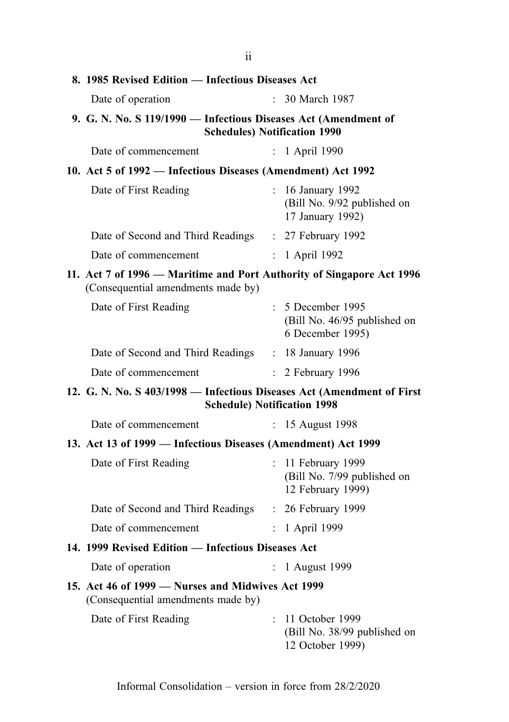| п                                                                                                            |                           |                                                                       |
|--------------------------------------------------------------------------------------------------------------|---------------------------|-----------------------------------------------------------------------|
| 8. 1985 Revised Edition - Infectious Diseases Act                                                            |                           |                                                                       |
| Date of operation                                                                                            |                           | 30 March 1987                                                         |
| 9. G. N. No. S 119/1990 - Infectious Diseases Act (Amendment of<br><b>Schedules) Notification 1990</b>       |                           |                                                                       |
| Date of commencement                                                                                         |                           | : 1 April 1990                                                        |
| 10. Act 5 of 1992 - Infectious Diseases (Amendment) Act 1992                                                 |                           |                                                                       |
| Date of First Reading                                                                                        | $\mathbf{r}$              | 16 January 1992<br>(Bill No. 9/92 published on<br>17 January 1992)    |
| Date of Second and Third Readings : 27 February 1992                                                         |                           |                                                                       |
| Date of commencement                                                                                         |                           | : 1 April 1992                                                        |
| 11. Act 7 of 1996 – Maritime and Port Authority of Singapore Act 1996<br>(Consequential amendments made by)  |                           |                                                                       |
| Date of First Reading                                                                                        |                           | : 5 December 1995<br>(Bill No. 46/95 published on<br>6 December 1995) |
| Date of Second and Third Readings : 18 January 1996                                                          |                           |                                                                       |
| Date of commencement                                                                                         |                           | : 2 February 1996                                                     |
| 12. G. N. No. S 403/1998 - Infectious Diseases Act (Amendment of First<br><b>Schedule) Notification 1998</b> |                           |                                                                       |
| Date of commencement                                                                                         |                           | 15 August 1998                                                        |
| 13. Act 13 of 1999 — Infectious Diseases (Amendment) Act 1999                                                |                           |                                                                       |
| Date of First Reading                                                                                        | $\mathbb{R}^{\mathbb{Z}}$ | 11 February 1999<br>(Bill No. 7/99 published on<br>12 February 1999)  |
| Date of Second and Third Readings                                                                            | $\mathbb{R}^{\mathbb{Z}}$ | 26 February 1999                                                      |
| Date of commencement                                                                                         |                           | : 1 April 1999                                                        |
| 14. 1999 Revised Edition - Infectious Diseases Act                                                           |                           |                                                                       |
| Date of operation                                                                                            | $\mathbb{R}^{\mathbb{Z}}$ | 1 August 1999                                                         |
| 15. Act 46 of 1999 – Nurses and Midwives Act 1999<br>(Consequential amendments made by)                      |                           |                                                                       |
| Date of First Reading                                                                                        |                           | : 11 October 1999<br>(Bill No. 38/99 published on<br>12 October 1999) |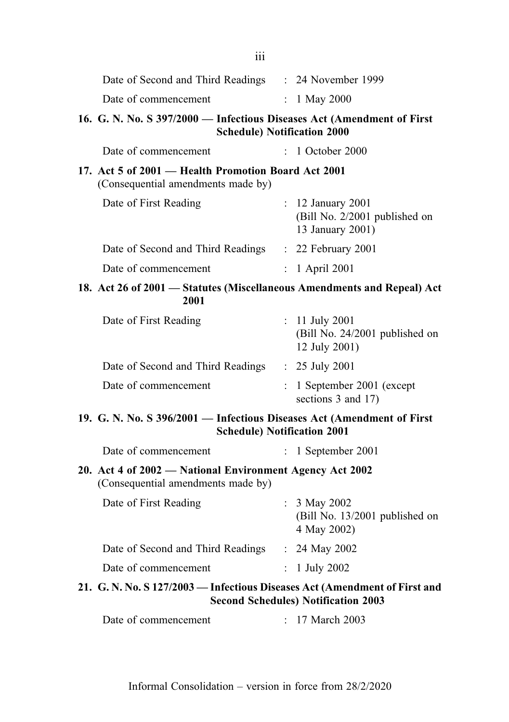| 111                                                                                                          |                                                                        |  |
|--------------------------------------------------------------------------------------------------------------|------------------------------------------------------------------------|--|
| Date of Second and Third Readings : 24 November 1999                                                         |                                                                        |  |
| Date of commencement                                                                                         | : $1$ May 2000                                                         |  |
| 16. G. N. No. S 397/2000 - Infectious Diseases Act (Amendment of First                                       | <b>Schedule) Notification 2000</b>                                     |  |
| Date of commencement                                                                                         | : 1 October 2000                                                       |  |
| 17. Act 5 of 2001 – Health Promotion Board Act 2001<br>(Consequential amendments made by)                    |                                                                        |  |
| Date of First Reading                                                                                        | : 12 January 2001<br>(Bill No. 2/2001 published on<br>13 January 2001) |  |
| Date of Second and Third Readings : 22 February 2001                                                         |                                                                        |  |
| Date of commencement                                                                                         | $: 1$ April 2001                                                       |  |
| 18. Act 26 of 2001 - Statutes (Miscellaneous Amendments and Repeal) Act<br>2001                              |                                                                        |  |
| Date of First Reading                                                                                        | : $11$ July 2001<br>(Bill No. 24/2001 published on<br>12 July 2001)    |  |
| Date of Second and Third Readings : 25 July 2001                                                             |                                                                        |  |
| Date of commencement                                                                                         | 1 September 2001 (except<br>sections 3 and 17)                         |  |
| 19. G. N. No. S 396/2001 - Infectious Diseases Act (Amendment of First<br><b>Schedule) Notification 2001</b> |                                                                        |  |
| Date of commencement                                                                                         | $: 1$ September 2001                                                   |  |
| 20. Act 4 of 2002 – National Environment Agency Act 2002<br>(Consequential amendments made by)               |                                                                        |  |
| Date of First Reading                                                                                        | $: 3$ May 2002<br>(Bill No. 13/2001 published on<br>4 May 2002)        |  |
| Date of Second and Third Readings : 24 May 2002                                                              |                                                                        |  |
| Date of commencement                                                                                         | : $1 \text{ July } 2002$                                               |  |
| 21. G. N. No. S 127/2003 - Infectious Diseases Act (Amendment of First and                                   | <b>Second Schedules) Notification 2003</b>                             |  |
| Date of commencement                                                                                         | 17 March 2003                                                          |  |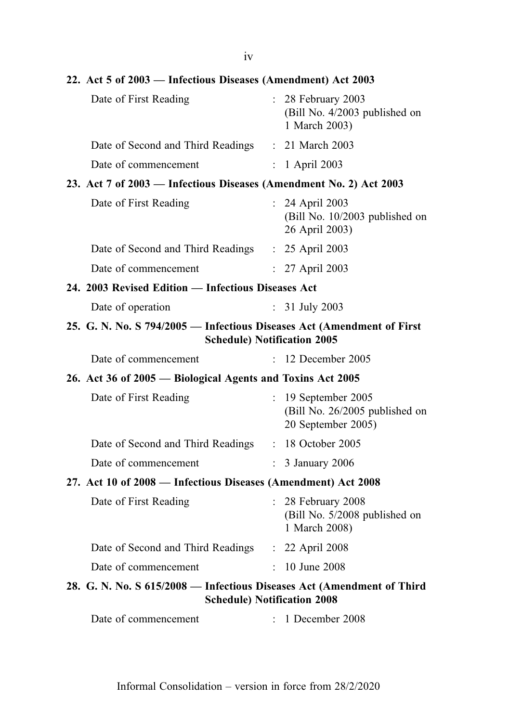22. Act 5 of 2003 — Infectious Diseases (Amendment) Act 2003 Date of First Reading : 28 February 2003 (Bill No. 4/2003 published on 1 March 2003) Date of Second and Third Readings : 21 March 2003 Date of commencement : 1 April 2003 23. Act 7 of 2003 — Infectious Diseases (Amendment No. 2) Act 2003 Date of First Reading : 24 April 2003 (Bill No. 10/2003 published on 26 April 2003) Date of Second and Third Readings : 25 April 2003 Date of commencement : 27 April 2003 24. 2003 Revised Edition — Infectious Diseases Act Date of operation : 31 July 2003 25. G. N. No. S 794/2005 — Infectious Diseases Act (Amendment of First Schedule) Notification 2005 Date of commencement : 12 December 2005 26. Act 36 of 2005 — Biological Agents and Toxins Act 2005 Date of First Reading : 19 September 2005 (Bill No. 26/2005 published on 20 September 2005) Date of Second and Third Readings : 18 October 2005 Date of commencement : 3 January 2006 27. Act 10 of 2008 — Infectious Diseases (Amendment) Act 2008 Date of First Reading : 28 February 2008 (Bill No. 5/2008 published on 1 March 2008) Date of Second and Third Readings : 22 April 2008 Date of commencement : 10 June 2008 28. G. N. No. S 615/2008 — Infectious Diseases Act (Amendment of Third Schedule) Notification 2008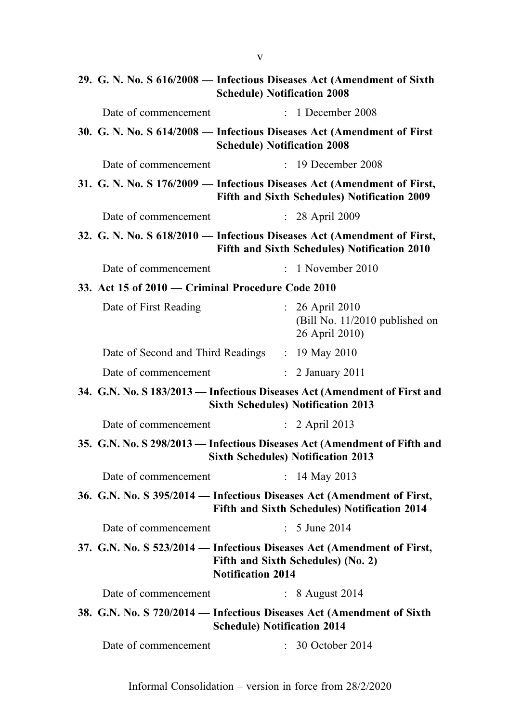|                                                                                                    | 29. G. N. No. S 616/2008 - Infectious Diseases Act (Amendment of Sixth<br><b>Schedule) Notification 2008</b>            |
|----------------------------------------------------------------------------------------------------|-------------------------------------------------------------------------------------------------------------------------|
| Date of commencement                                                                               | $\therefore$ 1 December 2008                                                                                            |
| 30. G. N. No. S 614/2008 - Infectious Diseases Act (Amendment of First                             | <b>Schedule) Notification 2008</b>                                                                                      |
| Date of commencement                                                                               | $: 19$ December 2008                                                                                                    |
|                                                                                                    | 31. G. N. No. S 176/2009 — Infectious Diseases Act (Amendment of First,<br>Fifth and Sixth Schedules) Notification 2009 |
| Date of commencement                                                                               | : 28 April 2009                                                                                                         |
|                                                                                                    | 32. G. N. No. S 618/2010 - Infectious Diseases Act (Amendment of First,<br>Fifth and Sixth Schedules) Notification 2010 |
| Date of commencement                                                                               | $: 1$ November 2010                                                                                                     |
| 33. Act 15 of 2010 - Criminal Procedure Code 2010                                                  |                                                                                                                         |
| Date of First Reading                                                                              | : 26 April 2010<br>(Bill No. 11/2010 published on<br>26 April 2010)                                                     |
| Date of Second and Third Readings : 19 May 2010                                                    |                                                                                                                         |
| Date of commencement                                                                               | $\therefore$ 2 January 2011                                                                                             |
|                                                                                                    | 34. G.N. No. S 183/2013 — Infectious Diseases Act (Amendment of First and<br><b>Sixth Schedules) Notification 2013</b>  |
| Date of commencement                                                                               | $\therefore$ 2 April 2013                                                                                               |
|                                                                                                    | 35. G.N. No. S 298/2013 - Infectious Diseases Act (Amendment of Fifth and<br><b>Sixth Schedules) Notification 2013</b>  |
| Date of commencement                                                                               | : 14 May 2013                                                                                                           |
| 36. G.N. No. S 395/2014 - Infectious Diseases Act (Amendment of First,                             | Fifth and Sixth Schedules) Notification 2014                                                                            |
| Date of commencement                                                                               | : 5 June 2014                                                                                                           |
| 37. G.N. No. S 523/2014 - Infectious Diseases Act (Amendment of First,<br><b>Notification 2014</b> | Fifth and Sixth Schedules) (No. 2)                                                                                      |
| Date of commencement                                                                               | : 8 August 2014                                                                                                         |
| 38. G.N. No. S 720/2014 - Infectious Diseases Act (Amendment of Sixth                              | <b>Schedule) Notification 2014</b>                                                                                      |
| Date of commencement                                                                               | 30 October 2014                                                                                                         |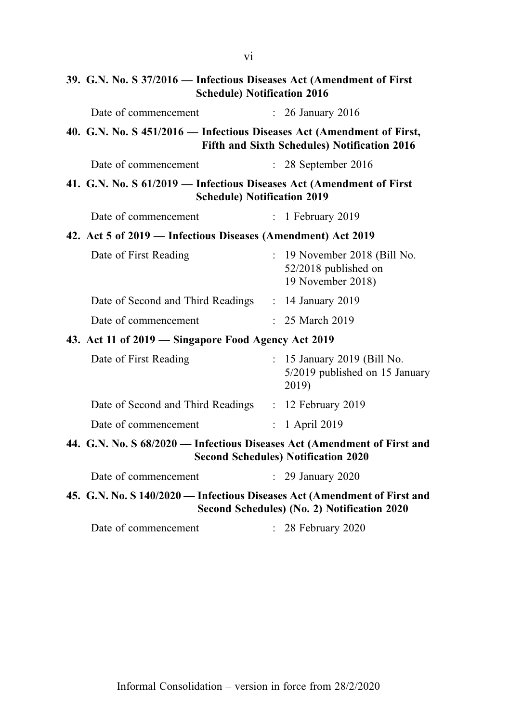| 39. G.N. No. S 37/2016 - Infectious Diseases Act (Amendment of First<br><b>Schedule) Notification 2016</b>             |                |                                                                           |
|------------------------------------------------------------------------------------------------------------------------|----------------|---------------------------------------------------------------------------|
| Date of commencement                                                                                                   |                | $: 26$ January 2016                                                       |
| 40. G.N. No. S 451/2016 - Infectious Diseases Act (Amendment of First,<br>Fifth and Sixth Schedules) Notification 2016 |                |                                                                           |
| Date of commencement                                                                                                   |                | $: 28$ September 2016                                                     |
| 41. G.N. No. S 61/2019 - Infectious Diseases Act (Amendment of First<br><b>Schedule) Notification 2019</b>             |                |                                                                           |
| Date of commencement                                                                                                   | $\ddot{\cdot}$ | 1 February 2019                                                           |
| 42. Act 5 of 2019 – Infectious Diseases (Amendment) Act 2019                                                           |                |                                                                           |
| Date of First Reading                                                                                                  |                | : 19 November 2018 (Bill No.<br>52/2018 published on<br>19 November 2018) |
| Date of Second and Third Readings : 14 January 2019                                                                    |                |                                                                           |
| Date of commencement                                                                                                   |                | $: 25$ March 2019                                                         |
| 43. Act 11 of 2019 - Singapore Food Agency Act 2019                                                                    |                |                                                                           |
| Date of First Reading                                                                                                  |                | : 15 January 2019 (Bill No.<br>5/2019 published on 15 January<br>2019)    |
| Date of Second and Third Readings : 12 February 2019                                                                   |                |                                                                           |
| Date of commencement                                                                                                   |                | : 1 April 2019                                                            |
| 44. G.N. No. S 68/2020 - Infectious Diseases Act (Amendment of First and                                               |                | <b>Second Schedules) Notification 2020</b>                                |
| Date of commencement                                                                                                   |                | $\therefore$ 29 January 2020                                              |
| 45. G.N. No. S 140/2020 — Infectious Diseases Act (Amendment of First and                                              |                | Second Schedules) (No. 2) Notification 2020                               |
| Date of commencement                                                                                                   |                | : 28 February 2020                                                        |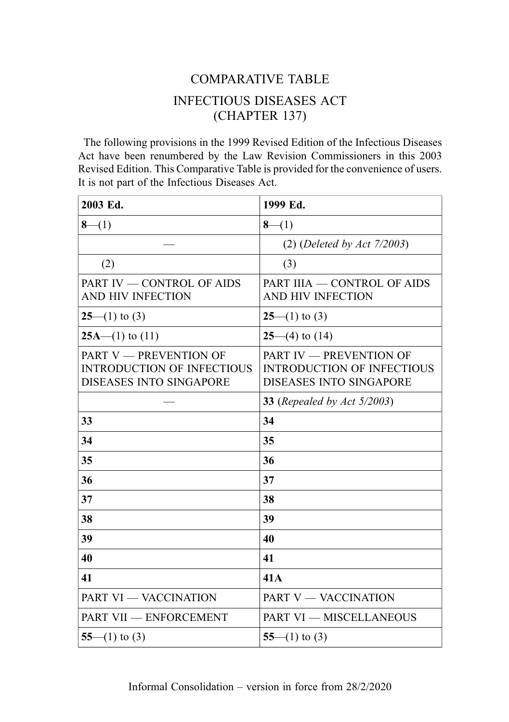# COMPARATIVE TABLE INFECTIOUS DISEASES ACT (CHAPTER 137)

The following provisions in the 1999 Revised Edition of the Infectious Diseases Act have been renumbered by the Law Revision Commissioners in this 2003 Revised Edition. This Comparative Table is provided for the convenience of users. It is not part of the Infectious Diseases Act.

| 2003 Ed.                                                                                             | 1999 Ed.                                                                                              |
|------------------------------------------------------------------------------------------------------|-------------------------------------------------------------------------------------------------------|
| $8-(1)$                                                                                              | $8-(1)$                                                                                               |
|                                                                                                      | $(2)$ (Deleted by Act 7/2003)                                                                         |
| (2)                                                                                                  | (3)                                                                                                   |
| PART IV - CONTROL OF AIDS<br>AND HIV INFECTION                                                       | PART IIIA — CONTROL OF AIDS<br>AND HIV INFECTION                                                      |
| $25-(1)$ to (3)                                                                                      | $25-(1)$ to (3)                                                                                       |
| $25A$ —(1) to (11)                                                                                   | $25-(4)$ to $(14)$                                                                                    |
| <b>PART V - PREVENTION OF</b><br><b>INTRODUCTION OF INFECTIOUS</b><br><b>DISEASES INTO SINGAPORE</b> | <b>PART IV - PREVENTION OF</b><br><b>INTRODUCTION OF INFECTIOUS</b><br><b>DISEASES INTO SINGAPORE</b> |
|                                                                                                      | <b>33</b> (Repealed by Act 5/2003)                                                                    |
| 33                                                                                                   | 34                                                                                                    |
| 34                                                                                                   | 35                                                                                                    |
| 35                                                                                                   | 36                                                                                                    |
| 36                                                                                                   | 37                                                                                                    |
| 37                                                                                                   | 38                                                                                                    |
| 38                                                                                                   | 39                                                                                                    |
| 39                                                                                                   | 40                                                                                                    |
| 40                                                                                                   | 41                                                                                                    |
| 41                                                                                                   | 41A                                                                                                   |
| <b>PART VI - VACCINATION</b>                                                                         | PART V - VACCINATION                                                                                  |
| PART VII - ENFORCEMENT                                                                               | <b>PART VI - MISCELLANEOUS</b>                                                                        |
| $55-(1)$ to (3)                                                                                      | $55-(1)$ to (3)                                                                                       |